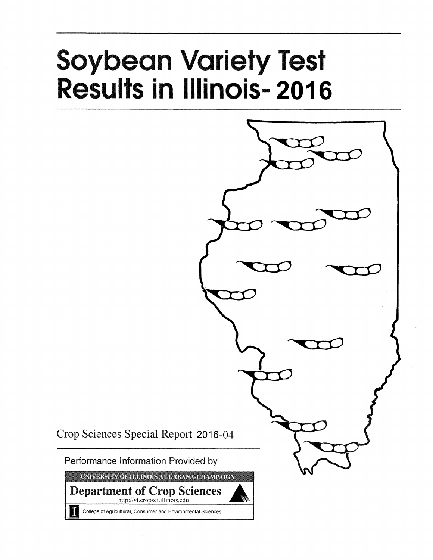# **Soybean Variety Test Results in Illinois-2016**



Crop Sciences Special Report 2016-04

Performance Information Provided by

UNIVERSITY OF ILLINOIS AT URBANA-CHAMPAIGN

**Department of Crop Sciences** http://vt.cropsci.illinois.edu

College of Agricultural, Consumer and Environmental Sciences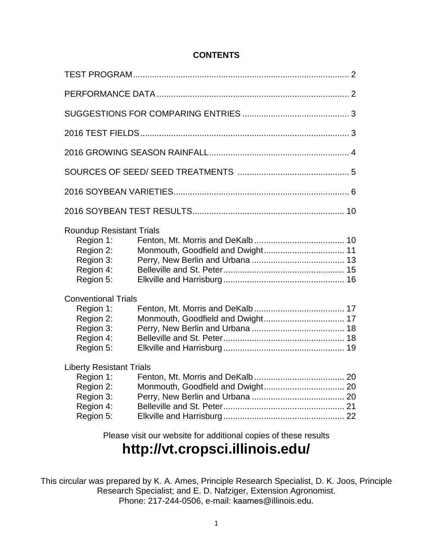## **CONTENTS**

| <b>Roundup Resistant Trials</b><br>Region 1:<br>Region 2:<br>Region 3:<br>Region 4:<br>Region 5: |                                                                 |  |
|--------------------------------------------------------------------------------------------------|-----------------------------------------------------------------|--|
| <b>Conventional Trials</b><br>Region 1:<br>Region 2:<br>Region 3:<br>Region 4:<br>Region 5:      |                                                                 |  |
| <b>Liberty Resistant Trials</b><br>Region 3:<br>Region 4:<br>Region 5:                           |                                                                 |  |
|                                                                                                  | Please visit our website for additional copies of these results |  |

## **http://vt.cropsci.illinois.edu/**

This circular was prepared by K. A. Ames, Principle Research Specialist, D. K. Joos, Principle Research Specialist; and E. D. Nafziger, Extension Agronomist. Phone: 217-244-0506, e-mail: kaames@illinois.edu.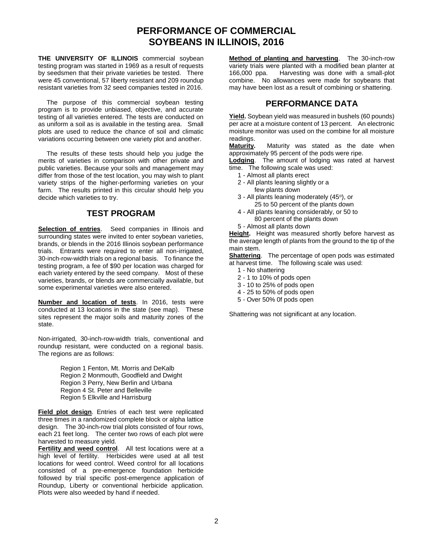## **PERFORMANCE OF COMMERCIAL SOYBEANS IN ILLINOIS, 2016**

**THE UNIVERSITY OF ILLINOIS** commercial soybean testing program was started in 1969 as a result of requests by seedsmen that their private varieties be tested. There were 45 conventional, 57 liberty resistant and 209 roundup resistant varieties from 32 seed companies tested in 2016.

The purpose of this commercial soybean testing program is to provide unbiased, objective, and accurate testing of all varieties entered. The tests are conducted on as uniform a soil as is available in the testing area. Small plots are used to reduce the chance of soil and climatic variations occurring between one variety plot and another.

The results of these tests should help you judge the merits of varieties in comparison with other private and public varieties. Because your soils and management may differ from those of the test location, you may wish to plant variety strips of the higher-performing varieties on your farm. The results printed in this circular should help you decide which varieties to try.

## **TEST PROGRAM**

**Selection of entries**. Seed companies in Illinois and surrounding states were invited to enter soybean varieties, brands, or blends in the 2016 Illinois soybean performance trials. Entrants were required to enter all non-irrigated, 30-inch-row-width trials on a regional basis. To finance the testing program, a fee of \$90 per location was charged for each variety entered by the seed company. Most of these varieties, brands, or blends are commercially available, but some experimental varieties were also entered.

**Number and location of tests**. In 2016, tests were conducted at 13 locations in the state (see map). These sites represent the major soils and maturity zones of the state.

Non-irrigated, 30-inch-row-width trials, conventional and roundup resistant, were conducted on a regional basis. The regions are as follows:

> Region 1 Fenton, Mt. Morris and DeKalb Region 2 Monmouth, Goodfield and Dwight Region 3 Perry, New Berlin and Urbana Region 4 St. Peter and Belleville Region 5 Elkville and Harrisburg

**Field plot design**. Entries of each test were replicated three times in a randomized complete block or alpha lattice design. The 30-inch-row trial plots consisted of four rows, each 21 feet long. The center two rows of each plot were harvested to measure yield.

**Fertility and weed control**. All test locations were at a high level of fertility. Herbicides were used at all test locations for weed control. Weed control for all locations consisted of a pre-emergence foundation herbicide followed by trial specific post-emergence application of Roundup, Liberty or conventional herbicide application. Plots were also weeded by hand if needed.

**Method of planting and harvesting**. The 30-inch-row variety trials were planted with a modified bean planter at 166,000 ppa. Harvesting was done with a small-plot combine. No allowances were made for soybeans that may have been lost as a result of combining or shattering.

## **PERFORMANCE DATA**

**Yield.** Soybean yield was measured in bushels (60 pounds) per acre at a moisture content of 13 percent. An electronic moisture monitor was used on the combine for all moisture readings.<br>Maturity.

**Maturity.** Maturity was stated as the date when approximately 95 percent of the pods were ripe.

**Lodging**. The amount of lodging was rated at harvest time. The following scale was used:

- 1 Almost all plants erect
- 2 All plants leaning slightly or a
	- few plants down
- 3 All plants leaning moderately (45°), or 25 to 50 percent of the plants down
- 4 All plants leaning considerably, or 50 to 80 percent of the plants down
- 5 Almost all plants down

**Height.** Height was measured shortly before harvest as the average length of plants from the ground to the tip of the main stem.

**Shattering**. The percentage of open pods was estimated at harvest time. The following scale was used:

- 1 No shattering
- 2 1 to 10% of pods open
- 3 10 to 25% of pods open
- 4 25 to 50% of pods open
- 5 Over 50% 0f pods open

Shattering was not significant at any location.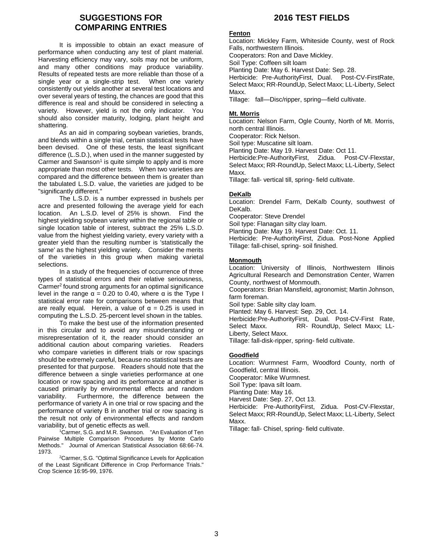## **SUGGESTIONS FOR COMPARING ENTRIES**

It is impossible to obtain an exact measure of performance when conducting any test of plant material. Harvesting efficiency may vary, soils may not be uniform, and many other conditions may produce variability. Results of repeated tests are more reliable than those of a single year or a single-strip test. When one variety consistently out yields another at several test locations and over several years of testing, the chances are good that this difference is real and should be considered in selecting a variety. However, yield is not the only indicator. You should also consider maturity, lodging, plant height and shattering.

As an aid in comparing soybean varieties, brands, and blends within a single trial, certain statistical tests have been devised. One of these tests, the least significant difference (L.S.D.), when used in the manner suggested by Carmer and Swanson<sup>1</sup> is quite simple to apply and is more appropriate than most other tests. When two varieties are compared and the difference between them is greater than the tabulated L.S.D. value, the varieties are judged to be "significantly different."

The L.S.D. is a number expressed in bushels per acre and presented following the average yield for each location. An L.S.D. level of 25% is shown. Find the highest yielding soybean variety within the regional table or single location table of interest, subtract the 25% L.S.D. value from the highest yielding variety, every variety with a greater yield than the resulting number is 'statistically the same' as the highest yielding variety. Consider the merits of the varieties in this group when making varietal selections.

In a study of the frequencies of occurrence of three types of statistical errors and their relative seriousness, Carmer<sup>2</sup> found strong arguments for an optimal significance level in the range  $\alpha$  = 0.20 to 0.40, where  $\alpha$  is the Type I statistical error rate for comparisons between means that are really equal. Herein, a value of  $\alpha = 0.25$  is used in computing the L.S.D. 25-percent level shown in the tables.

To make the best use of the information presented in this circular and to avoid any misunderstanding or misrepresentation of it, the reader should consider an additional caution about comparing varieties. Readers who compare varieties in different trials or row spacings should be extremely careful, because no statistical tests are presented for that purpose. Readers should note that the difference between a single varieties performance at one location or row spacing and its performance at another is caused primarily by environmental effects and random variability. Furthermore, the difference between the performance of variety A in one trial or row spacing and the performance of variety B in another trial or row spacing is the result not only of environmental effects and random variability, but of genetic effects as well.

<sup>1</sup>Carmer, S.G. and M.R. Swanson. "An Evaluation of Ten Pairwise Multiple Comparison Procedures by Monte Carlo Methods." Journal of American Statistical Association 68:66-74. 1973.

<sup>2</sup>Carmer, S.G. "Optimal Significance Levels for Application of the Least Significant Difference in Crop Performance Trials." Crop Science 16:95-99, 1976.

## **2016 TEST FIELDS**

#### **Fenton**

Location: Mickley Farm, Whiteside County, west of Rock Falls, northwestern Illinois.

Cooperators: Ron and Dave Mickley.

Soil Type: Coffeen silt loam

Planting Date: May 6. Harvest Date: Sep. 28.

Herbicide: Pre-AuthorityFirst, Dual. Post-CV-FirstRate, Select Maxx; RR-RoundUp, Select Maxx; LL-Liberty, Select Maxx.

Tillage: fall—Disc/ripper, spring—field cultivate.

#### **Mt. Morris**

Location: Nelson Farm, Ogle County, North of Mt. Morris, north central Illinois.

Cooperator: Rick Nelson.

Soil type: Muscatine silt loam.

Planting Date: May 19. Harvest Date: Oct 11.

Herbicide:Pre-AuthorityFirst, Zidua. Post-CV-Flexstar, Select Maxx; RR-RoundUp, Select Maxx; LL-Liberty, Select Maxx.

Tillage: fall- vertical till, spring- field cultivate.

#### **DeKalb**

Location: Drendel Farm, DeKalb County, southwest of DeKalb.

Cooperator: Steve Drendel

Soil type: Flanagan silty clay loam.

Planting Date: May 19. Harvest Date: Oct. 11.

Herbicide: Pre-AuthorityFirst, Zidua. Post-None Applied Tillage: fall-chisel, spring- soil finished.

#### **Monmouth**

Location: University of Illinois, Northwestern Illinois Agricultural Research and Demonstration Center, Warren County, northwest of Monmouth.

Cooperators: Brian Mansfield, agronomist; Martin Johnson, farm foreman.

Soil type: Sable silty clay loam.

Planted: May 6. Harvest: Sep. 29, Oct. 14.

Herbicide:Pre-AuthorityFirst, Dual. Post-CV-First Rate, Select Maxx. RR- RoundUp, Select Maxx; LL-Liberty, Select Maxx.

Tillage: fall-disk-ripper, spring- field cultivate.

#### **Goodfield**

Location: Wurmnest Farm, Woodford County, north of Goodfield, central Illinois. Cooperator: Mike Wurmnest. Soil Type: Ipava silt loam. Planting Date: May 16. Harvest Date: Sep. 27, Oct 13. Herbicide: Pre-AuthorityFirst, Zidua. Post-CV-Flexstar, Select Maxx; RR-RoundUp, Select Maxx; LL-Liberty, Select

Maxx.

Tillage: fall- Chisel, spring- field cultivate.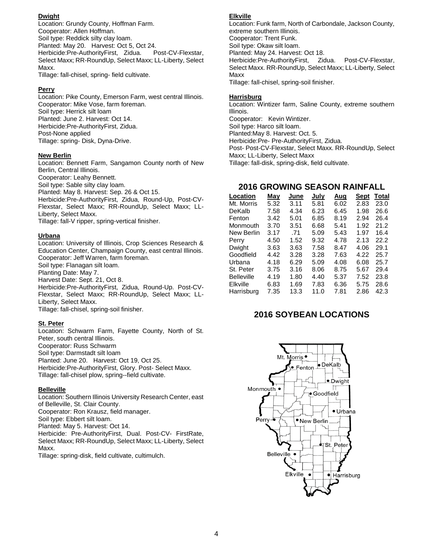#### **Dwight**

Location: Grundy County, Hoffman Farm. Cooperator: Allen Hoffman. Soil type: Reddick silty clay loam. Planted: May 20. Harvest: Oct 5, Oct 24. Herbicide:Pre-AuthorityFirst, Zidua. Post-CV-Flexstar, Select Maxx; RR-RoundUp, Select Maxx; LL-Liberty, Select Maxx.

Tillage: fall-chisel, spring- field cultivate.

#### **Perry**

Location: Pike County, Emerson Farm, west central Illinois. Cooperator: Mike Vose, farm foreman. Soil type: Herrick silt loam Planted: June 2. Harvest: Oct 14. Herbicide:Pre-AuthorityFirst, Zidua. Post-None applied Tillage: spring- Disk, Dyna-Drive.

#### **New Berlin**

Location: Bennett Farm, Sangamon County north of New Berlin, Central Illinois. Cooperator: Leahy Bennett. Soil type: Sable silty clay loam. Planted: May 8. Harvest: Sep. 26 & Oct 15. Herbicide:Pre-AuthorityFirst, Zidua, Round-Up, Post-CV-Flexstar, Select Maxx; RR-RoundUp, Select Maxx; LL-Liberty, Select Maxx.

Tillage: fall-V ripper, spring-vertical finisher.

#### **Urbana**

Location: University of Illinois, Crop Sciences Research & Education Center, Champaign County, east central Illinois. Cooperator: Jeff Warren, farm foreman. Soil type: Flanagan silt loam. Planting Date: May 7.

Harvest Date: Sept. 21, Oct 8.

Herbicide:Pre-AuthorityFirst, Zidua, Round-Up. Post-CV-Flexstar, Select Maxx; RR-RoundUp, Select Maxx; LL-Liberty, Select Maxx. Tillage: fall-chisel, spring-soil finisher.

#### **St. Peter**

Location: Schwarm Farm, Fayette County, North of St. Peter, south central Illinois. Cooperator: Russ Schwarm Soil type: Darmstadt silt loam Planted: June 20. Harvest: Oct 19, Oct 25. Herbicide:Pre-AuthorityFirst, Glory. Post- Select Maxx. Tillage: fall-chisel plow, spring--field cultivate.

#### **Belleville**

Location: Southern Illinois University Research Center, east of Belleville, St. Clair County. Cooperator: Ron Krausz, field manager. Soil type: Ebbert silt loam. Planted: May 5. Harvest: Oct 14. Herbicide: Pre-AuthorityFirst, Dual. Post-CV- FirstRate, Select Maxx; RR-RoundUp, Select Maxx; LL-Liberty, Select Maxx.

Tillage: spring-disk, field cultivate, cultimulch.

#### **Elkville**

Location: Funk farm, North of Carbondale, Jackson County, extreme southern Illinois. Cooperator: Trent Funk. Soil type: Okaw silt loam. Planted: May 24. Harvest: Oct 18. Herbicide:Pre-AuthorityFirst, Zidua. Post-CV-Flexstar, Select Maxx. RR-RoundUp, Select Maxx; LL-Liberty, Select Maxx Tillage: fall-chisel, spring-soil finisher.

#### **Harrisburg**

Location: Wintizer farm, Saline County, extreme southern Illinois. Cooperator: Kevin Wintizer. Soil type: Harco silt loam. Planted:May 8. Harvest: Oct. 5. Herbicide:Pre- Pre-AuthorityFirst, Zidua. Post- Post-CV-Flexstar, Select Maxx. RR-RoundUp, Select Maxx; LL-Liberty, Select Maxx Tillage: fall-disk, spring-disk, field cultivate.

## **2016 GROWING SEASON RAINFALL**

| Location          | Mav  | June | July | Aug  | Sept | Total |
|-------------------|------|------|------|------|------|-------|
| Mt. Morris        | 5.32 | 3.11 | 5.81 | 6.02 | 2.83 | 23.0  |
| DeKalb            | 7.58 | 4.34 | 6.23 | 6.45 | 1.98 | 26.6  |
| Fenton            | 3.42 | 5.01 | 6.85 | 8.19 | 2.94 | 26.4  |
| Monmouth          | 3.70 | 3.51 | 6.68 | 5.41 | 1.92 | 21.2  |
| New Berlin        | 3.17 | .71  | 5.09 | 5.43 | 1.97 | 16.4  |
| Perry             | 4.50 | 1.52 | 9.32 | 4.78 | 2.13 | 22.2  |
| Dwight            | 3.63 | 3.63 | 7.58 | 8.47 | 4.06 | 29.1  |
| Goodfield         | 4.42 | 3.28 | 3.28 | 7.63 | 4.22 | 25.7  |
| Urbana            | 4.18 | 6.29 | 5.09 | 4.08 | 6.08 | 25.7  |
| St. Peter         | 3.75 | 3.16 | 8.06 | 8.75 | 5.67 | 29.4  |
| <b>Belleville</b> | 4.19 | 1.80 | 4.40 | 5.37 | 7.52 | 23.8  |
| Elkville          | 6.83 | 1.69 | 7.83 | 6.36 | 5.75 | 28.6  |
| Harrisburg        | 7.35 | 13.3 | 11.0 | 7.81 | 2.86 | 42.3  |

## **2016 SOYBEAN LOCATIONS**

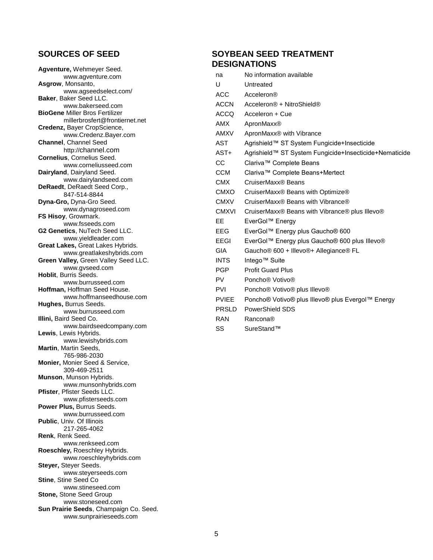## **SOURCES OF SEED**

**Agventure,** Wehmeyer Seed. [www.agventure.com](http://www.agventure.com/) **Asgrow**, Monsanto, [www.agseedselect.com/](http://www.agseedselect.com/) **Baker**, Baker Seed LLC. [www.bakerseed.com](http://www.bakerseed.com/) **BioGene** Miller Bros Fertilizer millerbrosfert@frontiernet.net **Credenz,** Bayer CropScience, www.Credenz.Bayer.com **Channel**, Channel Seed http://channel.com **Cornelius**, Cornelius Seed. [www.corneliusseed.com](http://www.corneliusseed.com/) **Dairyland**, Dairyland Seed. www.dairylandseed.com **DeRaedt**, DeRaedt Seed Corp., 847-514-8844 **Dyna-Gro,** Dyna-Gro Seed. [www.dynagroseed.com](http://www.dynagroseed.com/) **FS Hisoy**, Growmark. [www.fsseeds.com](http://www.fsseeds.com/) **G2 Genetics**, NuTech Seed LLC. [www.yieldleader.com](http://www.yieldleader.com/) **Great Lakes,** Great Lakes Hybrids. [www.greatlakeshybrids.com](http://www.greatlakeshybrids.com/) **Green Valley,** Green Valley Seed LLC. [www.gvseed.com](http://www.gvseed.com/) **Hoblit**, Burris Seeds. [www.burrusseed.com](http://www.burrusseed.com/) **Hoffman,** Hoffman Seed House. www.hoffmanseedhouse.com **Hughes,** Burrus Seeds. [www.burrusseed.com](http://www.burrusseed.com/) **Illini,** Baird Seed Co. [www.bairdseedcompany.com](http://www.bairdseedcompany.com/) **Lewis**, Lewis Hybrids. www.lewishybrids.com **Martin**, Martin Seeds, 765-986-2030 **Monier,** Monier Seed & Service, 309-469-2511 **Munson**, Munson Hybrids. [www.munsonhybrids.com](http://www.munsonhybrids.com/) **Pfister**, Pfister Seeds LLC. [www.pfisterseeds.com](https://urldefense.proofpoint.com/v2/url?u=http-3A__www.pfisterseeds.com&d=BQMFAg&c=8hUWFZcy2Z-Za5rBPlktOQ&r=u2EbouVKWbcSabFWHW0pfLEjFP9KD_H3935-WipCg3E&m=KLs6hkTZlgDo5VxWvq75-sZX8KKuSlE7tWvdAv66UuE&s=P0OcZaFcPodx2KtOvJcfOU94YH9AxhnJ9ZV1AiadptY&e=) **Power Plus,** Burrus Seeds. [www.burrusseed.com](http://www.burrusseed.com/) **Public**, Univ. Of Illinois 217-265-4062 **Renk**, Renk Seed. www.renkseed.com **Roeschley,** Roeschley Hybrids. [www.roeschleyhybrids.com](http://www.roeschleyhybrids.com/) **Steyer,** Steyer Seeds. [www.steyerseeds.com](http://www.steyerseeds.com/) **Stine**, Stine Seed Co [www.stineseed.com](http://www.stineseed.com/) **Stone,** Stone Seed Group [www.stoneseed.com](http://www.stoneseed.com/) **Sun Prairie Seeds**, Champaign Co. Seed. www.sunprairieseeds.com

## **SOYBEAN SEED TREATMENT DESIGNATIONS**

| na           | No information available                                                   |
|--------------|----------------------------------------------------------------------------|
| U            | Untreated                                                                  |
| <b>ACC</b>   | Acceleron®                                                                 |
| ACCN         | Acceleron® + NitroShield®                                                  |
| ACCQ         | Acceleron + Cue                                                            |
| <b>AMX</b>   | ApronMaxx <sup>®</sup>                                                     |
| AMXV         | ApronMaxx <sup>®</sup> with Vibrance                                       |
| AST          | Agrishield™ ST System Fungicide+Insecticide                                |
| AST+         | Agrishield™ ST System Fungicide+Insecticide+Nematicide                     |
| CC           | Clariva™ Complete Beans                                                    |
| CCM          | Clariva™ Complete Beans+Mertect                                            |
| <b>CMX</b>   | CruiserMaxx® Beans                                                         |
| <b>CMXO</b>  | CruiserMaxx® Beans with Optimize®                                          |
| <b>CMXV</b>  | CruiserMaxx® Beans with Vibrance®                                          |
| <b>CMXVI</b> | CruiserMaxx® Beans with Vibrance® plus Illevo®                             |
| EE           | EverGol™ Energy                                                            |
| EEG          | EverGol™ Energy plus Gaucho® 600                                           |
| EEGI         | EverGoI™ Energy plus Gaucho® 600 plus Illevo®                              |
| <b>GIA</b>   | Gaucho <sup>®</sup> 600 + Illevo <sup>®</sup> + Allegiance <sup>®</sup> FL |
| <b>INTS</b>  | Intego <sup>™</sup> Suite                                                  |
| <b>PGP</b>   | <b>Profit Guard Plus</b>                                                   |
| PV.          | Poncho <sup>®</sup> Votivo <sup>®</sup>                                    |
| <b>PVI</b>   | Poncho <sup>®</sup> Votivo <sup>®</sup> plus Illevo <sup>®</sup>           |
| <b>PVIEE</b> | Poncho® Votivo® plus Illevo® plus Evergol™ Energy                          |
| <b>PRSLD</b> | PowerShield SDS                                                            |
| RAN          | Rancona®                                                                   |
| SS           | SureStand™                                                                 |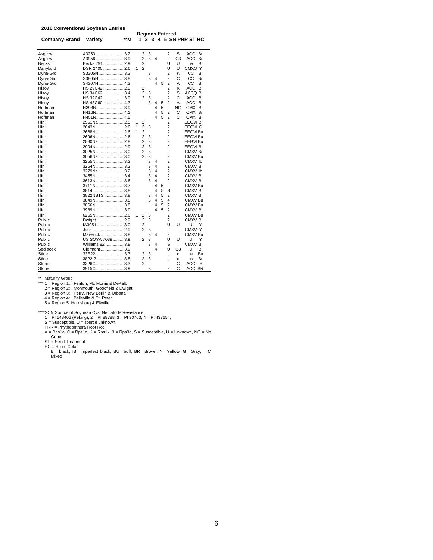#### **2016 Conventional Soybean Entries**

| Company-Brand | Variety          | **M |   | 1.                      |   |   |   | <b>Regions Entered</b> |    | 2 3 4 5 SN PRR ST HC |
|---------------|------------------|-----|---|-------------------------|---|---|---|------------------------|----|----------------------|
| Asgrow        | A3253 3.2        |     |   | 2                       | 3 |   |   | 2                      | S  | ACC<br>Br            |
| Asgrow        | A3956 3.9        |     |   | 2                       | 3 | 4 |   | 2                      | C3 | ACC<br>Br            |
| <b>Becks</b>  | Becks 291  2.9   |     |   | 2                       |   |   |   | U                      | U  | BI<br>na             |
| Dairyland     | DSR 2400  2.6    |     | 1 | $\overline{2}$          |   |   |   | U                      | U  | CMXO Y               |
| Dyna-Gro      | S3305N3.3        |     |   |                         | 3 |   |   | 2                      | κ  | CС<br>BI             |
| Dyna-Gro      | S3805N 3.8       |     |   |                         | 3 | 4 |   | $\overline{2}$         | С  | CС<br>Br             |
| Dyna-Gro      | S4307N 4.3       |     |   |                         |   | 4 | 5 | $\overline{2}$         | А  | СC<br>BI             |
| Hisoy         | HS 29C42  2.9    |     |   | 2                       |   |   |   | $\overline{2}$         | K  | ACC<br>BI            |
| Hisoy         | HS 34C62  3.4    |     |   | $\overline{2}$          | 3 |   |   | $\overline{2}$         | S  | <b>ACCQ BI</b>       |
| Hisoy         | HS 39C42  3.9    |     |   | $\overline{a}$          | 3 |   |   | $\overline{2}$         | Ċ  | ACC<br>BI            |
| Hisoy         | HS 43C60  4.3    |     |   |                         | 3 | 4 | 5 | 2                      | A  | ACC<br>BI            |
| Hoffman       | H393N3.9         |     |   |                         |   | 4 | 5 | $\overline{2}$         | ΝG | CMX<br>BI            |
| Hoffman       |                  |     |   |                         |   | 4 | 5 | $\overline{2}$         | С  | CMX Br               |
| Hoffman       |                  |     |   |                         |   | 4 | 5 | $\overline{2}$         | Ċ  | CMX BI               |
| Illini        | 2561Na  2.5      |     | 1 | $\overline{\mathbf{c}}$ |   |   |   | $\overline{2}$         |    | EEGVI BI             |
| Illini        | 2643N  2.6       |     | 1 | $\overline{2}$          | 3 |   |   | $\overline{c}$         |    | EEGVI G              |
| Illini        | 2668Na  2.6      |     | 1 | $\overline{2}$          |   |   |   | $\overline{2}$         |    | EEGVIBu              |
| Illini        | 2696Na  2.6      |     |   | 2                       | 3 |   |   | $\overline{2}$         |    | EEGVIBu              |
| Illini        | 2880Na  2.8      |     |   | $\overline{2}$          | 3 |   |   | $\overline{2}$         |    | EEGVIBu              |
| Illini        | 2904N  2.9       |     |   | $\overline{2}$          | 3 |   |   | $\overline{2}$         |    | EEGVI BI             |
| Illini        | 3025N  3.0       |     |   | 2                       | 3 |   |   | $\overline{2}$         |    | CMXV Br              |
| Illini        | 3056Na  3.0      |     |   | $\overline{c}$          | 3 |   |   | 2                      |    | CMXV Bu              |
| Illini        | 3255N  3.2       |     |   |                         | 3 | 4 |   | $\overline{2}$         |    | CMXV <sub>Ib</sub>   |
| Illini        | 3264N  3.2       |     |   |                         | 3 | 4 |   | $\overline{2}$         |    | CMXV <sub>BI</sub>   |
| Illini        | 3279Na  3.2      |     |   |                         | 3 | 4 |   | $\overline{2}$         |    | CMXV <sub>Ib</sub>   |
| Illini        | 3455N  3.4       |     |   |                         | 3 | 4 |   | 2                      |    | CMXV BI              |
| Illini        | 3613N  3.6       |     |   |                         | 3 | 4 |   | $\overline{2}$         |    | CMXV BI              |
| Illini        | 3711N3.7         |     |   |                         |   | 4 | 5 | $\overline{2}$         |    | CMXV Bu              |
| Illini        | 38143.8          |     |   |                         |   | 4 | 5 | S                      |    | CMXV BI              |
| Illini        | 3822NSTS  3.8    |     |   |                         | 3 | 4 | 5 | $\overline{2}$         |    | CMXV BI              |
| Illini        | 3849N  3.8       |     |   |                         | 3 | 4 | 5 | 4                      |    | CMXV Bu              |
| Illini        | 3866N  3.8       |     |   |                         |   | 4 | 5 | $\overline{2}$         |    | CMXV Bu              |
| Illini        | 3989N  3.9       |     |   |                         |   | 4 | 5 | $\overline{2}$         |    | CMXV BI              |
| Illini        | 6265N  2.6       |     | 1 | 2                       | 3 |   |   | $\overline{c}$         |    | CMXV Bu              |
| Public        | Dwight 2.9       |     |   | $\overline{2}$          | 3 |   |   | $\overline{2}$         |    | CMXV BI              |
| Public        | IA3051 3.0       |     |   | 2                       |   |   |   | U                      | U  | U<br>Υ               |
| Public        | Jack  2.9        |     |   | $\overline{c}$          | 3 |   |   | 2                      |    | CMXV Y               |
| Public        | Maverick  3.8    |     |   |                         | 3 | 4 |   | 2                      |    | CMXV Bu              |
| Public        | US SOYA 7039 3.9 |     |   | 2                       | 3 |   |   | U                      | U  | U<br>Υ               |
| Public        | Williams 82  3.8 |     |   |                         | 3 | 4 |   | S                      |    | CMXV BI              |
| Sedlacek      | Clermont  3.9    |     |   |                         |   | 4 |   | U                      | C3 | U<br>BI              |
| Stine         | 33E22 3.3        |     |   | 2                       | 3 |   |   | u                      | c  | Bu<br>na             |
| <b>Stine</b>  | 3822-23.8        |     |   | 2                       | 3 |   |   | u                      | c  | Br<br>na             |
| Stone         |                  |     |   | $\overline{2}$          |   |   |   | $\overline{2}$         | Ċ  | ACC<br><b>IB</b>     |
| Stone         | 3915C  3.9       |     |   |                         | 3 |   |   | $\overline{a}$         | C  | ACC BR               |

\*\* Maturity Group \*\*\* 1 = Region 1: Fenton, Mt. Morris & DeKalb 2 = Region 2: Monmouth, Goodfield & Dwight 3 = Region 3: Perry, New Berlin & Urbana 4 = Region 4: Belleville & St. Peter 5 = Region 5: Harrisburg & Elkville

\*\*\*SCN Source of Soybean Cyst Nematode Resistance<br>
1 = PI 548402 (Peking), 2 = PI 88788, 3 = PI 90763, 4 = PI 437654,<br>
S = Susceptible, U = source unknown.<br>
PRR = Phythophthora Root Rot<br>
A = Rps1a, C = Rps1c, K = Rps1k, 3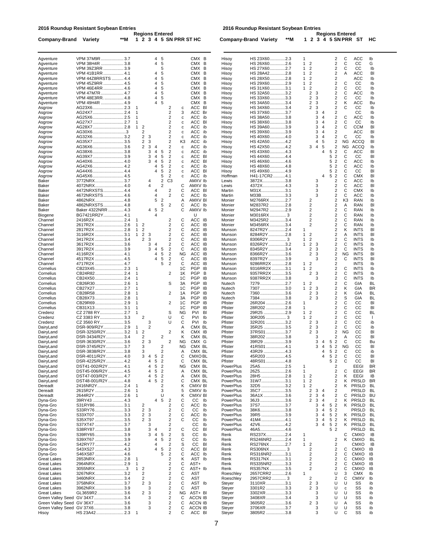**2016 Roundup Resistant Soybean Entries**

**2016 Roundup Resistant Soybean Entries**

|                    |                       |     | <b>Regions Entered</b> |     |  |  |
|--------------------|-----------------------|-----|------------------------|-----|--|--|
|                    | Company-Brand Variety | **M | 1 2 3 4 5 SN PRR ST HC |     |  |  |
|                    |                       |     |                        |     |  |  |
| $\Lambda$ avonturo | <b>VDM 27MOD</b>      | 27  |                        | CMY |  |  |

**Regions Entered<br>1 2 3 4 5 SN PRR ST HC Company-Brand Variety \*\*M** 

| Agventure                         | VPM 37M9R  3.7                        |                          |                                        |        | 4                   | 5                                          |                  | CMX B                         | Hisoy                  | HS 23X602.3                | 1                                                |             |                                  | 2                                          | С                   | ACC                        | lb        |
|-----------------------------------|---------------------------------------|--------------------------|----------------------------------------|--------|---------------------|--------------------------------------------|------------------|-------------------------------|------------------------|----------------------------|--------------------------------------------------|-------------|----------------------------------|--------------------------------------------|---------------------|----------------------------|-----------|
| Agventure                         | VPM 38H4R  3.8                        |                          |                                        |        | 4                   | 5                                          |                  | CMX B                         | Hisoy                  | HS 26X602.6                | 1<br>$\overline{\mathbf{c}}$                     |             |                                  | 2                                          | С                   | CC                         | G         |
| Agventure                         | VPM 39Z3RR  3.9                       |                          |                                        |        |                     | 5                                          |                  | CMX B                         | Hisoy                  | HS 27X602.7                | $\overline{2}$<br>1                              |             |                                  | 2                                          | С                   | CС                         | Ib        |
| Agventure                         | VPM 41B1RR 4.1                        |                          |                                        |        | 4                   | 5                                          |                  | CMX B                         | Hisoy                  | HS 28A422.8                | $\overline{2}$<br>1                              |             |                                  | $\overline{2}$                             | Α                   | ACC                        | BI        |
| Agventure<br>Agventure            | VPM 44Z8RRSTS  4.4<br>VPM 45Z9RR  4.5 |                          |                                        |        | 4<br>4              | 5<br>5                                     |                  | CMX B<br>CMX<br>В             | Hisoy<br>Hisoy         | HS 28X502.8<br>HS 29X602.9 | 2<br>1<br>$\overline{\mathbf{c}}$<br>1           |             |                                  | 2<br>2                                     | С                   | ACC<br>CС                  | lb<br>Ib  |
| Agventure                         | VPM 46E4RR  4.6                       |                          |                                        |        | 4                   | 5                                          |                  | CMX B                         | Hisoy                  | HS 31X603.1                | 1<br>$\overline{c}$                              |             |                                  | 2                                          | С                   | CС                         | lb        |
| Agventure                         | VPM 47M7R  4.7                        |                          |                                        |        | 4                   | 5                                          |                  | CMX B                         | Hisoy                  | HS 32A503.2                | $\overline{\mathbf{c}}$                          | 3           |                                  | $\overline{2}$                             | С                   | ACC                        | Ib        |
| Agventure                         | VPM 48E3RR.  4.8                      |                          |                                        |        | 4                   | 5                                          |                  | CMX<br>В                      | Hisoy                  | HS 33X603.3                | $\overline{\mathbf{c}}$                          | 3           |                                  | $\overline{2}$                             | С                   | CС                         | Ib        |
| Agventure                         | VPM 49H4R  4.9                        |                          |                                        |        | 4                   | 5                                          |                  | CMX B                         | Hisoy                  | HS 34A503.4                | $\overline{2}$                                   | 3           |                                  | $\overline{2}$                             | Κ                   | <b>ACC</b>                 | Bu        |
| Asgrow                            |                                       |                          | 1                                      |        |                     | 2                                          | с                | ACC BI                        | Hisoy                  | HS 34X603.4                | 2                                                | 3           |                                  | $\overline{2}$                             | С                   | CС                         | Ib        |
| Asgrow                            |                                       |                          | 1                                      |        |                     | 2                                          | 3                | ACC Br                        | Hisoy                  | HS 37X603.7                |                                                  | 3           | 4                                | 2                                          |                     | CС                         | lb        |
| Asgrow                            |                                       |                          | 1<br>1                                 |        |                     | $\overline{2}$<br>2                        | $\mathbf c$<br>с | ACC<br>ib<br>ACC<br>BI        | Hisoy<br>Hisoy         | HS 38A503.8<br>HS 38X603.8 |                                                  | 3<br>3      | $\overline{4}$<br>$\overline{4}$ | 2<br>2                                     | C<br>С              | <b>ACC</b><br>CС           | Ib<br>lb  |
| Asgrow<br>Asgrow                  |                                       |                          | 1<br>$\overline{2}$                    |        |                     | 2                                          | $\mathbf c$      | ACC<br>ib                     | Hisoy                  | HS 39A603.9                |                                                  | 3           | 4                                | $\overline{\mathbf{c}}$                    | C                   | <b>CCM</b>                 | BI        |
| Asgrow                            | AG30X63                               |                          | 2                                      |        |                     | 2                                          | $\mathbf c$      | ACC<br>ib                     | Hisoy                  | HS 39X603.9                |                                                  | 3           | $\overline{4}$                   | $\overline{2}$                             |                     | ACC                        | BI        |
| Asgrow                            |                                       |                          | 2                                      | 3      |                     | 2                                          | $\mathbf c$      | ACC<br>ib                     | Hisoy                  | HS 40X604.0                |                                                  | 3           | $\overline{4}$                   | 2                                          | C                   | CС                         | lb        |
| Asgrow                            |                                       |                          | $\overline{\mathbf{c}}$                | 3      |                     | 2                                          | K3               | ACC<br>ib                     | Hisoy                  | HS 42A504.2                |                                                  | 4           | 5                                | $\overline{\mathbf{c}}$                    | <b>NG</b>           | <b>ACCQ</b>                | BI        |
| Asgrow                            | AG36X63.6                             |                          | $\overline{2}$                         | 3      | 4                   | $\overline{2}$                             | с                | ACC<br>ib                     | Hisoy                  | HS 42X504.2                | 3                                                | 4           | 5                                | $\overline{\mathbf{c}}$                    | <b>NG</b>           | <b>ACCQ</b>                | lb        |
| Asgrow                            | AG38X63.8                             |                          |                                        | 3      | 4                   | 5<br>$\overline{\mathbf{c}}$               | $\mathbf c$      | ACC<br>ib                     | Hisoy                  | HS 43X604.3                |                                                  |             | 4                                | $\overline{2}$<br>5                        | С                   | ACC                        | BI        |
| Asgrow                            | AG39X73.9<br>AG40X6 4.0               |                          |                                        | 3<br>3 | $\overline{4}$<br>4 | $\overline{2}$<br>5<br>5<br>$\overline{2}$ | с<br>с           | ACC<br>BI<br>ACC<br>BI        | Hisoy<br>Hisoy         | HS 44X604.4<br>HS 46X604.6 |                                                  |             |                                  | $\overline{2}$<br>5<br>$\overline{2}$<br>5 | С<br>С              | CС<br><b>ACC</b>           | BI<br>lb  |
| Asgrow<br>Asgrow                  |                                       |                          |                                        |        | 4                   | 5<br>$\overline{\mathbf{c}}$               | c                | ACC<br>ib                     | Hisoy                  | HS 48X604.8                |                                                  |             |                                  | $\overline{2}$<br>5                        | C                   | ACC                        | Ib        |
| Asgrow                            |                                       |                          |                                        |        | 4                   | 5<br>$\overline{2}$                        | с                | ACC<br>BI                     | Hisoy                  | HS 49X604.9                |                                                  |             |                                  | $\overline{2}$<br>5                        | С                   | CС                         | BI        |
| Asgrow                            |                                       |                          |                                        |        |                     | $\overline{2}$<br>5                        | с                | ACC ib                        | Hoffman                | H41-17CR24.1               |                                                  |             | $\boldsymbol{\Delta}$            | $\overline{2}$<br>5                        | С                   | <b>CMX</b>                 | BI        |
| Baker                             |                                       |                          |                                        | 4      |                     | $\overline{\mathbf{c}}$<br>C <sub>3</sub>  |                  | AMXV Ib                       | Lewis                  | 3872X3.8                   |                                                  | 3           |                                  | 2                                          | С                   | ACC                        | Ib        |
| Baker                             | 4072NRX 4.0                           |                          |                                        | 4      |                     | $\overline{2}$                             | С                | AMXV Ib                       | Lewis                  | 4372X4.3                   |                                                  | 3           |                                  | 2                                          | С                   | <b>ACC</b>                 | BI        |
| Baker                             | 4472NRXSTS 4.4                        |                          |                                        |        |                     | $\overline{2}$                             | С                | ACC BI                        | Martin                 | M31X3.1                    |                                                  | 3           |                                  | $\overline{\mathbf{c}}$                    | C                   | <b>CMX</b>                 | lb        |
| Baker                             | 4672NRXSTS 4.6                        |                          |                                        |        | 4                   | 2                                          | C                | ACC<br>lb                     | Martin                 | M33B3.3                    |                                                  | 3           |                                  | $\overline{2}$                             | С                   | ACC                        | Ib        |
| Baker<br>Baker                    |                                       |                          |                                        |        | 5                   | $\overline{2}$<br>2<br>5                   | Α<br>С           | AMXV BI                       | Monier                 | M2766RX 2.7<br>M2837R2 2.8 | 2<br>2                                           |             |                                  | $\overline{2}$<br>2                        | K <sub>3</sub><br>Α | <b>RAN</b><br>RAN          | Ib<br>BI  |
| Baker                             | 4862NRXSTS 4.8<br>Baker 4322NRR  4.3  |                          |                                        | 4      | 5                   | $\overline{2}$                             | С                | ACC Ib<br>AMXV Ib             | Monier<br>Monier       | M2947R2 2.9                | 2                                                |             |                                  | 2                                          | С                   | <b>RAN</b>                 | lb        |
| Biogene                           | BG7421RR2Y 4.1                        |                          |                                        |        | 4                   |                                            |                  | U                             | Monier                 | M3016RX  3                 | $\overline{2}$                                   |             |                                  | $\overline{2}$                             | С                   | <b>RAN</b>                 | Ib        |
| Channel                           |                                       |                          |                                        |        |                     | 2                                          | С                | ACC IB                        | Monier                 | M3425R2 3.4                | $\overline{2}$                                   |             |                                  | $\overline{2}$                             | С                   | RAN                        | lb        |
| Channel                           |                                       |                          | $\mathbf{1}$<br>2                      |        |                     | 2                                          | С                | ACC<br>IB                     | Monier                 | M3456RX 3.4                | 2                                                |             |                                  | 2                                          | С                   | <b>RAN</b>                 | lb        |
| Channel                           |                                       |                          | $\overline{\mathbf{c}}$<br>1           |        |                     | 2                                          | C                | ACC<br>IB                     | Munson                 | 8247R2Y2.4                 | 1                                                |             |                                  | 2                                          | κ                   | <b>INTS</b>                | BI        |
| Channel                           |                                       |                          | $\overline{\mathbf{c}}$<br>1           | 3      |                     | 2                                          | С                | ACC<br>IB                     | Munson                 | 8284R2Y 2.8                | $\overline{2}$<br>1                              |             |                                  | 2                                          | Α                   | <b>INTS</b>                | BI        |
| Channel                           |                                       |                          | 2                                      | 3      |                     | $\overline{\mathbf{c}}$                    | C                | ACC IB                        | Munson                 | 8306R2Y  3                 | $\overline{\mathbf{c}}$<br>1                     |             |                                  | 2                                          | С                   | <b>INTS</b>                | lb        |
| Channel                           |                                       |                          |                                        | 3<br>3 | 4<br>$\overline{4}$ | $\overline{2}$<br>$\sqrt{2}$               | С                | ACC<br>IB                     | Munson                 | 8326R2Y3.2                 | $\overline{c}$<br>1                              | 3<br>3      |                                  | $\overline{2}$<br>$\overline{2}$           | С<br>С              | <b>INTS</b>                | lb        |
| Channel<br>Channel                |                                       |                          |                                        |        | 4                   | 5<br>5<br>$\sqrt{2}$                       | С<br>ΝG          | ACC<br>IB<br>ACC<br>IB        | Munson<br>Munson       | 8345R2Y 3.4<br>8366R2Y 3.6 | $\overline{\mathbf{c}}$<br>$\overline{2}$        | 3           |                                  | $\overline{2}$                             | <b>NG</b>           | <b>INTS</b><br><b>INTS</b> | lb<br>BI  |
| Channel                           |                                       |                          |                                        |        | 4                   | 5<br>$\overline{2}$                        | C                | ACC<br>IB                     | Munson                 | 8397R2Y 3.9                |                                                  | 3           |                                  | 2                                          | С                   | <b>INTS</b>                | BI        |
| Channel                           |                                       |                          |                                        |        |                     | 2<br>5                                     | C                | ACC<br>IB                     | Munson                 | 9286RR2X 2.8               | $\overline{c}$<br>1                              |             |                                  | $\overline{2}$                             |                     | <b>INTS</b>                | Ib        |
| Cornelius                         |                                       |                          | 1                                      |        |                     |                                            | 1C               | <b>PGP</b><br>IB              | Munson                 | 9316RR2X 3.1               | $\overline{2}$<br>1                              |             |                                  | $\overline{2}$                             | С                   | <b>INTS</b>                | Ib        |
| Cornelius                         |                                       |                          | 1                                      |        |                     | $\overline{2}$                             | 1K               | <b>PGP</b><br>в               | Munson                 | 9357RR2X 3.5               | 2                                                | 3           |                                  | 2                                          | С                   | <b>INTS</b>                | lb        |
| Cornelius                         |                                       |                          | 1                                      |        |                     |                                            | 1C               | <b>PGP</b><br>IB              | Munson                 | 9387RR2X 3.8               |                                                  | 3           |                                  | 2                                          | С                   | <b>INTS</b>                | Ib        |
| Cornelius                         |                                       |                          | 1                                      |        |                     | S                                          | 3A               | <b>PGP</b><br>IB              | Nutech                 | 72792.7                    | $\overline{\mathbf{c}}$<br>1                     |             |                                  | 2                                          | С                   | GIA                        | BL        |
| Cornelius                         |                                       |                          | 1                                      |        |                     |                                            | 1C               | <b>PGP</b><br>IB              | Nutech                 | 73073.0                    | $\sqrt{2}$<br>1                                  | 3           |                                  | $\overline{2}$                             | Κ                   | GIA                        | ΒR        |
| Cornelius                         |                                       |                          | 1<br>1                                 |        |                     | 2                                          | 1A               | <b>PGP</b><br>IB              | Nutech                 | 73603.6                    | $\overline{\mathbf{c}}$<br>$\overline{2}$        | 3<br>3      |                                  | $\overline{2}$<br>$\overline{2}$           | κ                   | GIA                        | BL        |
| Cornelius<br>Cornelius            |                                       |                          | 1                                      |        |                     | $\overline{2}$                             | 3A<br>1C         | PGP<br>IB<br><b>PGP</b><br>IB | Nutech<br>Pfister      | 73843.8<br>26R204 2.6      | 1                                                |             |                                  | 2                                          | S<br>С              | GIA<br>CС                  | BL<br>BI  |
| Cornelius                         |                                       |                          | 1                                      |        |                     |                                            | 1C               | PGP<br>IB                     | Pfister                | 28R202 2.8                 | 1                                                |             |                                  | 2                                          | С                   | CС                         | BI        |
| Credenz                           |                                       |                          | 1                                      |        |                     | S                                          | ΝG               | <b>PVI</b><br>BI              | Pfister                | 29R25 2.9                  | $\mathbf{1}$<br>$\overline{\mathbf{c}}$          |             |                                  | 2                                          | С                   | CС                         | BL        |
| Credenz                           |                                       |                          | 2                                      |        |                     | U                                          | С                | PVI<br>Ib                     | Pfister                | 30R205  3                  | $\overline{\mathbf{c}}$<br>1                     |             |                                  | $\overline{2}$                             | С                   | CС                         | L.        |
| Credenz                           | CZ 3560 RY3.5                         |                          |                                        | 3      |                     | U                                          | С                | PVI<br>Ib                     | Pfister                | 32R201 3.2                 | $\overline{\mathbf{c}}$                          | 3           |                                  | $\overline{2}$                             | С                   | CС                         | ib        |
| DairyLand                         | DSR-909/R2Y 2.9                       |                          |                                        | 2      |                     |                                            | Α                | CMX BL                        | Pfister                | 35R25 3.5                  | $\overline{2}$                                   | 3           |                                  | $\overline{2}$                             | C                   | CС                         | ib        |
| DairyLand                         | DSR-3250/R2Y 3.2                      |                          | $\overline{2}$<br>1                    |        |                     | 2                                          | Κ                | CMX IB                        | Pfister                | 37RS01 3.7                 | 2                                                | 3           |                                  | 2                                          | NG                  | CС                         | BI        |
| DairyLand                         | DSR-3434/R2Y 3.4                      |                          | 2                                      |        |                     | 2                                          | Κ                | CMX BL                        | Pfister                | 38R202 3.8                 |                                                  |             |                                  | $\overline{\mathbf{c}}$                    | Α                   | CС                         | BI        |
| DairyLand<br>DairyLand            | DSR-3630/R2Y 3.6<br>DSR-3745/R2Y 3.7  |                          | $\overline{\mathbf{c}}$<br>3           | 3      |                     | $\overline{2}$<br>$\overline{\mathbf{c}}$  | ΝG<br>ΝG         | CMX G<br>CMX BL               | Pfister<br>Pfister     | 39R29 3.9<br>41RS01 4.1    |                                                  | 3           | 4<br>$\overline{4}$              | 5<br>$\overline{2}$<br>5<br>$\overline{2}$ | С<br><b>NG</b>      | CС<br>CС                   | Bu<br>BI  |
| DairyLand                         | DSR-3838/R2Y 3.8                      |                          | 3                                      |        |                     | $\overline{\mathbf{c}}$                    | Α                | CMX BL                        | Pfister                | 43R29 4.3                  |                                                  |             | 4                                | 5<br>$\overline{2}$                        | С                   | CС                         | ib        |
| DairyLand                         | DSR-4011/R2Y 4.0                      |                          | 3                                      | 4      | 5                   | $\overline{2}$                             | С                | CMXO BL                       | Pfister                | 45R203 4.5                 |                                                  |             | $\overline{4}$                   | $\overline{2}$<br>5                        | C                   | CС                         | BI        |
| DairyLand                         | DSR-4225/R2Y 4.2                      |                          |                                        | 4      | 5                   | $\overline{2}$                             | C                | CMX BL                        | Pfister                | 48RS014.8                  |                                                  |             |                                  | $\overline{2}$<br>5                        | C                   | CC                         | BI        |
| DairyLand                         | DST41-002/R2Y 4.1                     |                          |                                        | 4      | 5                   | $\overline{2}$                             | ΝG               | CMX BL                        | PowerPlus              | 25A52.5                    | 1                                                |             |                                  | 2                                          |                     | EEGI                       | <b>BR</b> |
| DairyLand                         | DST45-006/R2Y  4.5                    |                          |                                        | 4      | 5                   | $\overline{2}$                             | А                | CMX BL                        | PowerPlus              |                            | 1                                                |             |                                  | 2                                          | C                   | FFGI                       | ΒR        |
| DairyLand                         | DST47-003/R2Y  4.7                    |                          |                                        | 4      | 5                   | $\overline{2}$                             | Α                | CMX BL                        | PowerPlus              | 28H5 2.8                   | $\overline{2}$<br>1                              |             |                                  | $\overline{2}$                             | Κ                   | EEGI                       | IB        |
| DairyLand                         | DST48-001/R2Y  4.8                    |                          |                                        | 4      | 5                   | $\overline{\mathbf{c}}$                    | С                | CMX BL                        | PowerPlus              | 31W73.1                    | 1<br>$\overline{c}$                              |             |                                  | 2                                          | Κ                   | <b>PRSLD</b>               | <b>BR</b> |
| Dereadt<br>Dereadt                |                                       |                          | 1                                      |        |                     | 2<br>3                                     | Κ<br>5           | CMXV BI<br>CMXV lb            | PowerPlus<br>PowerPlus | 32D5 3.2<br>35C7 3.5       | $\boldsymbol{2}$<br>1<br>$\overline{\mathbf{c}}$ | 3           | 4                                | 2<br>$\overline{\mathbf{c}}$               | Κ                   | <b>PRSLD</b><br>PRSLD      | BL<br>BL  |
| Dereadt                           |                                       |                          | 1                                      |        |                     | U                                          | Κ                | CMXV BI                       | PowerPlus              | 36A1X 3.6                  | $\overline{c}$                                   | $\mathsf 3$ | 4                                | $\mathbf 2$                                | С                   | PRSLD                      | BU        |
| Dyna-Gro                          | 39RY43  4.3                           |                          |                                        |        | 4                   | 5<br>$\overline{\mathbf{c}}$               | С                | CС<br>lb                      | PowerPlus              | 36J3 3.6                   | $\overline{2}$                                   | $\sqrt{3}$  | 4                                | 2                                          | κ                   | <b>PRSLD</b>               | BL        |
| Dyna-Gro                          | S31RY86 3.1                           |                          | 2                                      |        |                     | 2                                          | С                | ACC<br>lb                     | PowerPlus              | 37S73.7                    |                                                  | 3           | 4                                | 5<br>$\overline{2}$                        | κ                   | <b>PRSLD</b>               | BL        |
| Dyna-Gro                          | S33RY763.3                            |                          | $\sqrt{2}$                             | 3      |                     | $\overline{2}$                             | C                | CC<br>Ib                      | PowerPlus              | 38K63.8                    |                                                  | 3           | $\overline{4}$                   | 5 <sub>2</sub>                             |                     | PRSLD                      | BL        |
| Dyna-Gro                          | S33XT07 3.3                           |                          | $\overline{\mathbf{c}}$                | 3      |                     | $\overline{2}$                             | С                | ACC<br>lb                     | PowerPlus              | 39R5 3.9                   |                                                  | 3           | $\overline{4}$                   | 5 2                                        | κ                   | <b>PRSLD</b>               | BL        |
| Dyna-Gro                          |                                       |                          | $\overline{\mathbf{c}}$                | 3      |                     | $\overline{\mathbf{c}}$                    | С                | CС<br>lb                      | PowerPlus              | 41M44.1                    |                                                  | 3           | $\overline{\mathcal{A}}$         | 5<br>$\overline{2}$                        | κ                   | <b>PRSLD</b>               | BL        |
| Dyna-Gro                          | S37XT47 3.7                           |                          |                                        | 3      |                     | 2                                          |                  | CС<br>Ib                      | PowerPlus              | 42V64.2                    |                                                  | 3           | $\overline{4}$                   | 5 2                                        | κ                   | <b>PRSLD</b>               | BL        |
| Dyna-Gro                          | S38RY873.8                            |                          |                                        | 3<br>3 | 4                   | 2                                          | С                | СC<br>BI                      | PowerPlus              | 46A54.6                    |                                                  |             |                                  | 52                                         |                     | <b>PRSLD</b>               | BL        |
| Dyna-Gro<br>Dyna-Gro              | S39RY65 3.9<br>S39XT67 3.9            |                          |                                        |        | 4<br>4              | $\sqrt{2}$<br>5<br>5<br>$\sqrt{2}$         | S<br>С           | СC<br>Ib<br>СC<br>Ib          | Renk<br>Renk           | RS237X2.4<br>RS246NR22.4   | 1<br>1                                           |             |                                  | $\overline{\mathbf{c}}$                    | С<br>Κ              | <b>CMXO</b><br><b>CMXO</b> | IB<br>BL  |
| Dyna-Gro                          | S42RY77 4.2                           |                          |                                        |        | 4                   | $\overline{2}$                             | S                | СC<br>BI                      | Renk                   | RS276NX2.7                 | 1<br>$\overline{2}$                              |             |                                  | $\overline{\mathbf{c}}$                    |                     | CMXO                       | IB        |
| Dyna-Gro                          |                                       |                          |                                        |        | 4                   | $\sqrt{2}$<br>5                            |                  | ACC<br>BI                     | Renk                   | RS306NX  3                 | 2                                                |             |                                  | 2                                          | С                   | <b>CMXO</b>                | IB        |
| Dyna-Gro                          |                                       |                          |                                        |        |                     | $\overline{2}$<br>5                        | $\frac{C}{C}$    | ACC<br>lb                     | Renk                   | RS316NR23.1                | 2                                                |             |                                  | 2                                          | С                   | <b>CMXO</b>                | IB        |
| <b>Great Lakes</b>                |                                       |                          | 1                                      |        |                     | $\overline{2}$                             | Κ                | AST Ib                        | Renk                   | RS317NX3.1                 | 2                                                |             |                                  | 2                                          | С                   | <b>CMXO</b>                | IB        |
| Great Lakes                       |                                       |                          | $\mathbf{1}$                           |        |                     | 2                                          | С                | AST+                          | Renk                   | RS335NR23.3                | $\overline{\mathbf{c}}$                          |             |                                  | $\overline{\mathbf{c}}$                    | С                   | <b>CMXO</b>                | IB        |
| <b>Great Lakes</b>                | 3055NRX3                              |                          | $\mathbf{1}$<br>$\overline{2}$         |        |                     | $\overline{2}$                             | С                | AST+ Ib                       | Renk                   | RS357NX3.5                 | 2                                                |             |                                  | $\overline{\mathbf{c}}$                    | С                   | CMXO                       | IB        |
| <b>Great Lakes</b>                |                                       |                          | $\overline{\mathbf{c}}$                |        |                     | $\overline{2}$                             | С                | AST                           | Roeschley              | 2657CRR2 2.6               | 1                                                |             |                                  | U                                          | 3                   | <b>CMX</b>                 | lb        |
| Great Lakes                       |                                       |                          | $\mathbf 2$<br>$\overline{\mathbf{c}}$ |        |                     | 2<br>$\overline{2}$                        | С<br>C           | AST                           | Roeschley              | 2957CRR2  3                | $\overline{\mathbf{c}}$<br>$\overline{2}$        |             |                                  | 2<br>U                                     | С                   | <b>CMXV</b>                | lb        |
| Great Lakes<br><b>Great Lakes</b> | 3758NRX 3.7<br>3962NRX3.9             |                          |                                        | 3<br>3 |                     | 2                                          | C                | AST Ib<br>AST                 | Steyer<br>Steyer       | 3110XR 3.1<br>3301R2 3.3   | $\overline{2}$                                   | 3<br>3      |                                  | U                                          | U<br>с              | SS<br>SS                   | ib<br>ib  |
| <b>Great Lakes</b>                | GL3659R2 3.6                          |                          | $\overline{\mathbf{c}}$                | 3      |                     | 2                                          | ΝG               | AST+ BI                       | Steyer                 | 3302XR 3.3                 |                                                  | 3           |                                  | U                                          | U                   | SS                         | ib        |
|                                   | Green Valley Seed GV 34X7 3.4         |                          |                                        | 3      |                     | $\overline{2}$                             | С                | ACCN IB                       | Steyer                 | 3408XR 3.4                 |                                                  | 3           |                                  | U                                          | U                   | SS                         | ib        |
|                                   | Green Valley Seed GV 36X7 3.6         |                          |                                        | 3      |                     | $\overline{c}$                             | С                | ACCN IB                       | Steyer                 | 3605R2 3.6                 | 2                                                | 3           |                                  | U                                          | Α                   | SS                         | ib        |
|                                   | Green Valley Seed GV 37X6 3.8         |                          |                                        | 3      |                     | $\overline{2}$                             | С                | <b>ACCN IB</b>                | Steyer                 | 3706XR 3.7                 |                                                  | 3           |                                  | U                                          | U                   | SS                         | ib        |
| Hisoy                             |                                       | $\overline{\phantom{0}}$ |                                        |        |                     | $\overline{2}$                             | С                | ACC BI                        | Steyer                 | 3805R2 3.8                 |                                                  | 3           |                                  | U                                          | С                   | SS                         | ib        |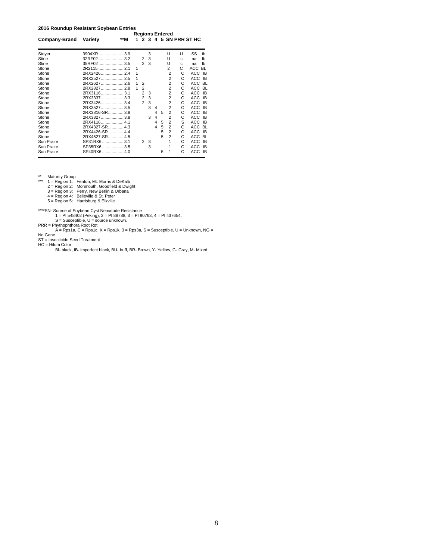**2016 Roundup Resistant Soybean Entries**

|               |                |     |   |                |   |   |   | <b>Regions Entered</b> |    |                      |           |
|---------------|----------------|-----|---|----------------|---|---|---|------------------------|----|----------------------|-----------|
| Company-Brand | Variety        | **M | 1 |                |   |   |   |                        |    | 2 3 4 5 SN PRR ST HC |           |
| Steyer        | 3904XR3.9      |     |   |                | 3 |   |   | U                      | U  | SS                   | ib        |
| Stine         | 32RF02  3.2    |     |   | 2              | 3 |   |   | U                      | C  | na                   | Ib        |
| Stine         | 35RF02  3.5    |     |   | $\mathfrak{p}$ | 3 |   |   | U                      | c. | na                   | lb        |
| Stone         |                |     | 1 |                |   |   |   | 2                      | Ċ  | <b>ACC</b>           | <b>BL</b> |
| Stone         | 2RX24262.4     |     |   |                |   |   |   | $\overline{2}$         | C  | ACC                  | IB        |
| Stone         | 2RX2527 2.5    |     | 1 |                |   |   |   | $\overline{2}$         | C  | <b>ACC</b>           | IB        |
| Stone         | 2RX26272.6     |     | 1 | $\overline{2}$ |   |   |   | $\overline{2}$         | C  | <b>ACC</b>           | <b>BL</b> |
| Stone         |                |     |   | $\overline{2}$ |   |   |   | $\overline{2}$         | C  | ACC                  | <b>BL</b> |
| Stone         | 2RX31163.1     |     |   | $\overline{2}$ | 3 |   |   | $\overline{2}$         | C  | ACC                  | IB        |
| Stone         | 2RX3337 3.3    |     |   | $\overline{2}$ | 3 |   |   | $\overline{2}$         | C  | ACC                  | IB        |
| Stone         | 2RX34263.4     |     |   | $\overline{2}$ | 3 |   |   | $\overline{2}$         | C  | ACC                  | IB        |
| Stone         | 2RX35273.5     |     |   |                | 3 | 4 |   | $\overline{2}$         | C  | ACC                  | IB        |
| Stone         | 2RX3816-SR3.8  |     |   |                |   | 4 | 5 | $\overline{2}$         | C  | ACC                  | IB        |
| Stone         | 2RX38273.8     |     |   |                | 3 | 4 |   | $\overline{2}$         | С  | ACC                  | IB        |
| Stone         | 2RX4116 4.1    |     |   |                |   | 4 | 5 | $\overline{2}$         | S  | <b>ACC</b>           | <b>IB</b> |
| Stone         | 2RX4327-SR 4.3 |     |   |                |   | 4 | 5 | $\overline{2}$         | C  | ACC                  | <b>BL</b> |
| Stone         | 2RX4426-SR4.4  |     |   |                |   |   | 5 | $\overline{2}$         | C  | ACC                  | <b>IB</b> |
| Stone         | 2RX4527-SR 4.5 |     |   |                |   |   | 5 | $\overline{2}$         | C  | ACC                  | <b>BL</b> |
| Sun Praire    | SP31RX6  3.1   |     |   | $\overline{2}$ | 3 |   |   | 1                      | C  | <b>ACC</b>           | IB        |
| Sun Praire    | SP35RX6  3.5   |     |   |                | 3 |   |   |                        | C  | ACC                  | IB        |
| Sun Praire    | SP40RX6  4.0   |     |   |                |   |   | 5 |                        | C  | ACC                  | IB        |

- \*\* Maturity Group<br>
1 = Region 1: Fenton, Mt. Morris & DeKalb<br>
2 = Region 2: Monmouth, Goodfield & Dwight<br>
3 = Region 3: Perry, New Berlin & Urbana<br>
4 = Region 4: Belleville & St. Peter<br>
5 = Region 5: Harrisburg & Elkville
	-
	-
	-

\*\*\*\*SN- Source of Soybean Cyst Nematode Resistance<br>
1 = PI 548402 (Peking), 2 = PI 83788, 3 = PI 90763, 4 = PI 437654,<br>
S = Susceptible, U = source unknown.<br>
PRR = Phythophthora Root Rot<br>
A = Rps1a, C = Rps1c, K = Rps1k, 3

- 
- -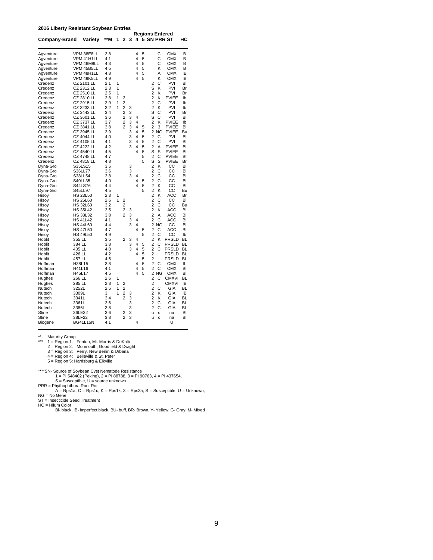**2016 Liberty Resistant Soybean Entries**

| טוש שו                |                   |            |   |                |        |        |        |                                                                           |
|-----------------------|-------------------|------------|---|----------------|--------|--------|--------|---------------------------------------------------------------------------|
| Company-Brand Variety |                   | **M        | 1 | $\overline{2}$ | 3      | 4      |        | <b>Regions Entered</b><br>5 SN PRR ST<br>нc                               |
| Aqventure             | VPM 38E8LL        | 3.8        |   |                |        | 4      | 5      | <b>CMX</b><br>C<br>B                                                      |
| Aqventure             | VPM 41H1LL        | 4.1        |   |                |        | 4      | 5      | C<br><b>CMX</b><br>B                                                      |
| Agventure             | VPM 46M8LL        | 4.3        |   |                |        | 4      | 5      | C<br>СМХ<br>В                                                             |
| Agventure             | VPM 45B5LL        | 4.5        |   |                |        | 4      | 5      | Κ<br>СМХ<br>В                                                             |
| Aqventure             | VPM 48H1LL        | 4.8        |   |                |        | 4      | 5      | A<br><b>CMX</b><br>IB                                                     |
| Agventure             | VPM 49K5LL        | 4.9        |   |                |        | 4      | 5      | K<br>CMX<br>ΙB                                                            |
| Credenz               | CZ 2101 LL        | 2.1        | 1 |                |        |        |        | C<br>PVI<br>BI<br>2                                                       |
| Credenz               | CZ 2312 LL        | 2.3        | 1 |                |        |        |        | K<br>PVI<br>S<br>Br                                                       |
| Credenz               | CZ 2510 LL        | 2.5        | 1 |                |        |        |        | $\overline{2}$<br>K<br>PVI<br>Br                                          |
| Credenz               | CZ 2810 LL        | 2.8        | 1 | 2              |        |        |        | $\overline{2}$<br>K<br><b>PVIEE</b><br>Ib                                 |
| Credenz               | CZ 2915 LL        | 2.9        | 1 | $\overline{c}$ |        |        |        | $\overline{2}$<br>C<br>PVI<br>Ib                                          |
| Credenz               | CZ 3233 LL        | 3.2        | 1 | $\overline{c}$ | 3      |        |        | $\overline{2}$<br>K<br>PVI<br>Ib                                          |
| Credenz               | CZ 3443 LL        | 3.4        |   | $\overline{2}$ | 3      |        |        | S<br>C<br>PVI<br>Br                                                       |
| Credenz               | CZ 3601 LL        | 3.6        |   | $\overline{c}$ | 3      | 4      |        | S<br>C<br>PVI<br>BI                                                       |
| Credenz               | CZ 3737 LL        | 3.7        |   | $\overline{c}$ | 3      | 4      |        | $\overline{2}$<br>K<br><b>PVIEE</b><br>Ib                                 |
| Credenz               | CZ 3841 LL        | 3.8        |   | $\overline{2}$ | 3      | 4      | 5      | $\overline{2}$<br>3<br><b>PVIEE</b><br>BI                                 |
| Credenz               | CZ 3945 LL        | 3.9        |   |                | 3      | 4      | 5      | $\overline{2}$<br>NG<br><b>PVIEE</b><br>Bu                                |
| Credenz               | <b>CZ 4044 LL</b> | 4.0        |   |                | 3      | 4      | 5      | $\overline{2}$<br>С<br>PVI<br>BI                                          |
| Credenz               | CZ 4105 LL        | 4.1        |   |                | 3      | 4      | 5      | $\overline{2}$<br>C<br><b>PVI</b><br>BI                                   |
| Credenz               | <b>CZ 4222 LL</b> | 4.2        |   |                | 3      | 4      | 5      | $\overline{2}$<br>A<br><b>PVIEE</b><br>BI                                 |
| Credenz               | <b>CZ 4540 LL</b> | 4.5        |   |                |        | 4      | 5      | S<br>S<br><b>PVIEE</b><br>BI                                              |
| Credenz               | CZ 4748 LL        | 4.7        |   |                |        |        | 5      | $\overline{2}$<br>C<br>PVIEE<br>BI                                        |
| Credenz               | CZ 4818 LL        | 4.8        |   |                |        |        | 5      | S<br>S<br><b>PVIEE</b><br>Br                                              |
| Dyna-Gro              | S35LS15           | 3.5        |   |                | 3      |        |        | $\overline{2}$<br>K<br>CC<br>BI                                           |
| Dyna-Gro              | S36LL77           | 3.6        |   |                | 3      |        |        | $\overline{c}$<br>C<br>CС<br>BI                                           |
| Dyna-Gro              | S38LL54           | 3.8        |   |                | 3      | 4      |        | $\overline{c}$<br>C<br>CС<br>BI                                           |
| Dyna-Gro              | S40LL35           | 4.0        |   |                |        | 4      | 5      | $\overline{2}$<br>C<br>CС<br>BI                                           |
| Dyna-Gro              | S44LS76           | 4.4        |   |                |        | 4      | 5      | $\overline{2}$<br>K<br>CС<br>BI                                           |
| Dyna-Gro              | S45LL97           | 4.5        |   |                |        |        | 5      | $\overline{2}$<br>K<br>CС<br>Bu                                           |
| Hisoy                 | <b>HS 23L50</b>   | 2.3        | 1 |                |        |        |        | $\overline{c}$<br>K<br>ACC<br>Br                                          |
| Hisoy                 | <b>HS 26L60</b>   | 2.6        | 1 | 2              |        |        |        | $\overline{2}$<br>С<br>CС<br>BI                                           |
| Hisoy                 | <b>HS 32L60</b>   | 3.2        |   | $\overline{2}$ |        |        |        | Ċ<br>$\overline{2}$<br>СC<br>Bu                                           |
| Hisoy                 | <b>HS 35L42</b>   | 3.5        |   | $\overline{c}$ | 3      |        |        | $\overline{2}$<br>K<br>ACC<br>BI                                          |
| Hisoy                 | <b>HS 38L32</b>   | 3.8        |   | $\overline{2}$ | 3      |        |        | $\overline{2}$<br>A<br><b>ACC</b><br>BI                                   |
| Hisoy                 | <b>HS 41L42</b>   | 4.1        |   |                | 3<br>3 | 4      |        | $\overline{2}$<br>C<br>ACC<br>BI                                          |
| Hisoy                 | <b>HS 44L60</b>   | 4.4        |   |                |        | 4<br>4 |        | $\overline{2}$<br><b>NG</b><br>CС<br>BI                                   |
| Hisoy                 | <b>HS 47L50</b>   | 4.7        |   |                |        |        | 5      | $\overline{2}$<br>С<br>ACC<br>BI                                          |
| Hisoy                 | <b>HS 49L50</b>   | 4.9        |   |                |        |        | 5      | $\overline{2}$<br>C<br>CС<br>Ib                                           |
| Hoblit<br>Hoblit      | 355 LL<br>384 LL  | 3.5<br>3.8 |   | $\overline{c}$ | 3<br>3 | 4<br>4 |        | $\overline{c}$<br>Κ<br>PRSLD<br><b>BL</b><br>2<br>C<br>PRSLD<br><b>BL</b> |
| Hoblit                | 405 LL            | 4.0        |   |                | 3      | 4      | 5<br>5 | $\overline{c}$<br>Ċ<br>PRSLD<br><b>BL</b>                                 |
| Hoblit                | 426 LL            | 4.2        |   |                |        | 4      | 5      | 2<br>PRSLD<br>ВL                                                          |
| Hoblit                | 457 LL            | 4.5        |   |                |        |        | 5      | $\overline{2}$<br>PRSLD<br><b>BL</b>                                      |
| Hoffman               | H38L15            | 3.8        |   |                |        | 4      | 5      | $\overline{2}$<br>C<br>CMX<br>IL                                          |
| Hoffman               | H41L16            | 4.1        |   |                |        | 4      | 5      | $\overline{2}$<br>C<br>CMX<br>BI                                          |
| Hoffman               | H45L17            | 4.5        |   |                |        | 4      | 5      | $\overline{2}$<br>ΝG<br>CMX<br>BI                                         |
| Hughes                | 266 LL            | 2.6        | 1 |                |        |        |        | $\overline{2}$<br>C<br><b>CMXVI</b><br><b>BL</b>                          |
| Hughes                | 285 LL            | 2.8        | 1 | 2              |        |        |        | $\overline{2}$<br><b>CMXVI</b><br>IB                                      |
| Nutech                | 3252L             | 2.5        | 1 | $\overline{c}$ |        |        |        | 2<br>C<br>GIA<br><b>BL</b>                                                |
| Nutech                | 3309L             | 3          | 1 | 2              | 3      |        |        | 2<br>Κ<br>GIA<br>IB                                                       |
| Nutech                | 3341L             | 3.4        |   | $\overline{2}$ | 3      |        |        | $\overline{2}$<br>ĸ<br>GIA<br><b>BL</b>                                   |
| Nutech                | 3361L             | 3.6        |   |                | 3      |        |        | $\overline{2}$<br>C<br><b>BL</b><br>GIA                                   |
| Nutech                | 3386L             | 3.8        |   |                | 3      |        |        | $\overline{2}$<br>C<br>GIA<br>ВL                                          |
| <b>Stine</b>          | 36LE32            | 3.6        |   | 2              | 3      |        |        | BI<br>u<br>c<br>na                                                        |
| Stine                 | 38LF22            | 3.8        |   | $\overline{2}$ | 3      |        |        | BI<br>ū<br>c<br>na                                                        |
| Biogene               | <b>BG41L15N</b>   | 4.1        |   |                |        | 4      |        | U                                                                         |
|                       |                   |            |   |                |        |        |        |                                                                           |

\*\* Maturity Group<br>
1 = Region 1: Fenton, Mt. Morris & DeKalb<br>
2 = Region 2: Monmouth, Goodfield & Dwight<br>
3 = Region 3: Perry, New Berlin & Urbana<br>
4 = Region 4: Belleville & St. Peter<br>
5 = Region 5: Harrisburg & Elkville

\*\*\*\*SN- Source of Soybean Cyst Nematode Resistance<br>1 = PI 548402 (Peking), 2 = PI 88788, 3 = PI 90763, 4 = PI 437654,<br>5 = Susceptible, U = source unknown.<br>PRR = Phythophthora Root Rot<br>A = Rps1a, C = Rps1c, K = Rps1k, 3 = R NG = No Gene

ST = Insecticide Seed Treatment HC = Hilum Color Bl- black, IB- imperfect black, BU- buff, BR- Brown, Y- Yellow, G- Gray, M- Mixed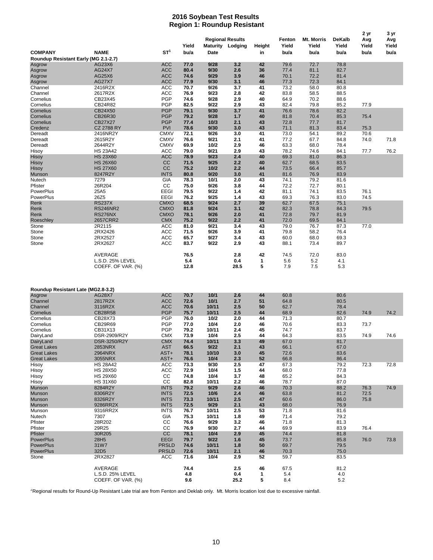#### **2016 Soybean Test Results Region 1: Roundup Resistant**

|                                      |                                    |                           |              | <b>Regional Results</b> |            |                    | Fenton       | <b>Mt. Morris</b> | <b>DeKalb</b> | 2 yr<br>Avg  | Avg   |
|--------------------------------------|------------------------------------|---------------------------|--------------|-------------------------|------------|--------------------|--------------|-------------------|---------------|--------------|-------|
|                                      |                                    |                           | Yield        | <b>Maturity Lodging</b> |            | Height             | Yield        | Yield             | Yield         | Yield        | Yield |
| <b>COMPANY</b>                       | <b>NAME</b>                        | ST <sup>1</sup>           | bu/a         | <b>Date</b>             |            | in                 | bu/a         | bu/a              | bu/a          | bu/a         | bu/a  |
| Roundup Resistant Early (MG 2.1-2.7) |                                    |                           |              |                         |            |                    |              |                   |               |              |       |
| Asgrow                               | AG23X6                             | <b>ACC</b>                | 77.0         | 9/28                    | 3.2        | 42                 | 79.6         | 72.7              | 78.8          |              |       |
| Asgrow                               | <b>AG24X7</b>                      | <b>ACC</b>                | 80.4         | 9/30                    | 2.6        | 36                 | 77.4         | 81.1              | 82.7          |              |       |
| Asgrow<br>Asgrow                     | AG25X6<br><b>AG27X7</b>            | <b>ACC</b><br><b>ACC</b>  | 74.6<br>77.9 | 9/29<br>9/30            | 3.9<br>3.1 | 46<br>46           | 70.1<br>77.3 | 72.2<br>72.3      | 81.4<br>84.1  |              |       |
| Channel                              | 2416R2X                            | ACC                       | 70.7         | 9/26                    | 3.7        | 41                 | 73.2         | 58.0              | 80.8          |              |       |
| Channel                              | 2617R2X                            | ACC                       | 76.9         | 9/23                    | 2.8        | 42                 | 83.8         | 58.5              | 88.5          |              |       |
| Cornelius                            | CB23X45                            | PGP                       | 74.6         | 9/28                    | 2.9        | 40                 | 64.9         | 70.2              | 88.6          |              |       |
| Cornelius                            | CB24R82                            | <b>PGP</b>                | 82.5         | 9/22                    | 2.9        | 43                 | 82.4         | 79.8              | 85.2          | 77.9         |       |
| Cornelius                            | CB24X50                            | <b>PGP</b>                | 79.1         | 9/30                    | 3.7        | 41                 | 76.6         | 78.6              | 82.2          |              |       |
| Cornelius                            | CB26R30                            | <b>PGP</b>                | 79.2         | 9/28                    | 1.7        | 40                 | 81.8         | 70.4              | 85.3          | 75.4         |       |
| Cornelius                            | <b>CB27X27</b>                     | <b>PGP</b>                | 77.4         | 10/3                    | 2.1        | 43                 | 72.8         | 77.7              | 81.7          |              |       |
| Credenz<br>Dereadt                   | <b>CZ 2788 RY</b>                  | <b>PVI</b><br><b>CMXV</b> | 78.6<br>72.1 | 9/30<br>9/26            | 3.0<br>3.0 | 43<br>41           | 71.1<br>73.0 | 81.3              | 83.4          | 75.3<br>70.6 |       |
| Dereadt                              | 2416NR2Y<br>2615R2Y                | <b>CMXV</b>               | 76.6         | 9/21                    | 2.1        | 41                 | 77.2         | 54.1<br>67.7      | 89.2<br>84.8  | 74.0         | 71.8  |
| Dereadt                              | 2644R2Y                            | <b>CMXV</b>               | 69.9         | 10/2                    | 2.9        | 46                 | 63.3         | 68.0              | 78.4          |              |       |
| Hisoy                                | <b>HS 23A42</b>                    | ACC                       | 79.0         | 9/21                    | 2.9        | 43                 | 78.2         | 74.6              | 84.1          | 77.7         | 76.2  |
| Hisoy                                | <b>HS 23X60</b>                    | <b>ACC</b>                | 78.9         | 9/23                    | 2.4        | 40                 | 69.3         | 81.0              | 86.3          |              |       |
| Hisoy                                | <b>HS 26X60</b>                    | CC                        | 71.5         | 9/25                    | 2.2        | 40                 | 62.7         | 68.5              | 83.5          |              |       |
| Hisoy                                | <b>HS 27X60</b>                    | CC                        | 75.2         | 10/2                    | 2.2        | 44                 | 73.5         | 66.4              | 85.7          |              |       |
| Munson                               | 8247R2Y                            | <b>INTS</b>               | 80.8         | 9/20                    | 3.0        | 41                 | 81.6         | 76.9              | 83.9          |              |       |
| Nutech                               | 7279                               | <b>GIA</b>                | 78.3         | 10/1                    | 2.0        | 43                 | 74.1         | 79.2              | 81.6          |              |       |
| Pfister                              | 26R204                             | CC                        | 75.0         | 9/26                    | 3.8        | 44                 | 72.2         | 72.7              | 80.1          |              |       |
| PowerPlus                            | 25A5<br>26Z5                       | EEGI<br><b>EEGI</b>       | 79.5<br>76.2 | 9/22<br>9/25            | 1.4<br>1.4 | 42                 | 81.1<br>69.3 | 74.1              | 83.5          | 76.1         |       |
| PowerPlus<br>Renk                    | <b>RS237X</b>                      | <b>CMXO</b>               | 68.5         | 9/24                    | 2.7        | 43<br>39           | 62.7         | 76.3<br>67.5      | 83.0<br>75.1  | 74.5         |       |
| Renk                                 | <b>RS246NR2</b>                    | <b>CMXO</b>               | 81.8         | 9/24                    | 3.1        | 42                 | 82.3         | 78.8              | 84.3          | 79.5         |       |
| Renk                                 | RS276NX                            | <b>CMXO</b>               | 78.1         | 9/26                    | 2.0        | 41                 | 72.8         | 79.7              | 81.9          |              |       |
| Roeschley                            | 2657CRR2                           | <b>CMX</b>                | 75.2         | 9/22                    | 2.2        | 41                 | 72.0         | 69.5              | 84.1          |              |       |
| Stone                                | 2R2115                             | <b>ACC</b>                | 81.0         | 9/21                    | 3.4        | 43                 | 79.0         | 76.7              | 87.3          | 77.0         |       |
| Stone                                | 2RX2426                            | <b>ACC</b>                | 71.5         | 9/26                    | 3.9        | 41                 | 79.8         | 58.2              | 76.4          |              |       |
| Stone                                | 2RX2527                            | ACC                       | 65.7         | 9/27                    | 3.4        | 43                 | 60.0         | 68.0              | 69.3          |              |       |
| Stone                                | 2RX2627                            | <b>ACC</b>                | 83.7         | 9/22                    | 2.9        | 43                 | 88.1         | 73.4              | 89.7          |              |       |
|                                      | AVERAGE                            |                           | 76.5         |                         | 2.8        | 42                 | 74.5         | 72.0              | 83.0          |              |       |
|                                      |                                    |                           |              |                         |            |                    |              |                   |               |              |       |
|                                      |                                    |                           |              |                         |            |                    |              |                   |               |              |       |
|                                      | L.S.D. 25% LEVEL                   |                           | 5.4          |                         | 0.4        | $\mathbf{1}$       | 5.6          | 5.2               | 4.1           |              |       |
|                                      | COEFF. OF VAR. (%)                 |                           | 12.8         |                         | 28.5       | 5                  | 7.9          | 7.5               | 5.3           |              |       |
|                                      |                                    |                           |              |                         |            |                    |              |                   |               |              |       |
|                                      |                                    |                           |              |                         |            |                    |              |                   |               |              |       |
| Roundup Resistant Late (MG2.8-3.2)   |                                    |                           |              |                         |            |                    |              |                   |               |              |       |
| Asgrow                               | AG28X7                             | <b>ACC</b>                | 70.7         | 10/1                    | 2.6        | 44                 | 60.8         |                   | 80.6          |              |       |
| Channel                              | 2817R2X                            | <b>ACC</b>                | 72.6         | 10/1                    | 2.7        | 51                 | 64.8         |                   | 80.5          |              |       |
| Channel                              | 3116R2X                            | <b>ACC</b>                | 70.6         | 10/11                   | 2.5        | 50                 | 62.7         |                   | 78.4          |              |       |
| Cornelius                            | <b>CB28R58</b>                     | <b>PGP</b>                | 75.7         | 10/11                   | 2.5        | 44                 | 68.9         |                   | 82.6          | 74.9         | 74.2  |
| Cornelius<br>Cornelius               | CB28X73<br>CB29R69                 | <b>PGP</b><br><b>PGP</b>  | 76.0<br>77.0 | 10/2<br>10/4            | 2.0<br>2.0 | 44<br>46           | 71.3<br>70.6 |                   | 80.7<br>83.3  | 73.7         |       |
| Cornelius                            | CB31X13                            | <b>PGP</b>                | 79.2         | 10/11                   | 2.4        | 45                 | 74.7         |                   | 83.7          |              |       |
| DairyLand                            | DSR-2909/R2Y                       | <b>CMX</b>                | 73.9         | 10/4                    | 2.5        | 44                 | 64.3         |                   | 83.5          | 74.9         | 74.6  |
| DairyLand                            | DSR-3250/R2Y                       | <b>CMX</b>                | 74.4         | 10/11                   | 3.3        | 49                 | 67.0         |                   | 81.7          |              |       |
| <b>Great Lakes</b>                   | 2853NRX                            | <b>AST</b>                | 66.5         | 9/22                    | 2.1        | 43                 | 66.1         |                   | 67.0          |              |       |
| <b>Great Lakes</b>                   | 2964NRX                            | AST+                      | 78.1         | 10/10                   | 3.0        | 45                 | 72.6         |                   | 83.6          |              |       |
| <b>Great Lakes</b>                   | 3055NRX                            | AST+                      | 76.6         | 10/4                    | 2.3        | 52                 | 66.8         |                   | 86.4          |              |       |
| Hisoy                                | <b>HS 28A42</b>                    | <b>ACC</b>                | 73.3         | 9/30                    | 2.5        | 47                 | 67.3         |                   | 79.2          | 72.3         | 72.8  |
| Hisoy                                | <b>HS 28X50</b>                    | <b>ACC</b>                | 72.9         | 10/4                    | 1.5        | 44                 | 68.0         |                   | 77.8          |              |       |
| Hisoy                                | <b>HS 29X60</b><br><b>HS 31X60</b> | CC<br>cc                  | 74.8         | 10/4<br>10/11           | 3.7<br>2.2 | 48<br>46           | 65.2<br>78.7 |                   | 84.3          |              |       |
| Hisoy<br>Munson                      | 8284R2Y                            | <b>INTS</b>               | 82.8<br>79.2 | 9/29                    | 2.6        | 46                 | 70.3         |                   | 87.0<br>88.2  | 76.3         | 74.9  |
| Munson                               | 8306R2Y                            | <b>INTS</b>               | 72.5         | 10/6                    | 2.4        | 46                 | 63.8         |                   | 81.2          | 72.5         |       |
| Munson                               | 8326R2Y                            | <b>INTS</b>               | 73.3         | 10/11                   | 2.5        | 47                 | 60.6         |                   | 86.0          | 75.8         |       |
| Munson                               | 9286RR2X                           | <b>INTS</b>               | 72.5         | 9/29                    | 2.1        | 43                 | 68.0         |                   | 76.9          |              |       |
| Munson                               | 9316RR2X                           | <b>INTS</b>               | 76.7         | 10/11                   | 2.5        | 53                 | 71.8         |                   | 81.6          |              |       |
| Nutech                               | 7307                               | GIA                       | 75.3         | 10/11                   | 1.8        | 49                 | 71.4         |                   | 79.2          |              |       |
| Pfister                              | 28R202                             | CC                        | 76.6         | 9/29                    | 3.2        | 46                 | 71.8         |                   | 81.3          |              |       |
| Pfister                              | 29R25                              | CC                        | 76.9         | 9/30                    | 2.7        | 44                 | 69.9         |                   | 83.9          | 76.4         |       |
| Pfister<br>PowerPlus                 | 30R205<br>28H <sub>5</sub>         | CC<br><b>EEGI</b>         | 78.1<br>79.7 | 10/4<br>9/22            | 2.9<br>1.6 | 45<br>45           | 74.4<br>73.7 |                   | 81.8<br>85.8  | 76.0         | 73.8  |
| <b>PowerPlus</b>                     | 31W7                               | <b>PRSLD</b>              | 74.6         | 10/11                   | 1.8        | 50                 | 69.7         |                   | 79.5          |              |       |
| <b>PowerPlus</b>                     | 32D <sub>5</sub>                   | <b>PRSLD</b>              | 72.6         | 10/11                   | 2.1        | 46                 | 70.3         |                   | 75.0          |              |       |
| Stone                                | 2RX2827                            | ACC                       | 71.6         | 10/4                    | 2.9        | 52                 | 59.7         |                   | 83.5          |              |       |
|                                      |                                    |                           |              |                         |            |                    |              |                   |               |              |       |
|                                      | AVERAGE<br>L.S.D. 25% LEVEL        |                           | 74.4<br>4.8  |                         | 2.5<br>0.4 | 46<br>$\mathbf{1}$ | 67.5<br>5.4  |                   | 81.2<br>4.0   |              |       |

<sup>2</sup>Regional results for Round-Up Resistant Late trial are from Fenton and Deklab only. Mt. Morris location lost due to excessive rainfall.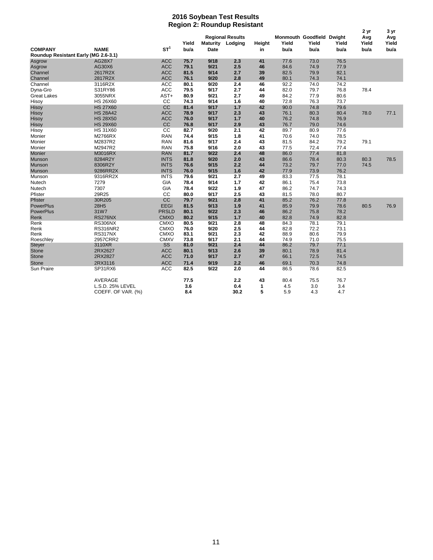#### **2016 Soybean Test Results Region 2: Roundup Resistant**

|                                                        |                    |                 |               |             |                                             |              |                                            |               | 2 yr          | 3 yr                 |                      |
|--------------------------------------------------------|--------------------|-----------------|---------------|-------------|---------------------------------------------|--------------|--------------------------------------------|---------------|---------------|----------------------|----------------------|
| <b>COMPANY</b><br>Roundup Resistant Early (MG 2.6-3.1) | <b>NAME</b>        | ST <sup>1</sup> | Yield<br>bu/a | <b>Date</b> | <b>Regional Results</b><br>Maturity Lodging | Height<br>in | Monmouth Goodfield Dwight<br>Yield<br>bu/a | Yield<br>bu/a | Yield<br>bu/a | Avg<br>Yield<br>bu/a | Avg<br>Yield<br>bu/a |
|                                                        | <b>AG28X7</b>      | <b>ACC</b>      | 75.7          | 9/18        | 2.3                                         | 41           | 77.6                                       | 73.0          | 76.5          |                      |                      |
| Asgrow                                                 | AG30X6             | <b>ACC</b>      | 79.1          | 9/21        | 2.5                                         | 46           | 84.6                                       | 74.9          | 77.9          |                      |                      |
| Asgrow<br>Channel                                      | 2617R2X            | <b>ACC</b>      | 81.5          | 9/14        | 2.7                                         | 39           | 82.5                                       | 79.9          | 82.1          |                      |                      |
| Channel                                                | 2817R2X            | <b>ACC</b>      | 76.1          | 9/20        | 2.8                                         | 49           | 80.1                                       | 74.3          | 74.1          |                      |                      |
| Channel                                                | 3116R2X            | <b>ACC</b>      | 80.1          | 9/20        | 2.4                                         | 46           | 92.2                                       | 74.0          | 74.2          |                      |                      |
|                                                        |                    | ACC             |               |             |                                             |              |                                            |               |               | 78.4                 |                      |
| Dyna-Gro                                               | S31RY86            |                 | 79.5          | 9/17        | 2.7<br>2.7                                  | 44           | 82.0                                       | 79.7          | 76.8          |                      |                      |
| <b>Great Lakes</b>                                     | 3055NRX            | AST+            | 80.9<br>74.3  | 9/21        | 1.6                                         | 49           | 84.2                                       | 77.9          | 80.6          |                      |                      |
| Hisoy                                                  | <b>HS 26X60</b>    | cc              |               | 9/14        |                                             | 40           | 72.8                                       | 76.3          | 73.7          |                      |                      |
| Hisoy                                                  | <b>HS 27X60</b>    | CC              | 81.4          | 9/17        | 1.7                                         | 42           | 90.0                                       | 74.8          | 79.6          |                      |                      |
| Hisoy                                                  | <b>HS 28A42</b>    | <b>ACC</b>      | 78.9          | 9/17        | 2.3                                         | 43           | 76.1                                       | 80.3          | 80.4          | 78.0                 | 77.1                 |
| Hisoy                                                  | <b>HS 28X50</b>    | <b>ACC</b>      | 76.0          | 9/17        | 1.7                                         | 40           | 76.2                                       | 74.8          | 76.9          |                      |                      |
| Hisoy                                                  | <b>HS 29X60</b>    | CC              | 76.8          | 9/17        | 2.9                                         | 43           | 76.7                                       | 79.0          | 74.6          |                      |                      |
| Hisoy                                                  | <b>HS 31X60</b>    | cc              | 82.7          | 9/20        | 2.1                                         | 42           | 89.7                                       | 80.9          | 77.6          |                      |                      |
| Monier                                                 | M2766RX            | <b>RAN</b>      | 74.4          | 9/15        | 1.8                                         | 41           | 70.6                                       | 74.0          | 78.5          |                      |                      |
| Monier                                                 | M2837R2            | <b>RAN</b>      | 81.6          | 9/17        | 2.4                                         | 43           | 81.5                                       | 84.2          | 79.2          | 79.1                 |                      |
| Monier                                                 | M2947R2            | <b>RAN</b>      | 75.8          | 9/16        | 2.0                                         | 43           | 77.5                                       | 72.4          | 77.4          |                      |                      |
| Monier                                                 | M3016RX            | <b>RAN</b>      | 81.7          | 9/22        | 2.4                                         | 48           | 86.0                                       | 77.4          | 81.8          |                      |                      |
| Munson                                                 | 8284R2Y            | <b>INTS</b>     | 81.8          | 9/20        | 2.0                                         | 43           | 86.6                                       | 78.4          | 80.3          | 80.3                 | 78.5                 |
| Munson                                                 | 8306R2Y            | <b>INTS</b>     | 76.6          | 9/15        | 2.2                                         | 44           | 73.2                                       | 79.7          | 77.0          | 74.5                 |                      |
| Munson                                                 | 9286RR2X           | <b>INTS</b>     | 76.0          | 9/15        | 1.6                                         | 42           | 77.9                                       | 73.9          | 76.2          |                      |                      |
| Munson                                                 | 9316RR2X           | <b>INTS</b>     | 79.6          | 9/21        | 2.7                                         | 49           | 83.3                                       | 77.5          | 78.1          |                      |                      |
| Nutech                                                 | 7279               | GIA             | 78.4          | 9/14        | 1.7                                         | 42           | 86.1                                       | 75.4          | 73.8          |                      |                      |
| Nutech                                                 | 7307               | GIA             | 78.4          | 9/22        | 1.9                                         | 47           | 86.2                                       | 74.7          | 74.3          |                      |                      |
| Pfister                                                | 29R25              | cc              | 80.0          | 9/17        | 2.5                                         | 43           | 81.5                                       | 78.0          | 80.7          |                      |                      |
| Pfister                                                | 30R205             | CC              | 79.7          | 9/21        | 2.8                                         | 41           | 85.2                                       | 76.2          | 77.8          |                      |                      |
| <b>PowerPlus</b>                                       | 28H <sub>5</sub>   | <b>EEGI</b>     | 81.5          | 9/13        | 1.9                                         | 41           | 85.9                                       | 79.9          | 78.6          | 80.5                 | 76.9                 |
| <b>PowerPlus</b>                                       | 31W7               | <b>PRSLD</b>    | 80.1          | 9/22        | 2.3                                         | 46           | 86.2                                       | 75.8          | 78.2          |                      |                      |
| Renk                                                   | RS276NX            | <b>CMXO</b>     | 80.2          | 9/15        | 1.7                                         | 40           | 82.8                                       | 74.9          | 82.8          |                      |                      |
| Renk                                                   | <b>RS306NX</b>     | <b>CMXO</b>     | 80.5          | 9/21        | 2.8                                         | 48           | 84.3                                       | 78.1          | 79.1          |                      |                      |
| Renk                                                   | <b>RS316NR2</b>    | <b>CMXO</b>     | 76.0          | 9/20        | 2.5                                         | 44           | 82.8                                       | 72.2          | 73.1          |                      |                      |
| Renk                                                   | <b>RS317NX</b>     | <b>CMXO</b>     | 83.1          | 9/21        | 2.3                                         | 42           | 88.9                                       | 80.6          | 79.9          |                      |                      |
| Roeschley                                              | 2957CRR2           | <b>CMXV</b>     | 73.8          | 9/17        | 2.1                                         | 44           | 74.9                                       | 71.0          | 75.5          |                      |                      |
| <b>Steyer</b>                                          | 3110XR             | SS              | 81.0          | 9/21        | 2.4                                         | 44           | 86.2                                       | 79.7          | 77.1          |                      |                      |
| Stone                                                  | 2RX2627            | <b>ACC</b>      | 80.1          | 9/13        | 2.6                                         | 39           | 80.1                                       | 78.9          | 81.4          |                      |                      |
| <b>Stone</b>                                           | 2RX2827            | <b>ACC</b>      | 71.0          | 9/17        | 2.7                                         | 47           | 66.1                                       | 72.5          | 74.5          |                      |                      |
| Stone                                                  | 2RX3116            | <b>ACC</b>      | 71.4          | 9/19        | 2.2                                         | 46           | 69.1                                       | 70.3          | 74.8          |                      |                      |
| <b>Sun Praire</b>                                      | SP31RX6            | <b>ACC</b>      | 82.5          | 9/22        | 2.0                                         | 44           | 86.5                                       | 78.6          | 82.5          |                      |                      |
|                                                        | AVERAGE            |                 | 77.5          |             | 2.2                                         | 43           | 80.4                                       | 75.5          | 76.7          |                      |                      |
|                                                        | L.S.D. 25% LEVEL   |                 | 3.6           |             | 0.4                                         | 1            | 4.5                                        | 3.0           | 3.4           |                      |                      |
|                                                        | COEFF. OF VAR. (%) |                 | 8.4           |             | 30.2                                        | 5            | 5.9                                        | 4.3           | 4.7           |                      |                      |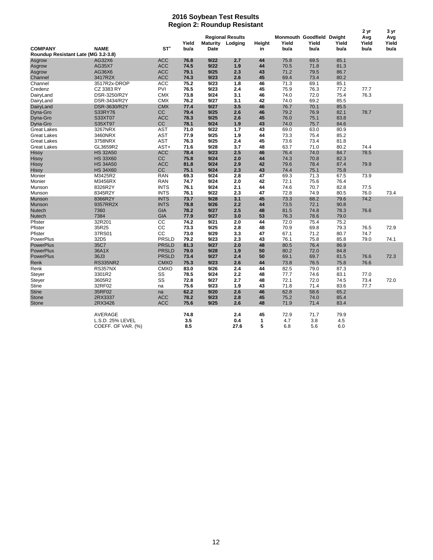#### **2016 Soybean Test Results Region 2: Roundup Resistant**

|                                     |                    |              |       |                 |                         |        |                           |       |       | 2 yr  | 3 yr  |
|-------------------------------------|--------------------|--------------|-------|-----------------|-------------------------|--------|---------------------------|-------|-------|-------|-------|
|                                     |                    |              |       |                 | <b>Regional Results</b> |        | Monmouth Goodfield Dwight |       |       | Avg   | Avg   |
|                                     |                    |              | Yield | <b>Maturity</b> | Lodging                 | Height | Yield                     | Yield | Yield | Yield | Yield |
| <b>COMPANY</b>                      | <b>NAME</b>        | ST'          | bu/a  | <b>Date</b>     |                         | in     | bu/a                      | bu/a  | bu/a  | bu/a  | bu/a  |
| Roundup Resistant Late (MG 3.2-3.8) |                    |              |       |                 |                         |        |                           |       |       |       |       |
| Asgrow                              | AG32X6             | <b>ACC</b>   | 76.8  | 9/22            | 2.7                     | 44     | 75.8                      | 69.5  | 85.1  |       |       |
| Asgrow                              | AG35X7             | <b>ACC</b>   | 74.5  | 9/22            | 1.9                     | 44     | 70.5                      | 71.8  | 81.3  |       |       |
| Asgrow                              | AG36X6             | <b>ACC</b>   | 79.1  | 9/25            | 2.3                     | 43     | 71.2                      | 79.5  | 86.7  |       |       |
| Channel                             | 3417R2X            | <b>ACC</b>   | 74.3  | 9/23            | 2.6                     | 45     | 69.4                      | 73.4  | 80.2  |       |       |
| Channel                             | 3517R2x-DROP       | <b>ACC</b>   | 75.2  | 9/23            | 1.8                     | 46     | 71.3                      | 69.1  | 85.1  |       |       |
| Credenz                             | CZ 3383 RY         | PVI          | 76.5  | 9/23            | 2.4                     | 45     | 75.9                      | 76.3  | 77.2  | 77.7  |       |
| DairyLand                           | DSR-3250/R2Y       | <b>CMX</b>   | 73.8  | 9/24            | 3.1                     | 46     | 74.0                      | 72.0  | 75.4  | 76.3  |       |
| DairyLand                           | DSR-3434/R2Y       | <b>CMX</b>   | 76.2  | 9/27            | 3.1                     | 42     | 74.0                      | 69.2  | 85.5  |       |       |
| DairyLand                           | DSR-3630/R2Y       | <b>CMX</b>   | 77.4  | 9/27            | 3.5                     | 46     | 76.7                      | 70.1  | 85.5  |       |       |
| Dyna-Gro                            | S33RY76            | CC           | 79.4  | 9/25            | 2.6                     | 46     | 79.2                      | 76.9  | 82.1  | 78.7  |       |
| Dyna-Gro                            | S33XT07            | <b>ACC</b>   | 78.3  | 9/25            | 2.6                     | 45     | 76.0                      | 75.1  | 83.8  |       |       |
| Dyna-Gro                            | S35XT97            | <b>CC</b>    | 78.1  | 9/24            | 1.9                     | 43     | 74.0                      | 75.7  | 84.6  |       |       |
| <b>Great Lakes</b>                  | 3267NRX            | <b>AST</b>   | 71.0  | 9/22            | 1.7                     | 43     | 69.0                      | 63.0  | 80.9  |       |       |
| <b>Great Lakes</b>                  | 3460NRX            | <b>AST</b>   | 77.9  | 9/25            | 1.9                     | 44     | 73.3                      | 75.4  | 85.2  |       |       |
| <b>Great Lakes</b>                  | 3758NRX            | <b>AST</b>   | 76.3  | 9/25            | 2.4                     | 45     | 73.6                      | 73.4  | 81.8  |       |       |
| <b>Great Lakes</b>                  | GL3659R2           | AST+         | 71.6  | 9/28            | 3.7                     | 48     | 63.7                      | 71.0  | 80.2  | 74.4  |       |
| Hisoy                               | <b>HS 32A50</b>    | <b>ACC</b>   | 78.4  | 9/23            | 2.5                     | 46     | 76.4                      | 74.0  | 84.7  | 78.5  |       |
| Hisoy                               | <b>HS 33X60</b>    | CC           | 75.8  | 9/24            | 2.0                     | 44     | 74.3                      | 70.8  | 82.3  |       |       |
| Hisoy                               | <b>HS 34A50</b>    | <b>ACC</b>   | 81.8  | 9/24            | 2.9                     | 42     | 79.6                      | 78.4  | 87.4  | 79.9  |       |
| Hisoy                               | <b>HS 34X60</b>    | cc           | 75.1  | 9/24            | 2.3                     | 43     | 74.4                      | 75.1  | 75.8  |       |       |
| Monier                              | M3425R2            | <b>RAN</b>   | 69.3  | 9/24            | 2.8                     | 47     | 69.3                      | 71.3  | 67.5  | 73.9  |       |
| Monier                              | M3456RX            | <b>RAN</b>   | 74.7  | 9/24            | 2.0                     | 42     | 72.1                      | 75.6  | 76.4  |       |       |
| Munson                              | 8326R2Y            | <b>INTS</b>  | 76.1  | 9/24            | 2.1                     | 44     | 74.6                      | 70.7  | 82.8  | 77.5  |       |
| Munson                              | 8345R2Y            | <b>INTS</b>  | 76.1  | 9/22            | 2.3                     | 47     | 72.8                      | 74.9  | 80.5  | 76.0  | 73.4  |
| Munson                              | 8366R2Y            | <b>INTS</b>  | 73.7  | 9/28            | 3.1                     | 45     | 73.3                      | 68.2  | 79.6  | 74.2  |       |
| Munson                              | 9357RR2X           | <b>INTS</b>  | 78.8  | 9/26            | 2.2                     | 44     | 73.5                      | 72.1  | 90.8  |       |       |
| Nutech                              | 7360               | <b>GIA</b>   | 78.2  | 9/27            | 2.5                     | 48     | 81.5                      | 74.8  | 78.3  | 76.6  |       |
| Nutech                              | 7384               | <b>GIA</b>   | 77.9  | 9/27            | 3.0                     | 53     | 76.3                      | 78.6  | 79.0  |       |       |
| Pfister                             | 32R201             | cc           | 74.2  | 9/21            | 2.0                     | 44     | 72.0                      | 75.4  | 75.2  |       |       |
| Pfister                             | 35R25              | CС           | 73.3  | 9/25            | 2.8                     | 48     | 70.9                      | 69.8  | 79.3  | 76.5  | 72.9  |
| Pfister                             | 37RS01             | cc           | 73.0  | 9/29            | 3.3                     | 47     | 67.1                      | 71.2  | 80.7  | 74.7  |       |
| PowerPlus                           | 32D <sub>5</sub>   | PRSLD        | 79.2  | 9/23            | 2.3                     | 43     | 76.1                      | 75.8  | 85.8  | 79.0  | 74.1  |
| <b>PowerPlus</b>                    | 35C7               | <b>PRSLD</b> | 81.3  | 9/27            | 2.0                     | 48     | 80.5                      | 76.4  | 86.9  |       |       |
| <b>PowerPlus</b>                    | 36A1X              | <b>PRSLD</b> | 79.0  | 9/28            | 1.9                     | 50     | 80.2                      | 72.0  | 84.8  |       |       |
| <b>PowerPlus</b>                    | 36J3               | <b>PRSLD</b> | 73.4  | 9/27            | 2.4                     | 50     | 69.1                      | 69.7  | 81.5  | 76.6  | 72.3  |
| Renk                                | <b>RS335NR2</b>    | <b>CMXO</b>  | 75.3  | 9/23            | 2.6                     | 44     | 73.8                      | 76.5  | 75.8  | 76.6  |       |
| Renk                                | <b>RS357NX</b>     | <b>CMXO</b>  | 83.0  | 9/26            | 2.4                     | 44     | 82.5                      | 79.0  | 87.3  |       |       |
| Steyer                              | 3301R2             | SS           | 78.5  | 9/24            | 2.2                     | 48     | 77.7                      | 74.6  | 83.1  | 77.0  |       |
| Steyer                              | 3605R2             | SS           | 72.8  | 9/27            | 2.7                     | 48     | 72.1                      | 72.0  | 74.5  | 73.4  | 72.0  |
| <b>Stine</b>                        | 32RF02             | na           | 75.6  | 9/23            | 1.9                     | 43     | 71.8                      | 71.4  | 83.6  | 77.7  |       |
| <b>Stine</b>                        | 35RF02             | na           | 62.2  | 9/20            | 2.6                     | 46     | 62.8                      | 58.6  | 65.2  |       |       |
| <b>Stone</b>                        | 2RX3337            | <b>ACC</b>   | 78.2  | 9/23            | 2.8                     | 45     | 75.2                      | 74.0  | 85.4  |       |       |
| <b>Stone</b>                        | 2RX3426            | <b>ACC</b>   | 75.6  | 9/25            | 2.6                     | 48     | 71.9                      | 71.4  | 83.4  |       |       |
|                                     |                    |              |       |                 |                         |        |                           |       |       |       |       |
|                                     | <b>AVERAGE</b>     |              | 74.8  |                 | 2.4                     | 45     | 72.9                      | 71.7  | 79.9  |       |       |
|                                     | L.S.D. 25% LEVEL   |              | 3.5   |                 | 0.4                     | 1      | 4.7                       | 3.8   | 4.5   |       |       |
|                                     | COEFF. OF VAR. (%) |              | 8.5   |                 | 27.6                    | 5      | 6.8                       | 5.6   | 6.0   |       |       |
|                                     |                    |              |       |                 |                         |        |                           |       |       |       |       |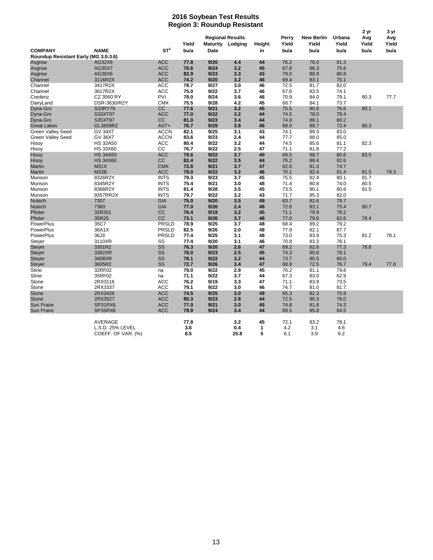#### **2016 Soybean Test Results Region 3: Roundup Resistant**

| 2 yr<br><b>Regional Results</b><br>Perry<br><b>New Berlin</b><br>Urbana<br>Avg<br>Yield<br>Yield<br>Yield<br>Yield<br>Yield<br><b>Maturity Lodging</b><br>Height<br>ST <sup>1</sup><br><b>NAME</b><br><b>COMPANY</b><br>bu/a<br>bu/a<br>bu/a<br>bu/a<br>bu/a<br>Date<br>in<br>Roundup Resistant Early (MG 3.0-3.6)<br>44<br>76.2<br>AG32X6<br><b>ACC</b><br>77.8<br>9/20<br>4.4<br>76.0<br>81.3<br>Asgrow<br><b>ACC</b><br>9/24<br>45<br>67.8<br>75.6<br>AG35X7<br>76.6<br>3.2<br>86.3<br>Asgrow<br>AG36X6<br><b>ACC</b><br>82.9<br>9/23<br>3.3<br>43<br>79.0<br>88.9<br>80.8<br>Asgrow | 3 yr<br>Avg<br>Yield<br>bu/a |
|-----------------------------------------------------------------------------------------------------------------------------------------------------------------------------------------------------------------------------------------------------------------------------------------------------------------------------------------------------------------------------------------------------------------------------------------------------------------------------------------------------------------------------------------------------------------------------------------|------------------------------|
|                                                                                                                                                                                                                                                                                                                                                                                                                                                                                                                                                                                         |                              |
|                                                                                                                                                                                                                                                                                                                                                                                                                                                                                                                                                                                         |                              |
|                                                                                                                                                                                                                                                                                                                                                                                                                                                                                                                                                                                         |                              |
|                                                                                                                                                                                                                                                                                                                                                                                                                                                                                                                                                                                         |                              |
| 3116R2X<br><b>ACC</b><br>74.2<br>9/20<br>3.2<br>46<br>69.4<br>83.1<br>70.1<br>Channel                                                                                                                                                                                                                                                                                                                                                                                                                                                                                                   |                              |
| ACC<br>78.7<br>9/27<br>72.5<br>82.0<br>Channel<br>3417R2X<br>3.0<br>46<br>81.7                                                                                                                                                                                                                                                                                                                                                                                                                                                                                                          |                              |
| <b>ACC</b><br>3617R2X<br>75.0<br>9/22<br>3.7<br>46<br>67.6<br>83.5<br>74.1<br>Channel                                                                                                                                                                                                                                                                                                                                                                                                                                                                                                   |                              |
| PVI<br>CZ 3560 RY<br>78.0<br>9/24<br>3.6<br>70.9<br>84.0<br>79.1<br>80.3<br>Credenz<br>46                                                                                                                                                                                                                                                                                                                                                                                                                                                                                               | 77.7                         |
| <b>CMX</b><br>9/28<br>68.7<br>DairyLand<br>DSR-3630/R2Y<br>75.5<br>4.2<br>45<br>84.1<br>73.7                                                                                                                                                                                                                                                                                                                                                                                                                                                                                            |                              |
| 3.2<br>45<br>80.1<br>Dyna-Gro<br>S33RY76<br>CС<br>77.6<br>9/21<br>75.5<br>80.6<br>76.6                                                                                                                                                                                                                                                                                                                                                                                                                                                                                                  |                              |
| <b>ACC</b><br>9/22<br>S33XT07<br>77.0<br>3.2<br>44<br>74.5<br>78.0<br>78.4<br>Dyna-Gro                                                                                                                                                                                                                                                                                                                                                                                                                                                                                                  |                              |
| <b>CC</b><br>74.9<br>Dyna-Gro<br>S35XT97<br>81.0<br>9/23<br>3.4<br>44<br>88.1<br>80.2                                                                                                                                                                                                                                                                                                                                                                                                                                                                                                   |                              |
| AST+<br>76.7<br>9/29<br>3.8<br>68.0<br>89.7<br>72.4<br>80.3<br><b>Great Lakes</b><br>GL3659R2<br>46                                                                                                                                                                                                                                                                                                                                                                                                                                                                                     |                              |
| Green Valley Seed<br>GV 34X7<br><b>ACCN</b><br>82.1<br>9/25<br>3.1<br>43<br>74.1<br>89.3<br>83.0                                                                                                                                                                                                                                                                                                                                                                                                                                                                                        |                              |
| <b>ACCN</b><br>2.4<br><b>Green Valley Seed</b><br>GV 36X7<br>83.6<br>9/23<br>44<br>77.7<br>88.0<br>85.0                                                                                                                                                                                                                                                                                                                                                                                                                                                                                 |                              |
| ACC<br>9/22<br>82.3<br><b>HS 32A50</b><br>80.4<br>3.2<br>44<br>74.5<br>85.6<br>81.1<br>Hisoy                                                                                                                                                                                                                                                                                                                                                                                                                                                                                            |                              |
| <b>HS 33X60</b><br>СC<br>2.5<br>76.7<br>9/22<br>47<br>71.1<br>81.8<br>77.2<br>Hisoy                                                                                                                                                                                                                                                                                                                                                                                                                                                                                                     |                              |
| <b>ACC</b><br>9/22<br>3.7<br>69.5<br><b>HS 34A50</b><br>79.6<br>40<br>88.7<br>80.6<br>83.5<br>Hisoy                                                                                                                                                                                                                                                                                                                                                                                                                                                                                     |                              |
| cc<br>82.4<br>9/22<br>Hisoy<br><b>HS 34X60</b><br>3.5<br>44<br>76.2<br>88.4<br>82.6                                                                                                                                                                                                                                                                                                                                                                                                                                                                                                     |                              |
| <b>M31X</b><br><b>CMX</b><br>72.8<br>9/21<br>3.7<br>47<br>62.6<br>Martin<br>81.0<br>74.7                                                                                                                                                                                                                                                                                                                                                                                                                                                                                                |                              |
| <b>M33B</b><br><b>ACC</b><br>9/22<br>78.0<br>3.2<br>46<br>70.1<br>82.4<br>81.4<br>81.5<br>Martin                                                                                                                                                                                                                                                                                                                                                                                                                                                                                        | 79.3                         |
| 81.7<br>8326R2Y<br><b>INTS</b><br>79.3<br>9/23<br>3.7<br>45<br>75.5<br>82.4<br>80.1<br>Munson                                                                                                                                                                                                                                                                                                                                                                                                                                                                                           |                              |
| 8345R2Y<br><b>INTS</b><br>75.4<br>9/21<br>3.0<br>71.4<br>74.0<br>80.5<br>48<br>80.8<br>Munson                                                                                                                                                                                                                                                                                                                                                                                                                                                                                           |                              |
| <b>INTS</b><br>81.4<br>9/28<br>3.5<br>45<br>73.5<br>90.1<br>80.6<br>81.5<br>8366R2Y<br>Munson                                                                                                                                                                                                                                                                                                                                                                                                                                                                                           |                              |
| 9357RR2X<br><b>INTS</b><br>79.7<br>9/22<br>3.2<br>43<br>71.7<br>85.3<br>82.0<br>Munson                                                                                                                                                                                                                                                                                                                                                                                                                                                                                                  |                              |
| <b>GIA</b><br>9/20<br>3.5<br>49<br>63.7<br>7307<br>75.0<br>82.6<br>78.7<br><b>Nutech</b>                                                                                                                                                                                                                                                                                                                                                                                                                                                                                                |                              |
| 7360<br><b>GIA</b><br>9/26<br>2.4<br>48<br>72.6<br>75.4<br>80.7<br>Nutech<br>77.0<br>83.1                                                                                                                                                                                                                                                                                                                                                                                                                                                                                               |                              |
| 32R201<br>cc<br>76.4<br>9/19<br>3.2<br>45<br>71.1<br>79.9<br>78.2<br><b>Pfister</b>                                                                                                                                                                                                                                                                                                                                                                                                                                                                                                     |                              |
| CC<br>35R25<br>73.1<br>9/26<br>3.7<br>48<br>77.0<br>79.6<br>62.6<br>78.4<br>Pfister                                                                                                                                                                                                                                                                                                                                                                                                                                                                                                     |                              |
| 35C7<br>PRSLD<br>9/25<br>48<br>68.4<br>79.2<br><b>PowerPlus</b><br>78.9<br>3.7<br>89.2                                                                                                                                                                                                                                                                                                                                                                                                                                                                                                  |                              |
| PowerPlus<br>36A1X<br><b>PRSLD</b><br>82.5<br>9/26<br>2.0<br>48<br>77.9<br>82.1<br>87.7                                                                                                                                                                                                                                                                                                                                                                                                                                                                                                 |                              |
| 36J3<br><b>PRSLD</b><br>77.4<br>9/25<br>3.1<br>73.0<br>81.2<br>PowerPlus<br>48<br>83.9<br>75.3                                                                                                                                                                                                                                                                                                                                                                                                                                                                                          | 78.1                         |
| 3110XR<br>SS<br>77.4<br>9/20<br>3.1<br>46<br>70.8<br>83.3<br>78.1<br>Steyer                                                                                                                                                                                                                                                                                                                                                                                                                                                                                                             |                              |
| SS<br>76.3<br>9/20<br>2.6<br>47<br>69.2<br>78.8<br><b>Steyer</b><br>3301R2<br>82.6<br>77.3                                                                                                                                                                                                                                                                                                                                                                                                                                                                                              |                              |
| 3302XR<br>SS<br>9/23<br>2.5<br>45<br>74.3<br>79.1<br><b>Steyer</b><br>78.0<br>80.6                                                                                                                                                                                                                                                                                                                                                                                                                                                                                                      |                              |
| SS<br>3408XR<br>78.1<br>9/22<br>3.2<br>44<br>73.7<br>80.5<br>80.0<br><b>Steyer</b>                                                                                                                                                                                                                                                                                                                                                                                                                                                                                                      |                              |
| SS<br>72.7<br>3.4<br>68.9<br><b>Steyer</b><br>3605R2<br>9/26<br>47<br>72.5<br>76.7<br>79.4                                                                                                                                                                                                                                                                                                                                                                                                                                                                                              | 77.6                         |
| 32RF02<br>79.0<br>9/22<br>2.9<br>45<br>76.2<br>79.8<br>Stine<br>81.1<br>na                                                                                                                                                                                                                                                                                                                                                                                                                                                                                                              |                              |
| 67.3<br>Stine<br>35RF02<br>71.1<br>9/22<br>3.7<br>44<br>83.0<br>62.9<br>na                                                                                                                                                                                                                                                                                                                                                                                                                                                                                                              |                              |
| 2RX3116<br><b>ACC</b><br>76.2<br>9/19<br>3.3<br>47<br>71.1<br>83.9<br>73.5<br>Stone                                                                                                                                                                                                                                                                                                                                                                                                                                                                                                     |                              |
| 79.1<br>74.7<br>Stone<br>2RX3337<br><b>ACC</b><br>9/22<br>3.0<br>46<br>81.0<br>81.7                                                                                                                                                                                                                                                                                                                                                                                                                                                                                                     |                              |
| 2RX3426<br><b>ACC</b><br>74.5<br>9/25<br>3.0<br>65.3<br>82.3<br>75.9<br><b>Stone</b><br>49                                                                                                                                                                                                                                                                                                                                                                                                                                                                                              |                              |
| <b>Stone</b><br>2RX3527<br><b>ACC</b><br>80.3<br>9/23<br>2.8<br>44<br>72.5<br>90.3<br>78.0                                                                                                                                                                                                                                                                                                                                                                                                                                                                                              |                              |
| 9/21<br>45<br>74.8<br><b>Sun Praire</b><br>SP31RX6<br><b>ACC</b><br>77.0<br>3.0<br>81.8<br>74.3                                                                                                                                                                                                                                                                                                                                                                                                                                                                                         |                              |
| <b>Sun Praire</b><br>SP35RX6<br><b>ACC</b><br>79.9<br>9/24<br>3.4<br>44<br>69.5<br>85.8<br>84.5                                                                                                                                                                                                                                                                                                                                                                                                                                                                                         |                              |
|                                                                                                                                                                                                                                                                                                                                                                                                                                                                                                                                                                                         |                              |
| AVERAGE<br>77.8<br>3.2<br>45<br>72.1<br>83.2<br>78.1                                                                                                                                                                                                                                                                                                                                                                                                                                                                                                                                    |                              |
| L.S.D. 25% LEVEL<br>3.6<br>0.4<br>4.2<br>3.1<br>4.6<br>1                                                                                                                                                                                                                                                                                                                                                                                                                                                                                                                                |                              |
| 8.5<br>25.8<br>5<br>6.1<br>3.9<br>6.2<br>COEFF. OF VAR. (%)                                                                                                                                                                                                                                                                                                                                                                                                                                                                                                                             |                              |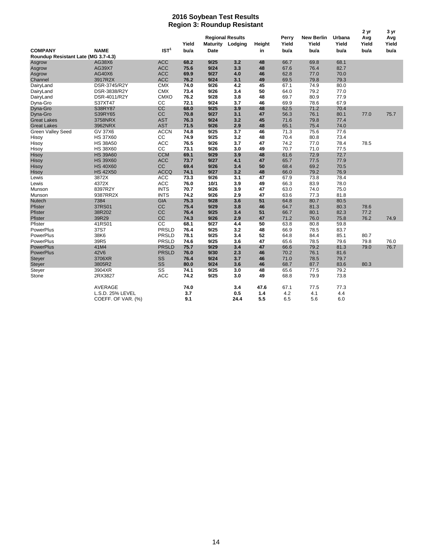#### **2016 Soybean Test Results Region 3: Roundup Resistant**

| nogion o: nounaup nosistam          |                    |                        |               |             |                                                    |              |                        |                                    |                         |                              |                              |
|-------------------------------------|--------------------|------------------------|---------------|-------------|----------------------------------------------------|--------------|------------------------|------------------------------------|-------------------------|------------------------------|------------------------------|
| <b>COMPANY</b>                      | <b>NAME</b>        | IST <sup>1</sup>       | Yield<br>bu/a | <b>Date</b> | <b>Regional Results</b><br><b>Maturity Lodging</b> | Height<br>in | Perry<br>Yield<br>bu/a | <b>New Berlin</b><br>Yield<br>bu/a | Urbana<br>Yield<br>bu/a | 2 yr<br>Avg<br>Yield<br>bu/a | 3 yr<br>Avg<br>Yield<br>bu/a |
| Roundup Resistant Late (MG 3.7-4.3) |                    |                        |               |             |                                                    |              |                        |                                    |                         |                              |                              |
| Asgrow                              | AG38X6             | <b>ACC</b>             | 68.2          | 9/25        | 3.2                                                | 48           | 66.7                   | 69.8                               | 68.1                    |                              |                              |
| Asgrow                              | AG39X7             | <b>ACC</b>             | 75.6          | 9/24        | 3.3                                                | 48           | 67.6                   | 76.4                               | 82.7                    |                              |                              |
| Asgrow                              | AG40X6             | <b>ACC</b>             | 69.9          | 9/27        | 4.0                                                | 46           | 62.8                   | 77.0                               | 70.0                    |                              |                              |
| Channel                             | 3917R2X            | <b>ACC</b>             | 76.2          | 9/24        | 3.1                                                | 49           | 69.5                   | 79.8                               | 79.3                    |                              |                              |
| DairyLand                           | DSR-3745/R2Y       | <b>CMX</b>             | 74.0          | 9/26        | 4.2                                                | 45           | 67.1                   | 74.9                               | 80.0                    |                              |                              |
| DairyLand                           | DSR-3838/R2Y       | <b>CMX</b>             | 73.4          | 9/26        | 3.4                                                | 50           | 64.0                   | 79.2                               | 77.0                    |                              |                              |
| DairyLand                           | DSR-4011/R2Y       | <b>CMXO</b>            | 76.2          | 9/28        | 3.8                                                | 48           | 69.7                   | 80.9                               | 77.9                    |                              |                              |
| Dyna-Gro                            | S37XT47            | cc                     | 72.1          | 9/24        | 3.7                                                | 46           | 69.9                   | 78.6                               | 67.9                    |                              |                              |
| Dyna-Gro                            | S38RY87            | cc                     | 68.0          | 9/25        | 3.9                                                | 48           | 62.5                   | 71.2                               | 70.4                    |                              |                              |
| Dyna-Gro                            | S39RY65            | cc                     | 70.8          | 9/27        | 3.1                                                | 47           | 56.3                   | 76.1                               | 80.1                    | 77.0                         | 75.7                         |
| <b>Great Lakes</b>                  | 3758NRX            | <b>AST</b>             | 76.3          | 9/24        | 3.2                                                | 45           | 71.6                   | 79.8                               | 77.4                    |                              |                              |
| <b>Great Lakes</b>                  | 3962NRX            | <b>AST</b>             | 71.5          | 9/26        | 2.9                                                | 48           | 65.1                   | 75.4                               | 74.0                    |                              |                              |
| <b>Green Valley Seed</b>            | <b>GV 37X6</b>     | <b>ACCN</b>            | 74.8          | 9/25        | 3.7                                                | 46           | 71.3                   | 75.6                               | 77.6                    |                              |                              |
| Hisoy                               | <b>HS 37X60</b>    | cc                     | 74.9          | 9/25        | 3.2                                                | 48           | 70.4                   | 80.8                               | 73.4                    |                              |                              |
| Hisoy                               | <b>HS 38A50</b>    | ACC                    | 76.5          | 9/26        | 3.7                                                | 47           | 74.2                   | 77.0                               | 78.4                    | 78.5                         |                              |
| Hisoy                               | <b>HS 38X60</b>    | cc                     | 73.1          | 9/26        | 3.0                                                | 49           | 70.7                   | 71.0                               | 77.5                    |                              |                              |
| Hisoy                               | <b>HS 39A60</b>    | <b>CCM</b>             | 69.1          | 9/29        | 3.9                                                | 48           | 61.6                   | 72.9                               | 72.7                    |                              |                              |
| Hisoy                               | <b>HS 39X60</b>    | <b>ACC</b>             | 73.7          | 9/27        | 4.1                                                | 47           | 65.7                   | 77.5                               | 77.9                    |                              |                              |
| Hisoy                               | <b>HS 40X60</b>    | cc                     | 69.4          | 9/26        | 3.4                                                | 50           | 68.4                   | 69.2                               | 70.5                    |                              |                              |
| Hisoy                               | <b>HS 42X50</b>    | <b>ACCQ</b>            | 74.1          | 9/27        | 3.2                                                | 48           | 66.0                   | 79.2                               | 76.9                    |                              |                              |
| Lewis                               | 3872X              | <b>ACC</b>             | 73.3          | 9/26        | 3.1                                                | 47           | 67.9                   | 73.8                               | 78.4                    |                              |                              |
| Lewis                               | 4372X              | ACC                    | 76.0          | 10/1        | 3.9                                                | 49           | 66.3                   | 83.9                               | 78.0                    |                              |                              |
| Munson                              | 8397R2Y            | <b>INTS</b>            | 70.7          | 9/26        | 3.9                                                | 47           | 63.0                   | 74.0                               | 75.0                    |                              |                              |
| Munson                              | 9387RR2X           | <b>INTS</b>            | 74.2          | 9/26        | 2.9                                                | 47           | 63.6                   | 77.3                               | 81.8                    |                              |                              |
| Nutech                              | 7384               | <b>GIA</b>             | 75.3          | 9/28        | 3.6                                                | 51           | 64.8                   | 80.7                               | 80.5                    |                              |                              |
| Pfister                             | 37RS01             | cc                     | 75.4          | 9/29        | 3.8                                                | 46           | 64.7                   | 81.3                               | 80.3                    | 78.6                         |                              |
| Pfister                             | 38R202             | CC                     | 76.4          | 9/25        | 3.4                                                | 51           | 66.7                   | 80.1                               | 82.3                    | 77.2                         |                              |
| Pfister                             | 39R29              | cc                     | 74.3          | 9/26        | 2.9                                                | 47           | 71.2                   | 76.0                               | 75.8                    | 76.2                         | 74.9                         |
| Pfister                             | 41RS01             | cc                     | 68.1          | 9/27        | 4.4                                                | 50           | 63.8                   | 80.8                               | 59.8                    |                              |                              |
| PowerPlus                           | 37S7               | PRSLD                  | 76.4          | 9/25        | 3.2                                                | 48           | 66.9                   | 78.5                               | 83.7                    |                              |                              |
| PowerPlus                           | 38K6               | PRSLD                  | 78.1          | 9/25        | 3.4                                                | 52           | 64.8                   | 84.4                               | 85.1                    | 80.7                         |                              |
| PowerPlus                           | 39R5               | PRSLD                  | 74.6          | 9/25        | 3.6                                                | 47           | 65.6                   | 78.5                               | 79.6                    | 79.8                         | 76.0                         |
| <b>PowerPlus</b>                    | 41M4               | <b>PRSLD</b>           | 75.7          | 9/29        | 3.4                                                | 47           | 66.6                   | 79.2                               | 81.3                    | 79.0                         | 76.7                         |
| <b>PowerPlus</b>                    | 42V6               | <b>PRSLD</b>           | 76.0          | 9/30        | 2.3                                                | 46           | 70.2                   | 76.1                               | 81.6                    |                              |                              |
| <b>Steyer</b>                       | 3706XR             | SS                     | 76.4          | 9/24        | 3.7                                                | 46           | 71.0                   | 78.5                               | 79.7                    |                              |                              |
| Steyer                              | 3805R2             | SS                     | 80.0          | 9/24        | 3.6                                                | 46           | 68.7                   | 87.7                               | 83.6                    | 80.3                         |                              |
| Steyer                              | 3904XR             | $\overline{\text{ss}}$ | 74.1          | 9/25        | 3.0                                                | 48           | 65.6                   | 77.5                               | 79.2                    |                              |                              |
| Stone                               | 2RX3827            | ACC                    | 74.2          | 9/25        | 3.0                                                | 49           | 68.8                   | 79.9                               | 73.8                    |                              |                              |
|                                     | AVERAGE            |                        | 74.0          |             | 3.4                                                | 47.6         | 67.1                   | 77.5                               | 77.3                    |                              |                              |
|                                     | L.S.D. 25% LEVEL   |                        | 3.7           |             | 0.5                                                | $1.4$        | 4.2                    | 4.1                                | 4.4                     |                              |                              |
|                                     | COEFF. OF VAR. (%) |                        | 9.1           |             | 24.4                                               | 5.5          | 6.5                    | 5.6                                | 6.0                     |                              |                              |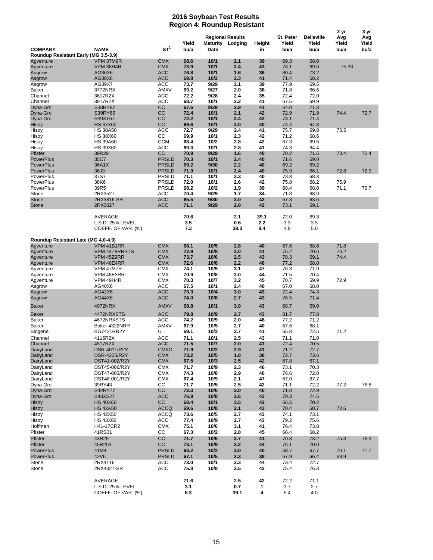#### **2016 Soybean Test Results Region 4: Roundup Resistant**

| <b>Regional Results</b><br>St. Peter<br><b>Belleville</b><br>Avg<br>Avg<br>Yield<br>Yield<br>Maturity<br>Height<br>Yield<br>Yield<br>Yield<br>Lodging<br>ST <sup>1</sup><br><b>COMPANY</b><br><b>NAME</b><br>bu/a<br>bu/a<br><b>Date</b><br>in<br>bu/a<br>bu/a<br>bu/a<br>Roundup Resistant Early (MG 3.5-3.9)<br><b>CMX</b><br>10/1<br>VPM 37M9R<br>68.6<br>2.1<br>39<br>69.3<br>68.0<br>Agventure<br>10/1<br>2.4<br>78.1<br>VPM 38H4R<br><b>CMX</b><br>73.9<br>43<br>69.6<br>75.33<br>Agventure<br><b>ACC</b><br>AG36X6<br>76.8<br>10/1<br>1.6<br>36<br>80.4<br>73.2<br>Asgrow<br><b>ACC</b><br>$10/2$<br>71.4<br>68.2<br>AG38X6<br>69.8<br>2.3<br>41<br>Asgrow<br>AG39X7<br>ACC<br>73.7<br>9/29<br>2.1<br>39<br>77.9<br>69.5<br>Asgrow<br>9/27<br>2.0<br>71.8<br>Baker<br>3772NRX<br>AMXV<br>69.2<br>38<br>66.6<br>9/28<br>35<br>72.4<br>3617R2X<br>ACC<br>72.2<br>2.4<br>72.0<br>Channel<br>10/1<br>Channel<br>3917R2X<br>ACC<br>68.7<br>2.2<br>41<br>67.5<br>69.9<br>cc<br>9/29<br>41<br>67.6<br>2.9<br>64.0<br>71.3<br>Dyna-Gro<br>S38RY87<br>CC<br>10/1<br>71.9<br>Dyna-Gro<br>S39RY65<br>72.4<br>2.1<br>42<br>72.9<br>74.4<br>72.7<br>CC<br>73.1<br>S39XT67<br>72.2<br>10/1<br>2.4<br>42<br>71.4<br>Dyna-Gro<br>cc<br>10/1<br><b>HS 37X60</b><br>69.6<br>2.0<br>40<br>74.4<br>64.8<br>Hisoy<br><b>ACC</b><br>9/29<br>75.7<br>69.8<br>72.7<br>2.4<br>41<br>75.5<br><b>HS 38A50</b><br>СC<br>10/1<br>68.6<br><b>HS 38X60</b><br>69.9<br>2.3<br>42<br>71.2<br><b>CCM</b><br>10/2<br>2.8<br>67.3<br>69.5<br>Hisoy<br><b>HS 39A60</b><br>68.4<br>42<br>10/1<br><b>HS 39X60</b><br>ACC<br>69.3<br>2.8<br>41<br>74.3<br>64.4<br>Hisoy<br>9/29<br>40<br>72.4<br>Pfister<br>39R29<br>cc<br>70.9<br>1.6<br>70.2<br>71.5<br>73.4<br>$10/1$<br>71.6<br><b>PowerPlus</b><br>35C7<br><b>PRSLD</b><br>70.3<br>2.4<br>40<br>69.0<br>69.2<br><b>PowerPlus</b><br>36A1X<br><b>PRSLD</b><br>69.2<br>9/30<br>2.2<br>40<br>69.2<br><b>PRSLD</b><br>10/1<br><b>PowerPlus</b><br>36J3<br>71.0<br>2.4<br>40<br>75.9<br>66.1<br>72.8<br>72.9<br>37S7<br>10/1<br>68.3<br>PowerPlus<br><b>PRSLD</b><br>71.1<br>2.3<br>40<br>73.8<br><b>PowerPlus</b><br>PRSLD<br>72.0<br>10/1<br>2.6<br>42<br>75.8<br>68.2<br>38K6<br>75.9<br>10/2<br>68.4<br>PowerPlus<br>39R5<br><b>PRSLD</b><br>68.2<br>1.9<br>39<br>68.0<br>71.1<br>70.7<br><b>ACC</b><br>9/29<br>71.8<br>Stone<br>2RX3527<br>70.4<br>1.7<br>34<br>68.9<br>65.5<br>9/30<br>42<br>2RX3816-SR<br><b>ACC</b><br>3.0<br>67.3<br>63.6<br>9/29<br>2RX3827<br><b>ACC</b><br>71.1<br>2.0<br>42<br>73.1<br>69.1<br>70.6<br>39.1<br>72.0<br>69.3<br>AVERAGE<br>2.1<br>3.5<br>0.6<br>2.2<br>3.3<br>3.3<br>L.S.D. 25% LEVEL<br>7.3<br>39.3<br>8.4<br>4.8<br>5.0<br>COEFF. OF VAR. (%)<br>Roundup Resistant Late (MG 4.0-4.9)<br><b>CMX</b><br>10/5<br>2.8<br>40<br>67.6<br>68.6<br>71.8<br>VPM 41B1RR<br>68.1<br>Agventure<br>10/8<br><b>CMX</b><br>72.9<br>2.0<br>41<br>75.2<br>70.6<br>76.2<br>Agventure<br>VPM 44Z8RRSTS<br><b>CMX</b><br>73.7<br>10/6<br>2.5<br>43<br>78.3<br>69.1<br>74.4<br>Agventure<br>VPM 45Z9RR<br>VPM 46E4RR<br><b>CMX</b><br>72.6<br>10/8<br>2.2<br>46<br>77.2<br>68.0<br>Agventure<br>10/9<br>VPM 47M7R<br><b>CMX</b><br>74.1<br>3.1<br>47<br>76.3<br>71.9<br>Agventure<br><b>CMX</b><br>70.9<br>10/8<br>2.0<br>44<br>71.5<br>70.4<br>Agventure<br>VPM 48E3RR.<br>70.7<br>VPM 49H4R<br><b>CMX</b><br>70.3<br>10/7<br>3.2<br>45<br>69.9<br>72.9<br>Agventure<br><b>ACC</b><br>10/1<br>67.0<br>68.0<br>AG40X6<br>67.5<br>2.4<br>40<br>Asgrow<br>AG42X6<br><b>ACC</b><br>73.3<br>10/4<br>3.0<br>43<br>72.4<br>74.3<br>Asgrow<br>AG44X6<br><b>ACC</b><br>74.0<br>10/8<br>2.7<br>43<br>76.5<br>71.4<br>Asgrow<br>10/1<br>68.7<br>69.0<br>Baker<br>4072NRX<br><b>AMXV</b><br>68.8<br>3.0<br>43<br><b>ACC</b><br>10/9<br>2.7<br>81.7<br>Baker<br>4472NRXSTS<br>79.8<br>43<br>77.8<br>10/9<br>4672NRXSTS<br>ACC<br>74.2<br>2.0<br>48<br>77.2<br>71.2<br>Baker<br>AMXV<br>10/5<br>2.7<br>67.6<br>68.1<br>Baker<br>Baker 4322NRR<br>67.9<br>40<br><b>BG7421RR2Y</b><br>U<br>69.1<br>10/2<br>2.7<br>41<br>65.8<br>72.5<br>71.2<br>Biogene<br>10/1<br>2.5<br>71.1<br>71.0<br>Channel<br>4116R2X<br>ACC<br>71.1<br>43<br>10/7<br>2.0<br>4517R2X<br><b>ACC</b><br>71.5<br>41<br>72.4<br>70.5<br>Channel<br>DairyLand<br><b>CMXO</b><br>71.9<br>$10/2$<br>2.9<br>41<br>71.2<br>DSR-4011/R2Y<br>72.7<br><b>CMX</b><br>73.2<br>10/5<br>1.8<br>38<br>72.7<br>73.6<br>DairyLand<br>DSR-4225/R2Y<br><b>CMX</b><br>67.5<br>10/3<br>67.8<br>DairyLand<br>DST41-002/R2Y<br>2.5<br>42<br>67.1<br>DairyLand<br><b>CMX</b><br>71.7<br>10/9<br>73.1<br>70.3<br>DST45-006/R2Y<br>2.3<br>46<br><b>CMX</b><br>74.3<br>10/8<br>2.9<br>76.6<br>72.0<br>DST47-003/R2Y<br>46<br>10/9<br>67.0<br>DairyLand<br>DST48-001/R2Y<br><b>CMX</b><br>67.4<br>2.1<br>47<br>67.7<br>СC<br>10/5<br>72.2<br>77.2<br>Dyna-Gro<br>39RY43<br>71.7<br>2.5<br>42<br>71.1<br>76.8<br>cc<br><b>S42RY77</b><br>72.3<br>10/6<br>3.0<br>40<br>71.8<br>72.9<br>Dyna-Gro<br><b>ACC</b><br>10/8<br>79.3<br>Dyna-Gro<br>S43XS27<br>76.9<br>2.6<br>43<br>74.5<br>cc<br>10/1<br>Hisoy<br><b>HS 40X60</b><br>68.4<br>3.5<br>42<br>66.5<br>70.2<br><b>ACCQ</b><br><b>HS 42A50</b><br>10/8<br>2.1<br>70.4<br>72.6<br>Hisoy<br>69.6<br>43<br>68.7<br><b>HS 42X50</b><br><b>ACCQ</b><br>10/5<br>43<br>74.1<br>73.1<br>Hisoy<br>73.6<br>2.7<br><b>HS 43X60</b><br>ACC<br>10/9<br>2.7<br>43<br>79.2<br>75.6<br>Hisoy<br>77.4<br>CMX<br>H41-17CR2<br>75.1<br>10/6<br>3.1<br>76.4<br>73.8<br>Hoffman<br>41<br>41RS01<br>СC<br>10/2<br>2.8<br>66.4<br>68.2<br>Pfister<br>67.3<br>45<br>43R29<br>cc<br>71.7<br>10/6<br>2.7<br>41<br>76.3<br>Pfister<br>70.3<br>73.2<br>75.3<br>45R203<br>cc<br>10/9<br>2.2<br>76.1<br>70.0<br>Pfister<br>73.1<br>44<br><b>PowerPlus</b><br>41M4<br><b>PRSLD</b><br>63.2<br>$10/2$<br>58.7<br>67.7<br>71.7<br>3.0<br>40<br>70.1<br><b>PowerPlus</b><br>42V6<br><b>PRSLD</b><br>10/5<br>67.9<br>67.1<br>2.3<br>38<br>66.4<br>69.9<br>2RX4116<br>ACC<br>10/1<br>44<br>73.4<br>72.7<br>73.0<br>2.3<br>2RX4327-SR<br>ACC<br>75.8<br>10/8<br>2.5<br>75.4<br>76.3<br>42<br>2.5<br>72.2<br>71.1<br>AVERAGE<br>71.6<br>42<br>0.7<br>3.7<br>2.7<br>L.S.D. 25% LEVEL<br>3.1<br>$\mathbf{1}$<br>COEFF. OF VAR. (%)<br>6.3<br>39.1<br>5.4<br>4.0<br>4 |              |  |  |  |  | 2 yr | 3 yr |
|--------------------------------------------------------------------------------------------------------------------------------------------------------------------------------------------------------------------------------------------------------------------------------------------------------------------------------------------------------------------------------------------------------------------------------------------------------------------------------------------------------------------------------------------------------------------------------------------------------------------------------------------------------------------------------------------------------------------------------------------------------------------------------------------------------------------------------------------------------------------------------------------------------------------------------------------------------------------------------------------------------------------------------------------------------------------------------------------------------------------------------------------------------------------------------------------------------------------------------------------------------------------------------------------------------------------------------------------------------------------------------------------------------------------------------------------------------------------------------------------------------------------------------------------------------------------------------------------------------------------------------------------------------------------------------------------------------------------------------------------------------------------------------------------------------------------------------------------------------------------------------------------------------------------------------------------------------------------------------------------------------------------------------------------------------------------------------------------------------------------------------------------------------------------------------------------------------------------------------------------------------------------------------------------------------------------------------------------------------------------------------------------------------------------------------------------------------------------------------------------------------------------------------------------------------------------------------------------------------------------------------------------------------------------------------------------------------------------------------------------------------------------------------------------------------------------------------------------------------------------------------------------------------------------------------------------------------------------------------------------------------------------------------------------------------------------------------------------------------------------------------------------------------------------------------------------------------------------------------------------------------------------------------------------------------------------------------------------------------------------------------------------------------------------------------------------------------------------------------------------------------------------------------------------------------------------------------------------------------------------------------------------------------------------------------------------------------------------------------------------------------------------------------------------------------------------------------------------------------------------------------------------------------------------------------------------------------------------------------------------------------------------------------------------------------------------------------------------------------------------------------------------------------------------------------------------------------------------------------------------------------------------------------------------------------------------------------------------------------------------------------------------------------------------------------------------------------------------------------------------------------------------------------------------------------------------------------------------------------------------------------------------------------------------------------------------------------------------------------------------------------------------------------------------------------------------------------------------------------------------------------------------------------------------------------------------------------------------------------------------------------------------------------------------------------------------------------------------------------------------------------------------------------------------------------------------------------------------------------------------------------------------------------------------------------------------------------------------------------------------------------------------------------------------------------------------------------------------------------------------------------------------------------------------------------------------------------------------------------------------------------------------------------------------------------------------------------------------------------------------------------------------------------------------------------------------------------------------------------------------------------------------------------------------------------------------------------------------------------------------------------------------------------------------------------------------------------------------------------------------------------------------------------------------------------------------------------------------------------------------------|--------------|--|--|--|--|------|------|
|                                                                                                                                                                                                                                                                                                                                                                                                                                                                                                                                                                                                                                                                                                                                                                                                                                                                                                                                                                                                                                                                                                                                                                                                                                                                                                                                                                                                                                                                                                                                                                                                                                                                                                                                                                                                                                                                                                                                                                                                                                                                                                                                                                                                                                                                                                                                                                                                                                                                                                                                                                                                                                                                                                                                                                                                                                                                                                                                                                                                                                                                                                                                                                                                                                                                                                                                                                                                                                                                                                                                                                                                                                                                                                                                                                                                                                                                                                                                                                                                                                                                                                                                                                                                                                                                                                                                                                                                                                                                                                                                                                                                                                                                                                                                                                                                                                                                                                                                                                                                                                                                                                                                                                                                                                                                                                                                                                                                                                                                                                                                                                                                                                                                                                                                                                                                                                                                                                                                                                                                                                                                                                                                                                                                                                                  |              |  |  |  |  |      |      |
|                                                                                                                                                                                                                                                                                                                                                                                                                                                                                                                                                                                                                                                                                                                                                                                                                                                                                                                                                                                                                                                                                                                                                                                                                                                                                                                                                                                                                                                                                                                                                                                                                                                                                                                                                                                                                                                                                                                                                                                                                                                                                                                                                                                                                                                                                                                                                                                                                                                                                                                                                                                                                                                                                                                                                                                                                                                                                                                                                                                                                                                                                                                                                                                                                                                                                                                                                                                                                                                                                                                                                                                                                                                                                                                                                                                                                                                                                                                                                                                                                                                                                                                                                                                                                                                                                                                                                                                                                                                                                                                                                                                                                                                                                                                                                                                                                                                                                                                                                                                                                                                                                                                                                                                                                                                                                                                                                                                                                                                                                                                                                                                                                                                                                                                                                                                                                                                                                                                                                                                                                                                                                                                                                                                                                                                  |              |  |  |  |  |      |      |
|                                                                                                                                                                                                                                                                                                                                                                                                                                                                                                                                                                                                                                                                                                                                                                                                                                                                                                                                                                                                                                                                                                                                                                                                                                                                                                                                                                                                                                                                                                                                                                                                                                                                                                                                                                                                                                                                                                                                                                                                                                                                                                                                                                                                                                                                                                                                                                                                                                                                                                                                                                                                                                                                                                                                                                                                                                                                                                                                                                                                                                                                                                                                                                                                                                                                                                                                                                                                                                                                                                                                                                                                                                                                                                                                                                                                                                                                                                                                                                                                                                                                                                                                                                                                                                                                                                                                                                                                                                                                                                                                                                                                                                                                                                                                                                                                                                                                                                                                                                                                                                                                                                                                                                                                                                                                                                                                                                                                                                                                                                                                                                                                                                                                                                                                                                                                                                                                                                                                                                                                                                                                                                                                                                                                                                                  |              |  |  |  |  |      |      |
|                                                                                                                                                                                                                                                                                                                                                                                                                                                                                                                                                                                                                                                                                                                                                                                                                                                                                                                                                                                                                                                                                                                                                                                                                                                                                                                                                                                                                                                                                                                                                                                                                                                                                                                                                                                                                                                                                                                                                                                                                                                                                                                                                                                                                                                                                                                                                                                                                                                                                                                                                                                                                                                                                                                                                                                                                                                                                                                                                                                                                                                                                                                                                                                                                                                                                                                                                                                                                                                                                                                                                                                                                                                                                                                                                                                                                                                                                                                                                                                                                                                                                                                                                                                                                                                                                                                                                                                                                                                                                                                                                                                                                                                                                                                                                                                                                                                                                                                                                                                                                                                                                                                                                                                                                                                                                                                                                                                                                                                                                                                                                                                                                                                                                                                                                                                                                                                                                                                                                                                                                                                                                                                                                                                                                                                  |              |  |  |  |  |      |      |
|                                                                                                                                                                                                                                                                                                                                                                                                                                                                                                                                                                                                                                                                                                                                                                                                                                                                                                                                                                                                                                                                                                                                                                                                                                                                                                                                                                                                                                                                                                                                                                                                                                                                                                                                                                                                                                                                                                                                                                                                                                                                                                                                                                                                                                                                                                                                                                                                                                                                                                                                                                                                                                                                                                                                                                                                                                                                                                                                                                                                                                                                                                                                                                                                                                                                                                                                                                                                                                                                                                                                                                                                                                                                                                                                                                                                                                                                                                                                                                                                                                                                                                                                                                                                                                                                                                                                                                                                                                                                                                                                                                                                                                                                                                                                                                                                                                                                                                                                                                                                                                                                                                                                                                                                                                                                                                                                                                                                                                                                                                                                                                                                                                                                                                                                                                                                                                                                                                                                                                                                                                                                                                                                                                                                                                                  |              |  |  |  |  |      |      |
|                                                                                                                                                                                                                                                                                                                                                                                                                                                                                                                                                                                                                                                                                                                                                                                                                                                                                                                                                                                                                                                                                                                                                                                                                                                                                                                                                                                                                                                                                                                                                                                                                                                                                                                                                                                                                                                                                                                                                                                                                                                                                                                                                                                                                                                                                                                                                                                                                                                                                                                                                                                                                                                                                                                                                                                                                                                                                                                                                                                                                                                                                                                                                                                                                                                                                                                                                                                                                                                                                                                                                                                                                                                                                                                                                                                                                                                                                                                                                                                                                                                                                                                                                                                                                                                                                                                                                                                                                                                                                                                                                                                                                                                                                                                                                                                                                                                                                                                                                                                                                                                                                                                                                                                                                                                                                                                                                                                                                                                                                                                                                                                                                                                                                                                                                                                                                                                                                                                                                                                                                                                                                                                                                                                                                                                  |              |  |  |  |  |      |      |
|                                                                                                                                                                                                                                                                                                                                                                                                                                                                                                                                                                                                                                                                                                                                                                                                                                                                                                                                                                                                                                                                                                                                                                                                                                                                                                                                                                                                                                                                                                                                                                                                                                                                                                                                                                                                                                                                                                                                                                                                                                                                                                                                                                                                                                                                                                                                                                                                                                                                                                                                                                                                                                                                                                                                                                                                                                                                                                                                                                                                                                                                                                                                                                                                                                                                                                                                                                                                                                                                                                                                                                                                                                                                                                                                                                                                                                                                                                                                                                                                                                                                                                                                                                                                                                                                                                                                                                                                                                                                                                                                                                                                                                                                                                                                                                                                                                                                                                                                                                                                                                                                                                                                                                                                                                                                                                                                                                                                                                                                                                                                                                                                                                                                                                                                                                                                                                                                                                                                                                                                                                                                                                                                                                                                                                                  |              |  |  |  |  |      |      |
|                                                                                                                                                                                                                                                                                                                                                                                                                                                                                                                                                                                                                                                                                                                                                                                                                                                                                                                                                                                                                                                                                                                                                                                                                                                                                                                                                                                                                                                                                                                                                                                                                                                                                                                                                                                                                                                                                                                                                                                                                                                                                                                                                                                                                                                                                                                                                                                                                                                                                                                                                                                                                                                                                                                                                                                                                                                                                                                                                                                                                                                                                                                                                                                                                                                                                                                                                                                                                                                                                                                                                                                                                                                                                                                                                                                                                                                                                                                                                                                                                                                                                                                                                                                                                                                                                                                                                                                                                                                                                                                                                                                                                                                                                                                                                                                                                                                                                                                                                                                                                                                                                                                                                                                                                                                                                                                                                                                                                                                                                                                                                                                                                                                                                                                                                                                                                                                                                                                                                                                                                                                                                                                                                                                                                                                  |              |  |  |  |  |      |      |
|                                                                                                                                                                                                                                                                                                                                                                                                                                                                                                                                                                                                                                                                                                                                                                                                                                                                                                                                                                                                                                                                                                                                                                                                                                                                                                                                                                                                                                                                                                                                                                                                                                                                                                                                                                                                                                                                                                                                                                                                                                                                                                                                                                                                                                                                                                                                                                                                                                                                                                                                                                                                                                                                                                                                                                                                                                                                                                                                                                                                                                                                                                                                                                                                                                                                                                                                                                                                                                                                                                                                                                                                                                                                                                                                                                                                                                                                                                                                                                                                                                                                                                                                                                                                                                                                                                                                                                                                                                                                                                                                                                                                                                                                                                                                                                                                                                                                                                                                                                                                                                                                                                                                                                                                                                                                                                                                                                                                                                                                                                                                                                                                                                                                                                                                                                                                                                                                                                                                                                                                                                                                                                                                                                                                                                                  |              |  |  |  |  |      |      |
|                                                                                                                                                                                                                                                                                                                                                                                                                                                                                                                                                                                                                                                                                                                                                                                                                                                                                                                                                                                                                                                                                                                                                                                                                                                                                                                                                                                                                                                                                                                                                                                                                                                                                                                                                                                                                                                                                                                                                                                                                                                                                                                                                                                                                                                                                                                                                                                                                                                                                                                                                                                                                                                                                                                                                                                                                                                                                                                                                                                                                                                                                                                                                                                                                                                                                                                                                                                                                                                                                                                                                                                                                                                                                                                                                                                                                                                                                                                                                                                                                                                                                                                                                                                                                                                                                                                                                                                                                                                                                                                                                                                                                                                                                                                                                                                                                                                                                                                                                                                                                                                                                                                                                                                                                                                                                                                                                                                                                                                                                                                                                                                                                                                                                                                                                                                                                                                                                                                                                                                                                                                                                                                                                                                                                                                  |              |  |  |  |  |      |      |
|                                                                                                                                                                                                                                                                                                                                                                                                                                                                                                                                                                                                                                                                                                                                                                                                                                                                                                                                                                                                                                                                                                                                                                                                                                                                                                                                                                                                                                                                                                                                                                                                                                                                                                                                                                                                                                                                                                                                                                                                                                                                                                                                                                                                                                                                                                                                                                                                                                                                                                                                                                                                                                                                                                                                                                                                                                                                                                                                                                                                                                                                                                                                                                                                                                                                                                                                                                                                                                                                                                                                                                                                                                                                                                                                                                                                                                                                                                                                                                                                                                                                                                                                                                                                                                                                                                                                                                                                                                                                                                                                                                                                                                                                                                                                                                                                                                                                                                                                                                                                                                                                                                                                                                                                                                                                                                                                                                                                                                                                                                                                                                                                                                                                                                                                                                                                                                                                                                                                                                                                                                                                                                                                                                                                                                                  |              |  |  |  |  |      |      |
|                                                                                                                                                                                                                                                                                                                                                                                                                                                                                                                                                                                                                                                                                                                                                                                                                                                                                                                                                                                                                                                                                                                                                                                                                                                                                                                                                                                                                                                                                                                                                                                                                                                                                                                                                                                                                                                                                                                                                                                                                                                                                                                                                                                                                                                                                                                                                                                                                                                                                                                                                                                                                                                                                                                                                                                                                                                                                                                                                                                                                                                                                                                                                                                                                                                                                                                                                                                                                                                                                                                                                                                                                                                                                                                                                                                                                                                                                                                                                                                                                                                                                                                                                                                                                                                                                                                                                                                                                                                                                                                                                                                                                                                                                                                                                                                                                                                                                                                                                                                                                                                                                                                                                                                                                                                                                                                                                                                                                                                                                                                                                                                                                                                                                                                                                                                                                                                                                                                                                                                                                                                                                                                                                                                                                                                  |              |  |  |  |  |      |      |
|                                                                                                                                                                                                                                                                                                                                                                                                                                                                                                                                                                                                                                                                                                                                                                                                                                                                                                                                                                                                                                                                                                                                                                                                                                                                                                                                                                                                                                                                                                                                                                                                                                                                                                                                                                                                                                                                                                                                                                                                                                                                                                                                                                                                                                                                                                                                                                                                                                                                                                                                                                                                                                                                                                                                                                                                                                                                                                                                                                                                                                                                                                                                                                                                                                                                                                                                                                                                                                                                                                                                                                                                                                                                                                                                                                                                                                                                                                                                                                                                                                                                                                                                                                                                                                                                                                                                                                                                                                                                                                                                                                                                                                                                                                                                                                                                                                                                                                                                                                                                                                                                                                                                                                                                                                                                                                                                                                                                                                                                                                                                                                                                                                                                                                                                                                                                                                                                                                                                                                                                                                                                                                                                                                                                                                                  |              |  |  |  |  |      |      |
|                                                                                                                                                                                                                                                                                                                                                                                                                                                                                                                                                                                                                                                                                                                                                                                                                                                                                                                                                                                                                                                                                                                                                                                                                                                                                                                                                                                                                                                                                                                                                                                                                                                                                                                                                                                                                                                                                                                                                                                                                                                                                                                                                                                                                                                                                                                                                                                                                                                                                                                                                                                                                                                                                                                                                                                                                                                                                                                                                                                                                                                                                                                                                                                                                                                                                                                                                                                                                                                                                                                                                                                                                                                                                                                                                                                                                                                                                                                                                                                                                                                                                                                                                                                                                                                                                                                                                                                                                                                                                                                                                                                                                                                                                                                                                                                                                                                                                                                                                                                                                                                                                                                                                                                                                                                                                                                                                                                                                                                                                                                                                                                                                                                                                                                                                                                                                                                                                                                                                                                                                                                                                                                                                                                                                                                  | Hisoy        |  |  |  |  |      |      |
|                                                                                                                                                                                                                                                                                                                                                                                                                                                                                                                                                                                                                                                                                                                                                                                                                                                                                                                                                                                                                                                                                                                                                                                                                                                                                                                                                                                                                                                                                                                                                                                                                                                                                                                                                                                                                                                                                                                                                                                                                                                                                                                                                                                                                                                                                                                                                                                                                                                                                                                                                                                                                                                                                                                                                                                                                                                                                                                                                                                                                                                                                                                                                                                                                                                                                                                                                                                                                                                                                                                                                                                                                                                                                                                                                                                                                                                                                                                                                                                                                                                                                                                                                                                                                                                                                                                                                                                                                                                                                                                                                                                                                                                                                                                                                                                                                                                                                                                                                                                                                                                                                                                                                                                                                                                                                                                                                                                                                                                                                                                                                                                                                                                                                                                                                                                                                                                                                                                                                                                                                                                                                                                                                                                                                                                  | Hisoy        |  |  |  |  |      |      |
|                                                                                                                                                                                                                                                                                                                                                                                                                                                                                                                                                                                                                                                                                                                                                                                                                                                                                                                                                                                                                                                                                                                                                                                                                                                                                                                                                                                                                                                                                                                                                                                                                                                                                                                                                                                                                                                                                                                                                                                                                                                                                                                                                                                                                                                                                                                                                                                                                                                                                                                                                                                                                                                                                                                                                                                                                                                                                                                                                                                                                                                                                                                                                                                                                                                                                                                                                                                                                                                                                                                                                                                                                                                                                                                                                                                                                                                                                                                                                                                                                                                                                                                                                                                                                                                                                                                                                                                                                                                                                                                                                                                                                                                                                                                                                                                                                                                                                                                                                                                                                                                                                                                                                                                                                                                                                                                                                                                                                                                                                                                                                                                                                                                                                                                                                                                                                                                                                                                                                                                                                                                                                                                                                                                                                                                  |              |  |  |  |  |      |      |
|                                                                                                                                                                                                                                                                                                                                                                                                                                                                                                                                                                                                                                                                                                                                                                                                                                                                                                                                                                                                                                                                                                                                                                                                                                                                                                                                                                                                                                                                                                                                                                                                                                                                                                                                                                                                                                                                                                                                                                                                                                                                                                                                                                                                                                                                                                                                                                                                                                                                                                                                                                                                                                                                                                                                                                                                                                                                                                                                                                                                                                                                                                                                                                                                                                                                                                                                                                                                                                                                                                                                                                                                                                                                                                                                                                                                                                                                                                                                                                                                                                                                                                                                                                                                                                                                                                                                                                                                                                                                                                                                                                                                                                                                                                                                                                                                                                                                                                                                                                                                                                                                                                                                                                                                                                                                                                                                                                                                                                                                                                                                                                                                                                                                                                                                                                                                                                                                                                                                                                                                                                                                                                                                                                                                                                                  |              |  |  |  |  |      |      |
|                                                                                                                                                                                                                                                                                                                                                                                                                                                                                                                                                                                                                                                                                                                                                                                                                                                                                                                                                                                                                                                                                                                                                                                                                                                                                                                                                                                                                                                                                                                                                                                                                                                                                                                                                                                                                                                                                                                                                                                                                                                                                                                                                                                                                                                                                                                                                                                                                                                                                                                                                                                                                                                                                                                                                                                                                                                                                                                                                                                                                                                                                                                                                                                                                                                                                                                                                                                                                                                                                                                                                                                                                                                                                                                                                                                                                                                                                                                                                                                                                                                                                                                                                                                                                                                                                                                                                                                                                                                                                                                                                                                                                                                                                                                                                                                                                                                                                                                                                                                                                                                                                                                                                                                                                                                                                                                                                                                                                                                                                                                                                                                                                                                                                                                                                                                                                                                                                                                                                                                                                                                                                                                                                                                                                                                  |              |  |  |  |  |      |      |
|                                                                                                                                                                                                                                                                                                                                                                                                                                                                                                                                                                                                                                                                                                                                                                                                                                                                                                                                                                                                                                                                                                                                                                                                                                                                                                                                                                                                                                                                                                                                                                                                                                                                                                                                                                                                                                                                                                                                                                                                                                                                                                                                                                                                                                                                                                                                                                                                                                                                                                                                                                                                                                                                                                                                                                                                                                                                                                                                                                                                                                                                                                                                                                                                                                                                                                                                                                                                                                                                                                                                                                                                                                                                                                                                                                                                                                                                                                                                                                                                                                                                                                                                                                                                                                                                                                                                                                                                                                                                                                                                                                                                                                                                                                                                                                                                                                                                                                                                                                                                                                                                                                                                                                                                                                                                                                                                                                                                                                                                                                                                                                                                                                                                                                                                                                                                                                                                                                                                                                                                                                                                                                                                                                                                                                                  |              |  |  |  |  |      |      |
|                                                                                                                                                                                                                                                                                                                                                                                                                                                                                                                                                                                                                                                                                                                                                                                                                                                                                                                                                                                                                                                                                                                                                                                                                                                                                                                                                                                                                                                                                                                                                                                                                                                                                                                                                                                                                                                                                                                                                                                                                                                                                                                                                                                                                                                                                                                                                                                                                                                                                                                                                                                                                                                                                                                                                                                                                                                                                                                                                                                                                                                                                                                                                                                                                                                                                                                                                                                                                                                                                                                                                                                                                                                                                                                                                                                                                                                                                                                                                                                                                                                                                                                                                                                                                                                                                                                                                                                                                                                                                                                                                                                                                                                                                                                                                                                                                                                                                                                                                                                                                                                                                                                                                                                                                                                                                                                                                                                                                                                                                                                                                                                                                                                                                                                                                                                                                                                                                                                                                                                                                                                                                                                                                                                                                                                  |              |  |  |  |  |      |      |
|                                                                                                                                                                                                                                                                                                                                                                                                                                                                                                                                                                                                                                                                                                                                                                                                                                                                                                                                                                                                                                                                                                                                                                                                                                                                                                                                                                                                                                                                                                                                                                                                                                                                                                                                                                                                                                                                                                                                                                                                                                                                                                                                                                                                                                                                                                                                                                                                                                                                                                                                                                                                                                                                                                                                                                                                                                                                                                                                                                                                                                                                                                                                                                                                                                                                                                                                                                                                                                                                                                                                                                                                                                                                                                                                                                                                                                                                                                                                                                                                                                                                                                                                                                                                                                                                                                                                                                                                                                                                                                                                                                                                                                                                                                                                                                                                                                                                                                                                                                                                                                                                                                                                                                                                                                                                                                                                                                                                                                                                                                                                                                                                                                                                                                                                                                                                                                                                                                                                                                                                                                                                                                                                                                                                                                                  |              |  |  |  |  |      |      |
|                                                                                                                                                                                                                                                                                                                                                                                                                                                                                                                                                                                                                                                                                                                                                                                                                                                                                                                                                                                                                                                                                                                                                                                                                                                                                                                                                                                                                                                                                                                                                                                                                                                                                                                                                                                                                                                                                                                                                                                                                                                                                                                                                                                                                                                                                                                                                                                                                                                                                                                                                                                                                                                                                                                                                                                                                                                                                                                                                                                                                                                                                                                                                                                                                                                                                                                                                                                                                                                                                                                                                                                                                                                                                                                                                                                                                                                                                                                                                                                                                                                                                                                                                                                                                                                                                                                                                                                                                                                                                                                                                                                                                                                                                                                                                                                                                                                                                                                                                                                                                                                                                                                                                                                                                                                                                                                                                                                                                                                                                                                                                                                                                                                                                                                                                                                                                                                                                                                                                                                                                                                                                                                                                                                                                                                  |              |  |  |  |  |      |      |
|                                                                                                                                                                                                                                                                                                                                                                                                                                                                                                                                                                                                                                                                                                                                                                                                                                                                                                                                                                                                                                                                                                                                                                                                                                                                                                                                                                                                                                                                                                                                                                                                                                                                                                                                                                                                                                                                                                                                                                                                                                                                                                                                                                                                                                                                                                                                                                                                                                                                                                                                                                                                                                                                                                                                                                                                                                                                                                                                                                                                                                                                                                                                                                                                                                                                                                                                                                                                                                                                                                                                                                                                                                                                                                                                                                                                                                                                                                                                                                                                                                                                                                                                                                                                                                                                                                                                                                                                                                                                                                                                                                                                                                                                                                                                                                                                                                                                                                                                                                                                                                                                                                                                                                                                                                                                                                                                                                                                                                                                                                                                                                                                                                                                                                                                                                                                                                                                                                                                                                                                                                                                                                                                                                                                                                                  |              |  |  |  |  |      |      |
|                                                                                                                                                                                                                                                                                                                                                                                                                                                                                                                                                                                                                                                                                                                                                                                                                                                                                                                                                                                                                                                                                                                                                                                                                                                                                                                                                                                                                                                                                                                                                                                                                                                                                                                                                                                                                                                                                                                                                                                                                                                                                                                                                                                                                                                                                                                                                                                                                                                                                                                                                                                                                                                                                                                                                                                                                                                                                                                                                                                                                                                                                                                                                                                                                                                                                                                                                                                                                                                                                                                                                                                                                                                                                                                                                                                                                                                                                                                                                                                                                                                                                                                                                                                                                                                                                                                                                                                                                                                                                                                                                                                                                                                                                                                                                                                                                                                                                                                                                                                                                                                                                                                                                                                                                                                                                                                                                                                                                                                                                                                                                                                                                                                                                                                                                                                                                                                                                                                                                                                                                                                                                                                                                                                                                                                  |              |  |  |  |  |      |      |
|                                                                                                                                                                                                                                                                                                                                                                                                                                                                                                                                                                                                                                                                                                                                                                                                                                                                                                                                                                                                                                                                                                                                                                                                                                                                                                                                                                                                                                                                                                                                                                                                                                                                                                                                                                                                                                                                                                                                                                                                                                                                                                                                                                                                                                                                                                                                                                                                                                                                                                                                                                                                                                                                                                                                                                                                                                                                                                                                                                                                                                                                                                                                                                                                                                                                                                                                                                                                                                                                                                                                                                                                                                                                                                                                                                                                                                                                                                                                                                                                                                                                                                                                                                                                                                                                                                                                                                                                                                                                                                                                                                                                                                                                                                                                                                                                                                                                                                                                                                                                                                                                                                                                                                                                                                                                                                                                                                                                                                                                                                                                                                                                                                                                                                                                                                                                                                                                                                                                                                                                                                                                                                                                                                                                                                                  | <b>Stone</b> |  |  |  |  |      |      |
|                                                                                                                                                                                                                                                                                                                                                                                                                                                                                                                                                                                                                                                                                                                                                                                                                                                                                                                                                                                                                                                                                                                                                                                                                                                                                                                                                                                                                                                                                                                                                                                                                                                                                                                                                                                                                                                                                                                                                                                                                                                                                                                                                                                                                                                                                                                                                                                                                                                                                                                                                                                                                                                                                                                                                                                                                                                                                                                                                                                                                                                                                                                                                                                                                                                                                                                                                                                                                                                                                                                                                                                                                                                                                                                                                                                                                                                                                                                                                                                                                                                                                                                                                                                                                                                                                                                                                                                                                                                                                                                                                                                                                                                                                                                                                                                                                                                                                                                                                                                                                                                                                                                                                                                                                                                                                                                                                                                                                                                                                                                                                                                                                                                                                                                                                                                                                                                                                                                                                                                                                                                                                                                                                                                                                                                  | <b>Stone</b> |  |  |  |  |      |      |
|                                                                                                                                                                                                                                                                                                                                                                                                                                                                                                                                                                                                                                                                                                                                                                                                                                                                                                                                                                                                                                                                                                                                                                                                                                                                                                                                                                                                                                                                                                                                                                                                                                                                                                                                                                                                                                                                                                                                                                                                                                                                                                                                                                                                                                                                                                                                                                                                                                                                                                                                                                                                                                                                                                                                                                                                                                                                                                                                                                                                                                                                                                                                                                                                                                                                                                                                                                                                                                                                                                                                                                                                                                                                                                                                                                                                                                                                                                                                                                                                                                                                                                                                                                                                                                                                                                                                                                                                                                                                                                                                                                                                                                                                                                                                                                                                                                                                                                                                                                                                                                                                                                                                                                                                                                                                                                                                                                                                                                                                                                                                                                                                                                                                                                                                                                                                                                                                                                                                                                                                                                                                                                                                                                                                                                                  |              |  |  |  |  |      |      |
|                                                                                                                                                                                                                                                                                                                                                                                                                                                                                                                                                                                                                                                                                                                                                                                                                                                                                                                                                                                                                                                                                                                                                                                                                                                                                                                                                                                                                                                                                                                                                                                                                                                                                                                                                                                                                                                                                                                                                                                                                                                                                                                                                                                                                                                                                                                                                                                                                                                                                                                                                                                                                                                                                                                                                                                                                                                                                                                                                                                                                                                                                                                                                                                                                                                                                                                                                                                                                                                                                                                                                                                                                                                                                                                                                                                                                                                                                                                                                                                                                                                                                                                                                                                                                                                                                                                                                                                                                                                                                                                                                                                                                                                                                                                                                                                                                                                                                                                                                                                                                                                                                                                                                                                                                                                                                                                                                                                                                                                                                                                                                                                                                                                                                                                                                                                                                                                                                                                                                                                                                                                                                                                                                                                                                                                  |              |  |  |  |  |      |      |
|                                                                                                                                                                                                                                                                                                                                                                                                                                                                                                                                                                                                                                                                                                                                                                                                                                                                                                                                                                                                                                                                                                                                                                                                                                                                                                                                                                                                                                                                                                                                                                                                                                                                                                                                                                                                                                                                                                                                                                                                                                                                                                                                                                                                                                                                                                                                                                                                                                                                                                                                                                                                                                                                                                                                                                                                                                                                                                                                                                                                                                                                                                                                                                                                                                                                                                                                                                                                                                                                                                                                                                                                                                                                                                                                                                                                                                                                                                                                                                                                                                                                                                                                                                                                                                                                                                                                                                                                                                                                                                                                                                                                                                                                                                                                                                                                                                                                                                                                                                                                                                                                                                                                                                                                                                                                                                                                                                                                                                                                                                                                                                                                                                                                                                                                                                                                                                                                                                                                                                                                                                                                                                                                                                                                                                                  |              |  |  |  |  |      |      |
|                                                                                                                                                                                                                                                                                                                                                                                                                                                                                                                                                                                                                                                                                                                                                                                                                                                                                                                                                                                                                                                                                                                                                                                                                                                                                                                                                                                                                                                                                                                                                                                                                                                                                                                                                                                                                                                                                                                                                                                                                                                                                                                                                                                                                                                                                                                                                                                                                                                                                                                                                                                                                                                                                                                                                                                                                                                                                                                                                                                                                                                                                                                                                                                                                                                                                                                                                                                                                                                                                                                                                                                                                                                                                                                                                                                                                                                                                                                                                                                                                                                                                                                                                                                                                                                                                                                                                                                                                                                                                                                                                                                                                                                                                                                                                                                                                                                                                                                                                                                                                                                                                                                                                                                                                                                                                                                                                                                                                                                                                                                                                                                                                                                                                                                                                                                                                                                                                                                                                                                                                                                                                                                                                                                                                                                  |              |  |  |  |  |      |      |
|                                                                                                                                                                                                                                                                                                                                                                                                                                                                                                                                                                                                                                                                                                                                                                                                                                                                                                                                                                                                                                                                                                                                                                                                                                                                                                                                                                                                                                                                                                                                                                                                                                                                                                                                                                                                                                                                                                                                                                                                                                                                                                                                                                                                                                                                                                                                                                                                                                                                                                                                                                                                                                                                                                                                                                                                                                                                                                                                                                                                                                                                                                                                                                                                                                                                                                                                                                                                                                                                                                                                                                                                                                                                                                                                                                                                                                                                                                                                                                                                                                                                                                                                                                                                                                                                                                                                                                                                                                                                                                                                                                                                                                                                                                                                                                                                                                                                                                                                                                                                                                                                                                                                                                                                                                                                                                                                                                                                                                                                                                                                                                                                                                                                                                                                                                                                                                                                                                                                                                                                                                                                                                                                                                                                                                                  |              |  |  |  |  |      |      |
|                                                                                                                                                                                                                                                                                                                                                                                                                                                                                                                                                                                                                                                                                                                                                                                                                                                                                                                                                                                                                                                                                                                                                                                                                                                                                                                                                                                                                                                                                                                                                                                                                                                                                                                                                                                                                                                                                                                                                                                                                                                                                                                                                                                                                                                                                                                                                                                                                                                                                                                                                                                                                                                                                                                                                                                                                                                                                                                                                                                                                                                                                                                                                                                                                                                                                                                                                                                                                                                                                                                                                                                                                                                                                                                                                                                                                                                                                                                                                                                                                                                                                                                                                                                                                                                                                                                                                                                                                                                                                                                                                                                                                                                                                                                                                                                                                                                                                                                                                                                                                                                                                                                                                                                                                                                                                                                                                                                                                                                                                                                                                                                                                                                                                                                                                                                                                                                                                                                                                                                                                                                                                                                                                                                                                                                  |              |  |  |  |  |      |      |
|                                                                                                                                                                                                                                                                                                                                                                                                                                                                                                                                                                                                                                                                                                                                                                                                                                                                                                                                                                                                                                                                                                                                                                                                                                                                                                                                                                                                                                                                                                                                                                                                                                                                                                                                                                                                                                                                                                                                                                                                                                                                                                                                                                                                                                                                                                                                                                                                                                                                                                                                                                                                                                                                                                                                                                                                                                                                                                                                                                                                                                                                                                                                                                                                                                                                                                                                                                                                                                                                                                                                                                                                                                                                                                                                                                                                                                                                                                                                                                                                                                                                                                                                                                                                                                                                                                                                                                                                                                                                                                                                                                                                                                                                                                                                                                                                                                                                                                                                                                                                                                                                                                                                                                                                                                                                                                                                                                                                                                                                                                                                                                                                                                                                                                                                                                                                                                                                                                                                                                                                                                                                                                                                                                                                                                                  |              |  |  |  |  |      |      |
|                                                                                                                                                                                                                                                                                                                                                                                                                                                                                                                                                                                                                                                                                                                                                                                                                                                                                                                                                                                                                                                                                                                                                                                                                                                                                                                                                                                                                                                                                                                                                                                                                                                                                                                                                                                                                                                                                                                                                                                                                                                                                                                                                                                                                                                                                                                                                                                                                                                                                                                                                                                                                                                                                                                                                                                                                                                                                                                                                                                                                                                                                                                                                                                                                                                                                                                                                                                                                                                                                                                                                                                                                                                                                                                                                                                                                                                                                                                                                                                                                                                                                                                                                                                                                                                                                                                                                                                                                                                                                                                                                                                                                                                                                                                                                                                                                                                                                                                                                                                                                                                                                                                                                                                                                                                                                                                                                                                                                                                                                                                                                                                                                                                                                                                                                                                                                                                                                                                                                                                                                                                                                                                                                                                                                                                  |              |  |  |  |  |      |      |
|                                                                                                                                                                                                                                                                                                                                                                                                                                                                                                                                                                                                                                                                                                                                                                                                                                                                                                                                                                                                                                                                                                                                                                                                                                                                                                                                                                                                                                                                                                                                                                                                                                                                                                                                                                                                                                                                                                                                                                                                                                                                                                                                                                                                                                                                                                                                                                                                                                                                                                                                                                                                                                                                                                                                                                                                                                                                                                                                                                                                                                                                                                                                                                                                                                                                                                                                                                                                                                                                                                                                                                                                                                                                                                                                                                                                                                                                                                                                                                                                                                                                                                                                                                                                                                                                                                                                                                                                                                                                                                                                                                                                                                                                                                                                                                                                                                                                                                                                                                                                                                                                                                                                                                                                                                                                                                                                                                                                                                                                                                                                                                                                                                                                                                                                                                                                                                                                                                                                                                                                                                                                                                                                                                                                                                                  |              |  |  |  |  |      |      |
|                                                                                                                                                                                                                                                                                                                                                                                                                                                                                                                                                                                                                                                                                                                                                                                                                                                                                                                                                                                                                                                                                                                                                                                                                                                                                                                                                                                                                                                                                                                                                                                                                                                                                                                                                                                                                                                                                                                                                                                                                                                                                                                                                                                                                                                                                                                                                                                                                                                                                                                                                                                                                                                                                                                                                                                                                                                                                                                                                                                                                                                                                                                                                                                                                                                                                                                                                                                                                                                                                                                                                                                                                                                                                                                                                                                                                                                                                                                                                                                                                                                                                                                                                                                                                                                                                                                                                                                                                                                                                                                                                                                                                                                                                                                                                                                                                                                                                                                                                                                                                                                                                                                                                                                                                                                                                                                                                                                                                                                                                                                                                                                                                                                                                                                                                                                                                                                                                                                                                                                                                                                                                                                                                                                                                                                  |              |  |  |  |  |      |      |
|                                                                                                                                                                                                                                                                                                                                                                                                                                                                                                                                                                                                                                                                                                                                                                                                                                                                                                                                                                                                                                                                                                                                                                                                                                                                                                                                                                                                                                                                                                                                                                                                                                                                                                                                                                                                                                                                                                                                                                                                                                                                                                                                                                                                                                                                                                                                                                                                                                                                                                                                                                                                                                                                                                                                                                                                                                                                                                                                                                                                                                                                                                                                                                                                                                                                                                                                                                                                                                                                                                                                                                                                                                                                                                                                                                                                                                                                                                                                                                                                                                                                                                                                                                                                                                                                                                                                                                                                                                                                                                                                                                                                                                                                                                                                                                                                                                                                                                                                                                                                                                                                                                                                                                                                                                                                                                                                                                                                                                                                                                                                                                                                                                                                                                                                                                                                                                                                                                                                                                                                                                                                                                                                                                                                                                                  |              |  |  |  |  |      |      |
|                                                                                                                                                                                                                                                                                                                                                                                                                                                                                                                                                                                                                                                                                                                                                                                                                                                                                                                                                                                                                                                                                                                                                                                                                                                                                                                                                                                                                                                                                                                                                                                                                                                                                                                                                                                                                                                                                                                                                                                                                                                                                                                                                                                                                                                                                                                                                                                                                                                                                                                                                                                                                                                                                                                                                                                                                                                                                                                                                                                                                                                                                                                                                                                                                                                                                                                                                                                                                                                                                                                                                                                                                                                                                                                                                                                                                                                                                                                                                                                                                                                                                                                                                                                                                                                                                                                                                                                                                                                                                                                                                                                                                                                                                                                                                                                                                                                                                                                                                                                                                                                                                                                                                                                                                                                                                                                                                                                                                                                                                                                                                                                                                                                                                                                                                                                                                                                                                                                                                                                                                                                                                                                                                                                                                                                  |              |  |  |  |  |      |      |
|                                                                                                                                                                                                                                                                                                                                                                                                                                                                                                                                                                                                                                                                                                                                                                                                                                                                                                                                                                                                                                                                                                                                                                                                                                                                                                                                                                                                                                                                                                                                                                                                                                                                                                                                                                                                                                                                                                                                                                                                                                                                                                                                                                                                                                                                                                                                                                                                                                                                                                                                                                                                                                                                                                                                                                                                                                                                                                                                                                                                                                                                                                                                                                                                                                                                                                                                                                                                                                                                                                                                                                                                                                                                                                                                                                                                                                                                                                                                                                                                                                                                                                                                                                                                                                                                                                                                                                                                                                                                                                                                                                                                                                                                                                                                                                                                                                                                                                                                                                                                                                                                                                                                                                                                                                                                                                                                                                                                                                                                                                                                                                                                                                                                                                                                                                                                                                                                                                                                                                                                                                                                                                                                                                                                                                                  |              |  |  |  |  |      |      |
|                                                                                                                                                                                                                                                                                                                                                                                                                                                                                                                                                                                                                                                                                                                                                                                                                                                                                                                                                                                                                                                                                                                                                                                                                                                                                                                                                                                                                                                                                                                                                                                                                                                                                                                                                                                                                                                                                                                                                                                                                                                                                                                                                                                                                                                                                                                                                                                                                                                                                                                                                                                                                                                                                                                                                                                                                                                                                                                                                                                                                                                                                                                                                                                                                                                                                                                                                                                                                                                                                                                                                                                                                                                                                                                                                                                                                                                                                                                                                                                                                                                                                                                                                                                                                                                                                                                                                                                                                                                                                                                                                                                                                                                                                                                                                                                                                                                                                                                                                                                                                                                                                                                                                                                                                                                                                                                                                                                                                                                                                                                                                                                                                                                                                                                                                                                                                                                                                                                                                                                                                                                                                                                                                                                                                                                  |              |  |  |  |  |      |      |
|                                                                                                                                                                                                                                                                                                                                                                                                                                                                                                                                                                                                                                                                                                                                                                                                                                                                                                                                                                                                                                                                                                                                                                                                                                                                                                                                                                                                                                                                                                                                                                                                                                                                                                                                                                                                                                                                                                                                                                                                                                                                                                                                                                                                                                                                                                                                                                                                                                                                                                                                                                                                                                                                                                                                                                                                                                                                                                                                                                                                                                                                                                                                                                                                                                                                                                                                                                                                                                                                                                                                                                                                                                                                                                                                                                                                                                                                                                                                                                                                                                                                                                                                                                                                                                                                                                                                                                                                                                                                                                                                                                                                                                                                                                                                                                                                                                                                                                                                                                                                                                                                                                                                                                                                                                                                                                                                                                                                                                                                                                                                                                                                                                                                                                                                                                                                                                                                                                                                                                                                                                                                                                                                                                                                                                                  |              |  |  |  |  |      |      |
|                                                                                                                                                                                                                                                                                                                                                                                                                                                                                                                                                                                                                                                                                                                                                                                                                                                                                                                                                                                                                                                                                                                                                                                                                                                                                                                                                                                                                                                                                                                                                                                                                                                                                                                                                                                                                                                                                                                                                                                                                                                                                                                                                                                                                                                                                                                                                                                                                                                                                                                                                                                                                                                                                                                                                                                                                                                                                                                                                                                                                                                                                                                                                                                                                                                                                                                                                                                                                                                                                                                                                                                                                                                                                                                                                                                                                                                                                                                                                                                                                                                                                                                                                                                                                                                                                                                                                                                                                                                                                                                                                                                                                                                                                                                                                                                                                                                                                                                                                                                                                                                                                                                                                                                                                                                                                                                                                                                                                                                                                                                                                                                                                                                                                                                                                                                                                                                                                                                                                                                                                                                                                                                                                                                                                                                  |              |  |  |  |  |      |      |
|                                                                                                                                                                                                                                                                                                                                                                                                                                                                                                                                                                                                                                                                                                                                                                                                                                                                                                                                                                                                                                                                                                                                                                                                                                                                                                                                                                                                                                                                                                                                                                                                                                                                                                                                                                                                                                                                                                                                                                                                                                                                                                                                                                                                                                                                                                                                                                                                                                                                                                                                                                                                                                                                                                                                                                                                                                                                                                                                                                                                                                                                                                                                                                                                                                                                                                                                                                                                                                                                                                                                                                                                                                                                                                                                                                                                                                                                                                                                                                                                                                                                                                                                                                                                                                                                                                                                                                                                                                                                                                                                                                                                                                                                                                                                                                                                                                                                                                                                                                                                                                                                                                                                                                                                                                                                                                                                                                                                                                                                                                                                                                                                                                                                                                                                                                                                                                                                                                                                                                                                                                                                                                                                                                                                                                                  |              |  |  |  |  |      |      |
|                                                                                                                                                                                                                                                                                                                                                                                                                                                                                                                                                                                                                                                                                                                                                                                                                                                                                                                                                                                                                                                                                                                                                                                                                                                                                                                                                                                                                                                                                                                                                                                                                                                                                                                                                                                                                                                                                                                                                                                                                                                                                                                                                                                                                                                                                                                                                                                                                                                                                                                                                                                                                                                                                                                                                                                                                                                                                                                                                                                                                                                                                                                                                                                                                                                                                                                                                                                                                                                                                                                                                                                                                                                                                                                                                                                                                                                                                                                                                                                                                                                                                                                                                                                                                                                                                                                                                                                                                                                                                                                                                                                                                                                                                                                                                                                                                                                                                                                                                                                                                                                                                                                                                                                                                                                                                                                                                                                                                                                                                                                                                                                                                                                                                                                                                                                                                                                                                                                                                                                                                                                                                                                                                                                                                                                  |              |  |  |  |  |      |      |
|                                                                                                                                                                                                                                                                                                                                                                                                                                                                                                                                                                                                                                                                                                                                                                                                                                                                                                                                                                                                                                                                                                                                                                                                                                                                                                                                                                                                                                                                                                                                                                                                                                                                                                                                                                                                                                                                                                                                                                                                                                                                                                                                                                                                                                                                                                                                                                                                                                                                                                                                                                                                                                                                                                                                                                                                                                                                                                                                                                                                                                                                                                                                                                                                                                                                                                                                                                                                                                                                                                                                                                                                                                                                                                                                                                                                                                                                                                                                                                                                                                                                                                                                                                                                                                                                                                                                                                                                                                                                                                                                                                                                                                                                                                                                                                                                                                                                                                                                                                                                                                                                                                                                                                                                                                                                                                                                                                                                                                                                                                                                                                                                                                                                                                                                                                                                                                                                                                                                                                                                                                                                                                                                                                                                                                                  |              |  |  |  |  |      |      |
|                                                                                                                                                                                                                                                                                                                                                                                                                                                                                                                                                                                                                                                                                                                                                                                                                                                                                                                                                                                                                                                                                                                                                                                                                                                                                                                                                                                                                                                                                                                                                                                                                                                                                                                                                                                                                                                                                                                                                                                                                                                                                                                                                                                                                                                                                                                                                                                                                                                                                                                                                                                                                                                                                                                                                                                                                                                                                                                                                                                                                                                                                                                                                                                                                                                                                                                                                                                                                                                                                                                                                                                                                                                                                                                                                                                                                                                                                                                                                                                                                                                                                                                                                                                                                                                                                                                                                                                                                                                                                                                                                                                                                                                                                                                                                                                                                                                                                                                                                                                                                                                                                                                                                                                                                                                                                                                                                                                                                                                                                                                                                                                                                                                                                                                                                                                                                                                                                                                                                                                                                                                                                                                                                                                                                                                  |              |  |  |  |  |      |      |
|                                                                                                                                                                                                                                                                                                                                                                                                                                                                                                                                                                                                                                                                                                                                                                                                                                                                                                                                                                                                                                                                                                                                                                                                                                                                                                                                                                                                                                                                                                                                                                                                                                                                                                                                                                                                                                                                                                                                                                                                                                                                                                                                                                                                                                                                                                                                                                                                                                                                                                                                                                                                                                                                                                                                                                                                                                                                                                                                                                                                                                                                                                                                                                                                                                                                                                                                                                                                                                                                                                                                                                                                                                                                                                                                                                                                                                                                                                                                                                                                                                                                                                                                                                                                                                                                                                                                                                                                                                                                                                                                                                                                                                                                                                                                                                                                                                                                                                                                                                                                                                                                                                                                                                                                                                                                                                                                                                                                                                                                                                                                                                                                                                                                                                                                                                                                                                                                                                                                                                                                                                                                                                                                                                                                                                                  |              |  |  |  |  |      |      |
|                                                                                                                                                                                                                                                                                                                                                                                                                                                                                                                                                                                                                                                                                                                                                                                                                                                                                                                                                                                                                                                                                                                                                                                                                                                                                                                                                                                                                                                                                                                                                                                                                                                                                                                                                                                                                                                                                                                                                                                                                                                                                                                                                                                                                                                                                                                                                                                                                                                                                                                                                                                                                                                                                                                                                                                                                                                                                                                                                                                                                                                                                                                                                                                                                                                                                                                                                                                                                                                                                                                                                                                                                                                                                                                                                                                                                                                                                                                                                                                                                                                                                                                                                                                                                                                                                                                                                                                                                                                                                                                                                                                                                                                                                                                                                                                                                                                                                                                                                                                                                                                                                                                                                                                                                                                                                                                                                                                                                                                                                                                                                                                                                                                                                                                                                                                                                                                                                                                                                                                                                                                                                                                                                                                                                                                  |              |  |  |  |  |      |      |
|                                                                                                                                                                                                                                                                                                                                                                                                                                                                                                                                                                                                                                                                                                                                                                                                                                                                                                                                                                                                                                                                                                                                                                                                                                                                                                                                                                                                                                                                                                                                                                                                                                                                                                                                                                                                                                                                                                                                                                                                                                                                                                                                                                                                                                                                                                                                                                                                                                                                                                                                                                                                                                                                                                                                                                                                                                                                                                                                                                                                                                                                                                                                                                                                                                                                                                                                                                                                                                                                                                                                                                                                                                                                                                                                                                                                                                                                                                                                                                                                                                                                                                                                                                                                                                                                                                                                                                                                                                                                                                                                                                                                                                                                                                                                                                                                                                                                                                                                                                                                                                                                                                                                                                                                                                                                                                                                                                                                                                                                                                                                                                                                                                                                                                                                                                                                                                                                                                                                                                                                                                                                                                                                                                                                                                                  |              |  |  |  |  |      |      |
|                                                                                                                                                                                                                                                                                                                                                                                                                                                                                                                                                                                                                                                                                                                                                                                                                                                                                                                                                                                                                                                                                                                                                                                                                                                                                                                                                                                                                                                                                                                                                                                                                                                                                                                                                                                                                                                                                                                                                                                                                                                                                                                                                                                                                                                                                                                                                                                                                                                                                                                                                                                                                                                                                                                                                                                                                                                                                                                                                                                                                                                                                                                                                                                                                                                                                                                                                                                                                                                                                                                                                                                                                                                                                                                                                                                                                                                                                                                                                                                                                                                                                                                                                                                                                                                                                                                                                                                                                                                                                                                                                                                                                                                                                                                                                                                                                                                                                                                                                                                                                                                                                                                                                                                                                                                                                                                                                                                                                                                                                                                                                                                                                                                                                                                                                                                                                                                                                                                                                                                                                                                                                                                                                                                                                                                  | DairyLand    |  |  |  |  |      |      |
|                                                                                                                                                                                                                                                                                                                                                                                                                                                                                                                                                                                                                                                                                                                                                                                                                                                                                                                                                                                                                                                                                                                                                                                                                                                                                                                                                                                                                                                                                                                                                                                                                                                                                                                                                                                                                                                                                                                                                                                                                                                                                                                                                                                                                                                                                                                                                                                                                                                                                                                                                                                                                                                                                                                                                                                                                                                                                                                                                                                                                                                                                                                                                                                                                                                                                                                                                                                                                                                                                                                                                                                                                                                                                                                                                                                                                                                                                                                                                                                                                                                                                                                                                                                                                                                                                                                                                                                                                                                                                                                                                                                                                                                                                                                                                                                                                                                                                                                                                                                                                                                                                                                                                                                                                                                                                                                                                                                                                                                                                                                                                                                                                                                                                                                                                                                                                                                                                                                                                                                                                                                                                                                                                                                                                                                  |              |  |  |  |  |      |      |
|                                                                                                                                                                                                                                                                                                                                                                                                                                                                                                                                                                                                                                                                                                                                                                                                                                                                                                                                                                                                                                                                                                                                                                                                                                                                                                                                                                                                                                                                                                                                                                                                                                                                                                                                                                                                                                                                                                                                                                                                                                                                                                                                                                                                                                                                                                                                                                                                                                                                                                                                                                                                                                                                                                                                                                                                                                                                                                                                                                                                                                                                                                                                                                                                                                                                                                                                                                                                                                                                                                                                                                                                                                                                                                                                                                                                                                                                                                                                                                                                                                                                                                                                                                                                                                                                                                                                                                                                                                                                                                                                                                                                                                                                                                                                                                                                                                                                                                                                                                                                                                                                                                                                                                                                                                                                                                                                                                                                                                                                                                                                                                                                                                                                                                                                                                                                                                                                                                                                                                                                                                                                                                                                                                                                                                                  |              |  |  |  |  |      |      |
|                                                                                                                                                                                                                                                                                                                                                                                                                                                                                                                                                                                                                                                                                                                                                                                                                                                                                                                                                                                                                                                                                                                                                                                                                                                                                                                                                                                                                                                                                                                                                                                                                                                                                                                                                                                                                                                                                                                                                                                                                                                                                                                                                                                                                                                                                                                                                                                                                                                                                                                                                                                                                                                                                                                                                                                                                                                                                                                                                                                                                                                                                                                                                                                                                                                                                                                                                                                                                                                                                                                                                                                                                                                                                                                                                                                                                                                                                                                                                                                                                                                                                                                                                                                                                                                                                                                                                                                                                                                                                                                                                                                                                                                                                                                                                                                                                                                                                                                                                                                                                                                                                                                                                                                                                                                                                                                                                                                                                                                                                                                                                                                                                                                                                                                                                                                                                                                                                                                                                                                                                                                                                                                                                                                                                                                  |              |  |  |  |  |      |      |
|                                                                                                                                                                                                                                                                                                                                                                                                                                                                                                                                                                                                                                                                                                                                                                                                                                                                                                                                                                                                                                                                                                                                                                                                                                                                                                                                                                                                                                                                                                                                                                                                                                                                                                                                                                                                                                                                                                                                                                                                                                                                                                                                                                                                                                                                                                                                                                                                                                                                                                                                                                                                                                                                                                                                                                                                                                                                                                                                                                                                                                                                                                                                                                                                                                                                                                                                                                                                                                                                                                                                                                                                                                                                                                                                                                                                                                                                                                                                                                                                                                                                                                                                                                                                                                                                                                                                                                                                                                                                                                                                                                                                                                                                                                                                                                                                                                                                                                                                                                                                                                                                                                                                                                                                                                                                                                                                                                                                                                                                                                                                                                                                                                                                                                                                                                                                                                                                                                                                                                                                                                                                                                                                                                                                                                                  |              |  |  |  |  |      |      |
|                                                                                                                                                                                                                                                                                                                                                                                                                                                                                                                                                                                                                                                                                                                                                                                                                                                                                                                                                                                                                                                                                                                                                                                                                                                                                                                                                                                                                                                                                                                                                                                                                                                                                                                                                                                                                                                                                                                                                                                                                                                                                                                                                                                                                                                                                                                                                                                                                                                                                                                                                                                                                                                                                                                                                                                                                                                                                                                                                                                                                                                                                                                                                                                                                                                                                                                                                                                                                                                                                                                                                                                                                                                                                                                                                                                                                                                                                                                                                                                                                                                                                                                                                                                                                                                                                                                                                                                                                                                                                                                                                                                                                                                                                                                                                                                                                                                                                                                                                                                                                                                                                                                                                                                                                                                                                                                                                                                                                                                                                                                                                                                                                                                                                                                                                                                                                                                                                                                                                                                                                                                                                                                                                                                                                                                  |              |  |  |  |  |      |      |
|                                                                                                                                                                                                                                                                                                                                                                                                                                                                                                                                                                                                                                                                                                                                                                                                                                                                                                                                                                                                                                                                                                                                                                                                                                                                                                                                                                                                                                                                                                                                                                                                                                                                                                                                                                                                                                                                                                                                                                                                                                                                                                                                                                                                                                                                                                                                                                                                                                                                                                                                                                                                                                                                                                                                                                                                                                                                                                                                                                                                                                                                                                                                                                                                                                                                                                                                                                                                                                                                                                                                                                                                                                                                                                                                                                                                                                                                                                                                                                                                                                                                                                                                                                                                                                                                                                                                                                                                                                                                                                                                                                                                                                                                                                                                                                                                                                                                                                                                                                                                                                                                                                                                                                                                                                                                                                                                                                                                                                                                                                                                                                                                                                                                                                                                                                                                                                                                                                                                                                                                                                                                                                                                                                                                                                                  |              |  |  |  |  |      |      |
|                                                                                                                                                                                                                                                                                                                                                                                                                                                                                                                                                                                                                                                                                                                                                                                                                                                                                                                                                                                                                                                                                                                                                                                                                                                                                                                                                                                                                                                                                                                                                                                                                                                                                                                                                                                                                                                                                                                                                                                                                                                                                                                                                                                                                                                                                                                                                                                                                                                                                                                                                                                                                                                                                                                                                                                                                                                                                                                                                                                                                                                                                                                                                                                                                                                                                                                                                                                                                                                                                                                                                                                                                                                                                                                                                                                                                                                                                                                                                                                                                                                                                                                                                                                                                                                                                                                                                                                                                                                                                                                                                                                                                                                                                                                                                                                                                                                                                                                                                                                                                                                                                                                                                                                                                                                                                                                                                                                                                                                                                                                                                                                                                                                                                                                                                                                                                                                                                                                                                                                                                                                                                                                                                                                                                                                  |              |  |  |  |  |      |      |
|                                                                                                                                                                                                                                                                                                                                                                                                                                                                                                                                                                                                                                                                                                                                                                                                                                                                                                                                                                                                                                                                                                                                                                                                                                                                                                                                                                                                                                                                                                                                                                                                                                                                                                                                                                                                                                                                                                                                                                                                                                                                                                                                                                                                                                                                                                                                                                                                                                                                                                                                                                                                                                                                                                                                                                                                                                                                                                                                                                                                                                                                                                                                                                                                                                                                                                                                                                                                                                                                                                                                                                                                                                                                                                                                                                                                                                                                                                                                                                                                                                                                                                                                                                                                                                                                                                                                                                                                                                                                                                                                                                                                                                                                                                                                                                                                                                                                                                                                                                                                                                                                                                                                                                                                                                                                                                                                                                                                                                                                                                                                                                                                                                                                                                                                                                                                                                                                                                                                                                                                                                                                                                                                                                                                                                                  |              |  |  |  |  |      |      |
|                                                                                                                                                                                                                                                                                                                                                                                                                                                                                                                                                                                                                                                                                                                                                                                                                                                                                                                                                                                                                                                                                                                                                                                                                                                                                                                                                                                                                                                                                                                                                                                                                                                                                                                                                                                                                                                                                                                                                                                                                                                                                                                                                                                                                                                                                                                                                                                                                                                                                                                                                                                                                                                                                                                                                                                                                                                                                                                                                                                                                                                                                                                                                                                                                                                                                                                                                                                                                                                                                                                                                                                                                                                                                                                                                                                                                                                                                                                                                                                                                                                                                                                                                                                                                                                                                                                                                                                                                                                                                                                                                                                                                                                                                                                                                                                                                                                                                                                                                                                                                                                                                                                                                                                                                                                                                                                                                                                                                                                                                                                                                                                                                                                                                                                                                                                                                                                                                                                                                                                                                                                                                                                                                                                                                                                  |              |  |  |  |  |      |      |
|                                                                                                                                                                                                                                                                                                                                                                                                                                                                                                                                                                                                                                                                                                                                                                                                                                                                                                                                                                                                                                                                                                                                                                                                                                                                                                                                                                                                                                                                                                                                                                                                                                                                                                                                                                                                                                                                                                                                                                                                                                                                                                                                                                                                                                                                                                                                                                                                                                                                                                                                                                                                                                                                                                                                                                                                                                                                                                                                                                                                                                                                                                                                                                                                                                                                                                                                                                                                                                                                                                                                                                                                                                                                                                                                                                                                                                                                                                                                                                                                                                                                                                                                                                                                                                                                                                                                                                                                                                                                                                                                                                                                                                                                                                                                                                                                                                                                                                                                                                                                                                                                                                                                                                                                                                                                                                                                                                                                                                                                                                                                                                                                                                                                                                                                                                                                                                                                                                                                                                                                                                                                                                                                                                                                                                                  |              |  |  |  |  |      |      |
|                                                                                                                                                                                                                                                                                                                                                                                                                                                                                                                                                                                                                                                                                                                                                                                                                                                                                                                                                                                                                                                                                                                                                                                                                                                                                                                                                                                                                                                                                                                                                                                                                                                                                                                                                                                                                                                                                                                                                                                                                                                                                                                                                                                                                                                                                                                                                                                                                                                                                                                                                                                                                                                                                                                                                                                                                                                                                                                                                                                                                                                                                                                                                                                                                                                                                                                                                                                                                                                                                                                                                                                                                                                                                                                                                                                                                                                                                                                                                                                                                                                                                                                                                                                                                                                                                                                                                                                                                                                                                                                                                                                                                                                                                                                                                                                                                                                                                                                                                                                                                                                                                                                                                                                                                                                                                                                                                                                                                                                                                                                                                                                                                                                                                                                                                                                                                                                                                                                                                                                                                                                                                                                                                                                                                                                  |              |  |  |  |  |      |      |
|                                                                                                                                                                                                                                                                                                                                                                                                                                                                                                                                                                                                                                                                                                                                                                                                                                                                                                                                                                                                                                                                                                                                                                                                                                                                                                                                                                                                                                                                                                                                                                                                                                                                                                                                                                                                                                                                                                                                                                                                                                                                                                                                                                                                                                                                                                                                                                                                                                                                                                                                                                                                                                                                                                                                                                                                                                                                                                                                                                                                                                                                                                                                                                                                                                                                                                                                                                                                                                                                                                                                                                                                                                                                                                                                                                                                                                                                                                                                                                                                                                                                                                                                                                                                                                                                                                                                                                                                                                                                                                                                                                                                                                                                                                                                                                                                                                                                                                                                                                                                                                                                                                                                                                                                                                                                                                                                                                                                                                                                                                                                                                                                                                                                                                                                                                                                                                                                                                                                                                                                                                                                                                                                                                                                                                                  |              |  |  |  |  |      |      |
|                                                                                                                                                                                                                                                                                                                                                                                                                                                                                                                                                                                                                                                                                                                                                                                                                                                                                                                                                                                                                                                                                                                                                                                                                                                                                                                                                                                                                                                                                                                                                                                                                                                                                                                                                                                                                                                                                                                                                                                                                                                                                                                                                                                                                                                                                                                                                                                                                                                                                                                                                                                                                                                                                                                                                                                                                                                                                                                                                                                                                                                                                                                                                                                                                                                                                                                                                                                                                                                                                                                                                                                                                                                                                                                                                                                                                                                                                                                                                                                                                                                                                                                                                                                                                                                                                                                                                                                                                                                                                                                                                                                                                                                                                                                                                                                                                                                                                                                                                                                                                                                                                                                                                                                                                                                                                                                                                                                                                                                                                                                                                                                                                                                                                                                                                                                                                                                                                                                                                                                                                                                                                                                                                                                                                                                  |              |  |  |  |  |      |      |
|                                                                                                                                                                                                                                                                                                                                                                                                                                                                                                                                                                                                                                                                                                                                                                                                                                                                                                                                                                                                                                                                                                                                                                                                                                                                                                                                                                                                                                                                                                                                                                                                                                                                                                                                                                                                                                                                                                                                                                                                                                                                                                                                                                                                                                                                                                                                                                                                                                                                                                                                                                                                                                                                                                                                                                                                                                                                                                                                                                                                                                                                                                                                                                                                                                                                                                                                                                                                                                                                                                                                                                                                                                                                                                                                                                                                                                                                                                                                                                                                                                                                                                                                                                                                                                                                                                                                                                                                                                                                                                                                                                                                                                                                                                                                                                                                                                                                                                                                                                                                                                                                                                                                                                                                                                                                                                                                                                                                                                                                                                                                                                                                                                                                                                                                                                                                                                                                                                                                                                                                                                                                                                                                                                                                                                                  | Stone        |  |  |  |  |      |      |
|                                                                                                                                                                                                                                                                                                                                                                                                                                                                                                                                                                                                                                                                                                                                                                                                                                                                                                                                                                                                                                                                                                                                                                                                                                                                                                                                                                                                                                                                                                                                                                                                                                                                                                                                                                                                                                                                                                                                                                                                                                                                                                                                                                                                                                                                                                                                                                                                                                                                                                                                                                                                                                                                                                                                                                                                                                                                                                                                                                                                                                                                                                                                                                                                                                                                                                                                                                                                                                                                                                                                                                                                                                                                                                                                                                                                                                                                                                                                                                                                                                                                                                                                                                                                                                                                                                                                                                                                                                                                                                                                                                                                                                                                                                                                                                                                                                                                                                                                                                                                                                                                                                                                                                                                                                                                                                                                                                                                                                                                                                                                                                                                                                                                                                                                                                                                                                                                                                                                                                                                                                                                                                                                                                                                                                                  | Stone        |  |  |  |  |      |      |
|                                                                                                                                                                                                                                                                                                                                                                                                                                                                                                                                                                                                                                                                                                                                                                                                                                                                                                                                                                                                                                                                                                                                                                                                                                                                                                                                                                                                                                                                                                                                                                                                                                                                                                                                                                                                                                                                                                                                                                                                                                                                                                                                                                                                                                                                                                                                                                                                                                                                                                                                                                                                                                                                                                                                                                                                                                                                                                                                                                                                                                                                                                                                                                                                                                                                                                                                                                                                                                                                                                                                                                                                                                                                                                                                                                                                                                                                                                                                                                                                                                                                                                                                                                                                                                                                                                                                                                                                                                                                                                                                                                                                                                                                                                                                                                                                                                                                                                                                                                                                                                                                                                                                                                                                                                                                                                                                                                                                                                                                                                                                                                                                                                                                                                                                                                                                                                                                                                                                                                                                                                                                                                                                                                                                                                                  |              |  |  |  |  |      |      |
|                                                                                                                                                                                                                                                                                                                                                                                                                                                                                                                                                                                                                                                                                                                                                                                                                                                                                                                                                                                                                                                                                                                                                                                                                                                                                                                                                                                                                                                                                                                                                                                                                                                                                                                                                                                                                                                                                                                                                                                                                                                                                                                                                                                                                                                                                                                                                                                                                                                                                                                                                                                                                                                                                                                                                                                                                                                                                                                                                                                                                                                                                                                                                                                                                                                                                                                                                                                                                                                                                                                                                                                                                                                                                                                                                                                                                                                                                                                                                                                                                                                                                                                                                                                                                                                                                                                                                                                                                                                                                                                                                                                                                                                                                                                                                                                                                                                                                                                                                                                                                                                                                                                                                                                                                                                                                                                                                                                                                                                                                                                                                                                                                                                                                                                                                                                                                                                                                                                                                                                                                                                                                                                                                                                                                                                  |              |  |  |  |  |      |      |
|                                                                                                                                                                                                                                                                                                                                                                                                                                                                                                                                                                                                                                                                                                                                                                                                                                                                                                                                                                                                                                                                                                                                                                                                                                                                                                                                                                                                                                                                                                                                                                                                                                                                                                                                                                                                                                                                                                                                                                                                                                                                                                                                                                                                                                                                                                                                                                                                                                                                                                                                                                                                                                                                                                                                                                                                                                                                                                                                                                                                                                                                                                                                                                                                                                                                                                                                                                                                                                                                                                                                                                                                                                                                                                                                                                                                                                                                                                                                                                                                                                                                                                                                                                                                                                                                                                                                                                                                                                                                                                                                                                                                                                                                                                                                                                                                                                                                                                                                                                                                                                                                                                                                                                                                                                                                                                                                                                                                                                                                                                                                                                                                                                                                                                                                                                                                                                                                                                                                                                                                                                                                                                                                                                                                                                                  |              |  |  |  |  |      |      |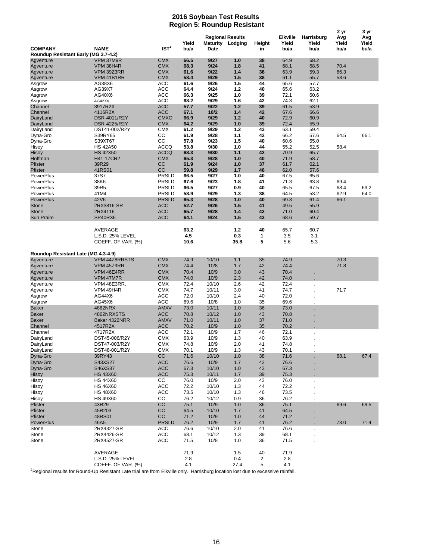#### **2016 Soybean Test Results Region 5: Roundup Resistant**

|                                      |                          |                          |               |                                                     |            |              |                                  |                             | 2 <sub>yr</sub>      | 3 yr                 |
|--------------------------------------|--------------------------|--------------------------|---------------|-----------------------------------------------------|------------|--------------|----------------------------------|-----------------------------|----------------------|----------------------|
| <b>COMPANY</b>                       | <b>NAME</b>              | IST <sup>1</sup>         | Yield<br>bu/a | <b>Regional Results</b><br>Maturity Lodging<br>Date |            | Height<br>in | <b>Elkville</b><br>Yield<br>bu/a | Harrisburg<br>Yield<br>bu/a | Avg<br>Yield<br>bu/a | Avg<br>Yield<br>bu/a |
| Roundup Resistant Early (MG 3.7-4.2) |                          |                          |               |                                                     |            |              |                                  |                             |                      |                      |
| Agventure<br>Agventure               | VPM 37M9R<br>VPM 38H4R   | <b>CMX</b><br><b>CMX</b> | 66.5<br>68.3  | 9/27<br>9/24                                        | 1.0<br>1.8 | 38<br>41     | 64.9<br>68.1                     | 68.2<br>68.5                | 70.4                 |                      |
| Agventure                            | VPM 39Z3RR               | <b>CMX</b>               | 61.6          | 9/22                                                | 1.4        | 38           | 63.9                             | 59.3                        | 66.3                 |                      |
| Agventure                            | VPM 41B1RR               | <b>CMX</b>               | 58.4          | 9/29                                                | 1.5        | 38           | 61.1                             | 55.7                        | 58.6                 |                      |
| Asgrow                               | AG38X6                   | ACC                      | 61.6          | 9/26                                                | 1.5        | 44           | 65.6                             | 57.7                        |                      |                      |
| Asgrow                               | AG39X7                   | ACC                      | 64.4          | 9/24                                                | 1.2        | 40           | 65.6                             | 63.2                        |                      |                      |
| Asgrow                               | AG40X6                   | <b>ACC</b>               | 66.3          | 9/25                                                | 1.0        | 39           | 72.1                             | 60.6                        |                      |                      |
| Asgrow                               | AG42X6                   | ACC                      | 68.2          | 9/29                                                | 1.6        | 42           | 74.3                             | 62.1                        |                      |                      |
| Channel<br>Channel                   | 3917R2X<br>4116R2X       | <b>ACC</b><br><b>ACC</b> | 57.7<br>67.1  | 9/22<br>$10/2$                                      | 1.2<br>1.4 | 39<br>42     | 61.5<br>67.6                     | 53.9<br>66.6                |                      |                      |
| DairyLand                            | DSR-4011/R2Y             | <b>CMXO</b>              | 66.9          | 9/29                                                | 1.2        | 40           | 72.9                             | 60.9                        |                      |                      |
| DairyLand                            | DSR-4225/R2Y             | <b>CMX</b>               | 64.2          | 9/29                                                | 1.0        | 39           | 72.4                             | 55.9                        |                      |                      |
| DairyLand                            | DST41-002/R2Y            | <b>CMX</b>               | 61.2          | 9/29                                                | 1.2        | 43           | 63.1                             | 59.4                        |                      |                      |
| Dyna-Gro                             | S39RY65                  | СC                       | 61.9          | 9/28                                                | 1.1        | 42           | 66.2                             | 57.6                        | 64.5                 | 66.1                 |
| Dyna-Gro                             | S39XT67                  | CC                       | 57.8          | 9/23                                                | 1.5        | 40           | 60.6                             | 55.0                        |                      |                      |
| Hisoy                                | <b>HS 42A50</b>          | <b>ACCQ</b>              | 53.8          | 9/30                                                | 1.0        | 44           | 55.2                             | 52.5                        | 58.4                 |                      |
| Hisoy                                | <b>HS 42X50</b>          | <b>ACCQ</b>              | 68.3          | 9/30                                                | 1.1        | 42           | 70.9                             | 65.7                        |                      |                      |
| Hoffman                              | H41-17CR2                | <b>CMX</b>               | 65.3          | 9/28                                                | 1.0        | 40           | 71.9                             | 58.7                        |                      |                      |
| Pfister<br>Pfister                   | 39R29<br>41RS01          | cc<br>CС                 | 61.9<br>59.8  | 9/24<br>9/29                                        | 1.0<br>1.7 | 37<br>46     | 61.7<br>62.0                     | 62.1<br>57.6                |                      |                      |
| PowerPlus                            | 37S7                     | <b>PRSLD</b>             | 66.5          | 9/27                                                | 1.0        | 40           | 67.5                             | 65.6                        |                      |                      |
| PowerPlus                            | 38K6                     | <b>PRSLD</b>             | 67.6          | 9/23                                                | 1.8        | 41           | 71.3                             | 63.8                        | 69.4                 |                      |
| PowerPlus                            | 39R5                     | <b>PRSLD</b>             | 66.5          | 9/27                                                | 0.9        | 40           | 65.5                             | 67.5                        | 68.4                 | 69.2                 |
| PowerPlus                            | 41M4                     | <b>PRSLD</b>             | 58.9          | 9/29                                                | 1.3        | 38           | 64.5                             | 53.2                        | 62.9                 | 64.0                 |
| <b>PowerPlus</b>                     | 42V6                     | <b>PRSLD</b>             | 65.3          | 9/28                                                | 1.0        | 40           | 69.3                             | 61.4                        | 66.1                 |                      |
| Stone                                | 2RX3816-SR               | <b>ACC</b>               | 52.7          | 9/26                                                | 1.5        | 41           | 49.5                             | 55.9                        |                      |                      |
| <b>Stone</b>                         | 2RX4116                  | <b>ACC</b>               | 65.7          | 9/28                                                | 1.4        | 42           | 71.0                             | 60.4                        |                      |                      |
| <b>Sun Praire</b>                    | SP40RX6                  | <b>ACC</b>               | 64.1          | 9/24                                                | 1.5        | 43           | 68.6                             | 59.7                        |                      |                      |
|                                      |                          |                          |               |                                                     |            |              |                                  |                             |                      |                      |
|                                      | AVERAGE                  |                          | 63.2          |                                                     | 1.2        | 40           | 65.7                             | 60.7                        |                      |                      |
|                                      | L.S.D. 25% LEVEL         |                          | 4.5           |                                                     | 0.3        | 1            | 3.5                              | 3.1                         |                      |                      |
|                                      | COEFF. OF VAR. (%)       |                          | 10.6          |                                                     | 35.8       | 5            | 5.6                              | 5.3                         |                      |                      |
| Roundup Resistant Late (MG 4.3-4.9)  |                          |                          |               |                                                     |            |              |                                  |                             |                      |                      |
| Agventure                            | VPM 44Z8RRSTS            | <b>CMX</b>               | 74.9          | 10/10                                               | 1.1        | 35           | 74.9                             |                             | 70.3                 |                      |
| Agventure                            | VPM 45Z9RR               | <b>CMX</b>               | 74.4          | 10/8                                                | 1.7        | 42           | 74.4                             |                             | 71.8                 |                      |
| Agventure                            | VPM 46E4RR               | <b>CMX</b>               | 70.4          | 10/9                                                | 3.0        | 43           | 70.4                             |                             |                      |                      |
| Agventure                            | VPM 47M7R                | <b>CMX</b>               | 74.0          | 10/9                                                | 2.3        | 42           | 74.0                             |                             |                      |                      |
| Agventure                            | VPM 48E3RR.              | <b>CMX</b>               | 72.4          | 10/10                                               | 2.6        | 42           | 72.4                             |                             |                      |                      |
| Agventure                            | VPM 49H4R                | <b>CMX</b>               | 74.7          | 10/11                                               | 3.0        | 41           | 74.7                             |                             | 71.7                 |                      |
| Asgrow                               | AG44X6                   | ACC                      | 72.0          | 10/10                                               | 2.4        | 40           | 72.0                             |                             |                      |                      |
| Asgrow                               | AG45X6                   | <b>ACC</b>               | 69.6          | 10/8                                                | 1.0        | 35           | 69.6                             |                             |                      |                      |
| <b>Baker</b>                         | 4862NRX                  | <b>AMXV</b>              | 73.0          | 10/11                                               | 1.0        | 36           | 73.0                             |                             |                      |                      |
| <b>Baker</b>                         | 4862NRXSTS               | <b>ACC</b>               | 70.8          | 10/12                                               | 1.0        | 43           | 70.8                             |                             |                      |                      |
| <b>Baker</b>                         | Baker 4322NRR            | <b>AMXV</b>              | 71.0          | 10/11                                               | 1.0        | 37           | 71.0                             |                             |                      |                      |
| Channel                              | 4517R2X                  | <b>ACC</b>               | 70.2<br>72.1  | 10/9<br>10/9                                        | 1.0        | 35           | 70.2<br>72.1                     |                             |                      |                      |
| Channel<br>DairyLand                 | 4717R2X<br>DST45-006/R2Y | ACC<br><b>CMX</b>        | 63.9          | 10/9                                                | 1.7<br>1.3 | 46<br>40     | 63.9                             |                             |                      |                      |
| DairyLand                            | DST47-003/R2Y            | <b>CMX</b>               | 74.8          | 10/9                                                | 2.0        | 41           | 74.8                             |                             |                      |                      |
| DairyLand                            | DST48-001/R2Y            | <b>CMX</b>               | 70.1          | 10/9                                                | 1.3        | 43           | 70.1                             |                             |                      |                      |
| Dyna-Gro                             | 39RY43                   | cc                       | 71.6          | 10/10                                               | 1.0        | 38           | 71.6                             |                             | 68.1                 | 67.4                 |
| Dyna-Gro                             | S43XS27                  | <b>ACC</b>               | 76.6          | 10/9                                                | 1.7        | 42           | 76.6                             |                             |                      |                      |
| Dyna-Gro                             | S46XS87                  | <b>ACC</b>               | 67.3          | 10/10                                               | 1.0        | 43           | 67.3                             |                             |                      |                      |
| Hisoy                                | <b>HS 43X60</b>          | <b>ACC</b>               | 75.3          | 10/11                                               | 1.7        | 39           | 75.3                             |                             |                      |                      |
| Hisoy                                | <b>HS 44X60</b>          | СC                       | 76.0          | 10/9                                                | 2.0        | 43           | 76.0                             |                             |                      |                      |
| Hisoy                                | <b>HS 46X60</b>          | <b>ACC</b>               | 72.2          | 10/10                                               | 1.3        | 44           | 72.2                             |                             |                      |                      |
| Hisoy                                | <b>HS 48X60</b>          | <b>ACC</b>               | 73.5          | 10/10                                               | 1.3        | 46           | 73.5                             |                             |                      |                      |
| Hisoy                                | <b>HS 49X60</b>          | СC                       | 76.2          | 10/12                                               | 0.9        | 36           | 76.2                             |                             |                      |                      |
| Pfister                              | 43R29                    | CC                       | 75.1          | 10/9                                                | 1.0        | 36           | 75.1                             |                             | 69.6                 | 69.5                 |
| Pfister                              | 45R203                   | CC                       | 64.5          | 10/10                                               | 1.7        | 41           | 64.5                             |                             |                      |                      |
| Pfister                              | 48RS01                   | cc                       | 71.2          | 10/9                                                | 1.0        | 44           | 71.2                             |                             |                      |                      |
| <b>PowerPlus</b>                     | 46A5                     | <b>PRSLD</b>             | 76.2          | 10/9                                                | 1.7        | 41           | 76.2                             |                             | 73.0                 | 71.4                 |
| Stone                                | 2RX4327-SR               | ACC                      | 76.6          | 10/10                                               | 2.0        | 41           | 76.6                             |                             |                      |                      |
| Stone                                | 2RX4426-SR               | <b>ACC</b>               | 68.1          | 10/12                                               | 1.3        | 39           | 68.1                             |                             |                      |                      |
| Stone                                | 2RX4527-SR               | <b>ACC</b>               | 71.5          | 10/8                                                | 1.0        | 36           | 71.5                             |                             |                      |                      |
|                                      | AVERAGE                  |                          | 71.9          |                                                     | 1.5        | 40           | 71.9                             |                             |                      |                      |
|                                      | L.S.D. 25% LEVEL         |                          | 2.8           |                                                     | 0.4        | 2            | 2.8                              |                             |                      |                      |
|                                      | COEFF. OF VAR. (%)       |                          | 4.1           |                                                     | 27.4       | 5            | 4.1                              |                             |                      |                      |

<sup>2</sup>Regional results for Round-Up Resistant Late trial are from Elkville only. Harrisburg location lost due to excessive rainfall.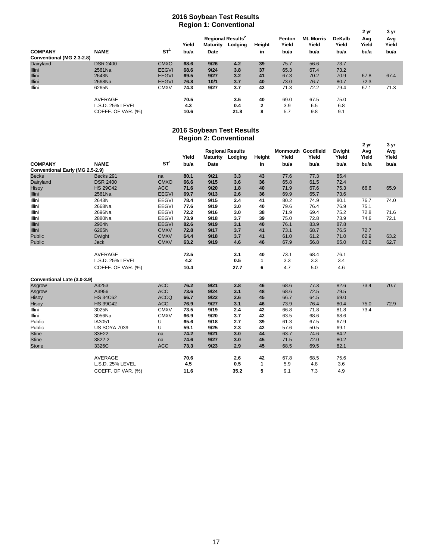#### **2016 Soybean Test Results Region 1: Conventional**

|                           |                    |                 | ~<br>Yield | <b>Maturity</b> | <b>Regional Results<sup>2</sup></b><br>Lodging | Height       | Fenton<br>Yield | <b>Mt. Morris</b><br>Yield | DeKalb<br>Yield | 2 yr<br>Avg<br>Yield | 3 yr<br>Avg<br>Yield |
|---------------------------|--------------------|-----------------|------------|-----------------|------------------------------------------------|--------------|-----------------|----------------------------|-----------------|----------------------|----------------------|
| <b>COMPANY</b>            | <b>NAME</b>        | ST <sup>1</sup> | bu/a       | <b>Date</b>     |                                                | in           | bu/a            | bu/a                       | bu/a            | bu/a                 | bu/a                 |
| Conventional (MG 2.3-2.8) |                    |                 |            |                 |                                                |              |                 |                            |                 |                      |                      |
| Dairyland                 | <b>DSR 2400</b>    | <b>CMXO</b>     | 68.6       | 9/26            | 4.2                                            | 39           | 75.7            | 56.6                       | 73.7            |                      |                      |
| <b>Illini</b>             | 2561Na             | <b>EEGVI</b>    | 68.6       | 9/24            | 3.8                                            | 37           | 65.3            | 67.4                       | 73.2            |                      |                      |
| <b>Illini</b>             | 2643N              | <b>EEGVI</b>    | 69.5       | 9/27            | 3.2                                            | 41           | 67.3            | 70.2                       | 70.9            | 67.8                 | 67.4                 |
| <b>Illini</b>             | 2668Na             | <b>EEGVI</b>    | 76.8       | 10/1            | 3.7                                            | 40           | 73.0            | 76.7                       | 80.7            | 72.3                 |                      |
| Illini                    | 6265N              | <b>CMXV</b>     | 74.3       | 9/27            | 3.7                                            | 42           | 71.3            | 72.2                       | 79.4            | 67.1                 | 71.3                 |
|                           | AVERAGE            |                 | 70.5       |                 | 3.5                                            | 40           | 69.0            | 67.5                       | 75.0            |                      |                      |
|                           | L.S.D. 25% LEVEL   |                 | 4.3        |                 | 0.4                                            | $\mathbf{2}$ | 3.9             | 6.5                        | 6.8             |                      |                      |
|                           | COEFF. OF VAR. (%) |                 | 10.6       |                 | 21.8                                           | 8            | 5.7             | 9.8                        | 9.1             |                      |                      |

#### **Region 2: Conventional 2016 Soybean Test Results**

| ־ט                              |                     |                 |       |      |                                             |        |                                    |       |                        |                      |                      |
|---------------------------------|---------------------|-----------------|-------|------|---------------------------------------------|--------|------------------------------------|-------|------------------------|----------------------|----------------------|
|                                 |                     |                 | Yield |      | <b>Regional Results</b><br>Maturity Lodging | Height | <b>Monmouth Goodfield</b><br>Yield | Yield | <b>Dwight</b><br>Yield | 2 yr<br>Avg<br>Yield | 3 yr<br>Avg<br>Yield |
| <b>COMPANY</b>                  | <b>NAME</b>         | ST <sup>1</sup> | bu/a  | Date |                                             | in     | bu/a                               | bu/a  | bu/a                   | bu/a                 | bu/a                 |
| Conventional Early (MG 2.5-2.9) |                     |                 |       |      |                                             |        |                                    |       |                        |                      |                      |
| <b>Becks</b>                    | Becks 291           | na              | 80.1  | 9/21 | 3.3                                         | 43     | 77.6                               | 77.3  | 85.4                   |                      |                      |
| Dairyland                       | <b>DSR 2400</b>     | <b>CMXO</b>     | 66.6  | 9/15 | 3.6                                         | 36     | 65.8                               | 61.5  | 72.4                   |                      |                      |
| Hisoy                           | <b>HS 29C42</b>     | <b>ACC</b>      | 71.6  | 9/20 | 1.8                                         | 40     | 71.9                               | 67.6  | 75.3                   | 66.6                 | 65.9                 |
| Illini                          | 2561Na              | <b>EEGVI</b>    | 69.7  | 9/13 | 2.6                                         | 36     | 69.9                               | 65.7  | 73.6                   |                      |                      |
| Illini                          | 2643N               | <b>EEGVI</b>    | 78.4  | 9/15 | 2.4                                         | 41     | 80.2                               | 74.9  | 80.1                   | 76.7                 | 74.0                 |
| Illini                          | 2668Na              | <b>EEGVI</b>    | 77.6  | 9/19 | 3.0                                         | 40     | 79.6                               | 76.4  | 76.9                   | 75.1                 |                      |
| Illini                          | 2696Na              | <b>EEGVI</b>    | 72.2  | 9/16 | 3.0                                         | 38     | 71.9                               | 69.4  | 75.2                   | 72.8                 | 71.6                 |
| Illini                          | 2880Na              | <b>EEGVI</b>    | 73.9  | 9/18 | 3.7                                         | 39     | 75.0                               | 72.8  | 73.9                   | 74.6                 | 72.1                 |
| Illini                          | 2904N               | <b>EEGVI</b>    | 82.6  | 9/19 | 3.1                                         | 40     | 76.1                               | 83.9  | 87.8                   |                      |                      |
| Illini                          | 6265N               | <b>CMXV</b>     | 72.8  | 9/17 | 3.7                                         | 41     | 73.1                               | 68.7  | 76.5                   | 72.7                 |                      |
| Public                          | Dwight              | <b>CMXV</b>     | 64.4  | 9/18 | 3.7                                         | 41     | 61.0                               | 61.2  | 71.0                   | 62.9                 | 63.2                 |
| Public                          | Jack                | <b>CMXV</b>     | 63.2  | 9/19 | 4.6                                         | 46     | 67.9                               | 56.8  | 65.0                   | 63.2                 | 62.7                 |
|                                 |                     |                 |       |      |                                             |        |                                    |       |                        |                      |                      |
|                                 | AVERAGE             |                 | 72.5  |      | 3.1                                         | 40     | 73.1                               | 68.4  | 76.1                   |                      |                      |
|                                 | L.S.D. 25% LEVEL    |                 | 4.2   |      | 0.5                                         | 1      | 3.3                                | 3.3   | 3.4                    |                      |                      |
|                                 | COEFF. OF VAR. (%)  |                 | 10.4  |      | 27.7                                        | 6      | 4.7                                | 5.0   | 4.6                    |                      |                      |
|                                 |                     |                 |       |      |                                             |        |                                    |       |                        |                      |                      |
| Conventional Late (3.0-3.9)     |                     |                 |       |      |                                             |        |                                    |       |                        |                      |                      |
| Asgrow                          | A3253               | <b>ACC</b>      | 76.2  | 9/21 | 2.8                                         | 46     | 68.6                               | 77.3  | 82.6                   | 73.4                 | 70.7                 |
| Asgrow                          | A3956               | <b>ACC</b>      | 73.6  | 9/24 | 3.1                                         | 48     | 68.6                               | 72.5  | 79.5                   |                      |                      |
| Hisoy                           | <b>HS 34C62</b>     | <b>ACCQ</b>     | 66.7  | 9/22 | 2.6                                         | 45     | 66.7                               | 64.5  | 69.0                   |                      |                      |
| Hisoy                           | <b>HS 39C42</b>     | <b>ACC</b>      | 76.9  | 9/27 | 3.1                                         | 46     | 73.9                               | 76.4  | 80.4                   | 75.0                 | 72.9                 |
| Illini                          | 3025N               | <b>CMXV</b>     | 73.5  | 9/19 | 2.4                                         | 42     | 66.8                               | 71.8  | 81.8                   | 73.4                 |                      |
| Illini                          | 3056Na              | <b>CMXV</b>     | 66.9  | 9/20 | 3.7                                         | 42     | 63.5                               | 68.6  | 68.6                   |                      |                      |
| Public                          | IA3051              | U               | 65.6  | 9/18 | 2.7                                         | 39     | 61.3                               | 67.5  | 67.9                   |                      |                      |
| Public                          | <b>US SOYA 7039</b> | U               | 59.1  | 9/25 | 2.3                                         | 42     | 57.6                               | 50.5  | 69.1                   |                      |                      |
| <b>Stine</b>                    | 33E22               | na              | 74.2  | 9/21 | 3.0                                         | 44     | 63.7                               | 74.6  | 84.2                   |                      |                      |
| <b>Stine</b>                    | 3822-2              | na              | 74.6  | 9/27 | 3.0                                         | 45     | 71.5                               | 72.0  | 80.2                   |                      |                      |
| Stone                           | 3326C               | <b>ACC</b>      | 73.3  | 9/23 | 2.9                                         | 45     | 68.5                               | 69.5  | 82.1                   |                      |                      |
|                                 |                     |                 |       |      |                                             |        |                                    |       |                        |                      |                      |
|                                 | <b>AVERAGE</b>      |                 | 70.6  |      | 2.6                                         | 42     | 67.8                               | 68.5  | 75.6                   |                      |                      |
|                                 | L.S.D. 25% LEVEL    |                 | 4.5   |      | 0.5                                         | 1      | 5.9                                | 4.8   | 3.6                    |                      |                      |
|                                 | COEFF. OF VAR. (%)  |                 | 11.6  |      | 35.2                                        | 5      | 9.1                                | 7.3   | 4.9                    |                      |                      |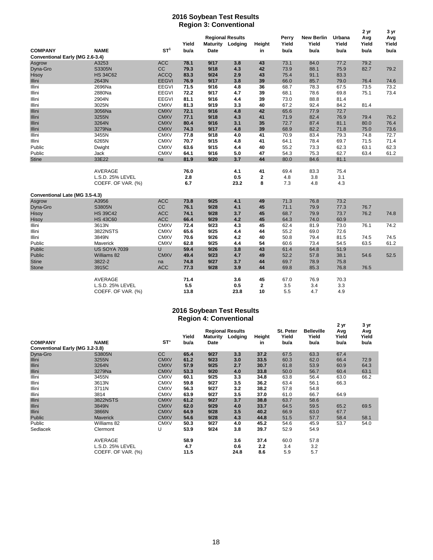#### **2016 Soybean Test Results Region 3: Conventional**

| ־ט                              |                     |              |              |              |                                                    |              |                | 2 yr                       | 3 yr            |              |              |
|---------------------------------|---------------------|--------------|--------------|--------------|----------------------------------------------------|--------------|----------------|----------------------------|-----------------|--------------|--------------|
|                                 |                     |              | Yield        |              | <b>Regional Results</b><br><b>Maturity Lodging</b> | Height       | Perry<br>Yield | <b>New Berlin</b><br>Yield | Urbana<br>Yield | Avg<br>Yield | Avg<br>Yield |
| <b>COMPANY</b>                  | <b>NAME</b>         | $ST^1$       | bu/a         | <b>Date</b>  |                                                    | in           | bu/a           | bu/a                       | bu/a            | bu/a         | bu/a         |
| Conventional Early (MG 2.6-3.4) |                     |              |              |              |                                                    |              |                |                            |                 |              |              |
| Asgrow                          | A3253               | <b>ACC</b>   | 78.1         | 9/17         | 3.8                                                | 43           | 73.1           | 84.0                       | 77.2            | 79.2         |              |
| Dyna-Gro                        | S3305N              | <b>CC</b>    | 79.3         | 9/18         | 4.3                                                | 42           | 73.9           | 88.1                       | 75.9            | 82.7         | 79.2         |
| Hisoy                           | <b>HS 34C62</b>     | <b>ACCQ</b>  | 83.3         | 9/24         | 2.9                                                | 43           | 75.4           | 91.1                       | 83.3            |              |              |
| Illini                          | 2643N               | <b>EEGVI</b> | 76.9         | 9/17         | 3.8                                                | 39           | 66.0           | 85.7                       | 79.0            | 76.4         | 74.6         |
| Illini                          | 2696Na<br>2880Na    | <b>EEGVI</b> | 71.5<br>72.2 | 9/16<br>9/17 | 4.8<br>4.7                                         | 36           | 68.7           | 78.3                       | 67.5            | 73.5         | 73.2         |
| Illini                          |                     | <b>EEGVI</b> |              |              |                                                    | 39           | 68.1           | 78.6                       | 69.8            | 75.1         | 73.4         |
| Illini                          | 2904N               | <b>EEGVI</b> | 81.1         | 9/16         | 4.4                                                | 39           | 73.0           | 88.8                       | 81.4            |              |              |
| Illini                          | 3025N               | <b>CMXV</b>  | 81.3         | 9/19         | 3.3                                                | 40           | 67.2           | 92.4                       | 84.2            | 81.4         |              |
| Illini                          | 3056Na              | <b>CMXV</b>  | 72.1         | 9/16         | 4.8                                                | 42           | 65.6           | 77.9                       | 72.7            |              |              |
| Illini                          | 3255N               | <b>CMXV</b>  | 77.1         | 9/18         | 4.3                                                | 41           | 71.9           | 82.4                       | 76.9            | 79.4         | 76.2         |
| Illini                          | 3264N               | <b>CMXV</b>  | 80.4         | 9/16         | 3.1                                                | 35           | 72.7           | 87.4                       | 81.1            | 80.0         | 76.4         |
| Illini                          | 3279Na              | <b>CMXV</b>  | 74.3         | 9/17         | 4.8                                                | 39           | 68.9           | 82.2                       | 71.8            | 75.0         | 73.6         |
| Illini                          | 3455N               | <b>CMXV</b>  | 77.8         | 9/18         | 4.0                                                | 41           | 70.9           | 83.4                       | 79.3            | 74.8         | 72.7         |
| Illini                          | 6265N               | <b>CMXV</b>  | 70.7         | 9/15         | 4.8                                                | 41           | 64.1           | 78.4                       | 69.7            | 71.5         | 71.4         |
| Public                          | Dwight              | <b>CMXV</b>  | 63.6         | 9/15         | 4.4                                                | 40           | 55.2           | 73.3                       | 62.3            | 63.1         | 62.3         |
| Public                          | Jack                | <b>CMXV</b>  | 64.1         | 9/16         | 5.0                                                | 47           | 54.3           | 75.3                       | 62.7            | 63.4         | 61.2         |
| <b>Stine</b>                    | 33E22               | na           | 81.9         | 9/20         | 3.7                                                | 44           | 80.0           | 84.6                       | 81.1            |              |              |
|                                 |                     |              |              |              |                                                    |              |                |                            |                 |              |              |
|                                 | AVERAGE             |              | 76.0         |              | 4.1                                                | 41           | 69.4           | 83.3                       | 75.4            |              |              |
|                                 | L.S.D. 25% LEVEL    |              | 2.8          |              | 0.5                                                | $\mathbf{2}$ | 4.8            | 3.8                        | 3.1             |              |              |
|                                 | COEFF. OF VAR. (%)  |              | 6.7          |              | 23.2                                               | 8            | 7.3            | 4.8                        | 4.3             |              |              |
| Conventional Late (MG 3.5-4.3)  |                     |              |              |              |                                                    |              |                |                            |                 |              |              |
| Asgrow                          | A3956               | <b>ACC</b>   | 73.8         | 9/25         | 4.1                                                | 49           | 71.3           | 76.8                       | 73.2            |              |              |
| Dyna-Gro                        | S3805N              | cc           | 76.1         | 9/28         | 4.1                                                | 45           | 71.1           | 79.9                       | 77.3            | 76.7         |              |
| Hisoy                           | <b>HS 39C42</b>     | <b>ACC</b>   | 74.1         | 9/28         | 3.7                                                | 45           | 68.7           | 79.9                       | 73.7            | 76.2         | 74.8         |
| Hisoy                           | <b>HS 43C60</b>     | <b>ACC</b>   | 66.4         | 9/29         | 4.2                                                | 45           | 64.3           | 74.0                       | 60.9            |              |              |
| Illini                          | 3613N               | <b>CMXV</b>  | 72.4         | 9/23         | 4.3                                                | 45           | 62.4           | 81.9                       | 73.0            | 76.1         | 74.2         |
| Illini                          | 3822NSTS            | <b>CMXV</b>  | 65.6         | 9/25         | 4.4                                                | 44           | 55.2           | 69.0                       | 72.6            |              |              |
| Illini                          | 3849N               | <b>CMXV</b>  | 70.6         | 9/26         | 4.2                                                | 40           | 50.8           | 79.4                       | 81.5            | 74.5         | 74.5         |
| Public                          | Maverick            | <b>CMXV</b>  | 62.8         | 9/25         | 4.4                                                | 54           | 60.6           | 73.4                       | 54.5            | 63.5         | 61.2         |
| Public                          | <b>US SOYA 7039</b> | U            | 59.4         | 9/26         | 3.8                                                | 43           | 61.4           | 64.8                       | 51.9            |              |              |
| Public                          | Williams 82         | <b>CMXV</b>  | 49.4         | 9/23         | 4.7                                                | 49           | 52.2           | 57.8                       | 38.1            | 54.6         | 52.5         |
| <b>Stine</b>                    | 3822-2              | na           | 74.8         | 9/27         | 3.7                                                | 44           | 69.7           | 78.9                       | 75.8            |              |              |
| <b>Stone</b>                    | 3915C               | <b>ACC</b>   | 77.3         | 9/28         | 3.9                                                | 44           | 69.8           | 85.3                       | 76.8            | 76.5         |              |
|                                 |                     |              |              |              |                                                    |              |                |                            |                 |              |              |
|                                 | <b>AVERAGE</b>      |              | 71.4         |              | 3.6                                                | 45           | 67.0           | 76.9                       | 70.3            |              |              |
|                                 | L.S.D. 25% LEVEL    |              | 5.5          |              | 0.5                                                | 2            | 3.5            | 3.4                        | 3.3             |              |              |
|                                 | COEFF. OF VAR. (%)  |              | 13.8         |              | 23.8                                               | 10           | 5.5            | 4.7                        | 4.9             |              |              |

#### **2016 Soybean Test Results Region 4: Conventional**

|                                 | ັ                  |                 |               |                         |                         |              |               |                   |               |               |
|---------------------------------|--------------------|-----------------|---------------|-------------------------|-------------------------|--------------|---------------|-------------------|---------------|---------------|
|                                 |                    |                 |               |                         | <b>Regional Results</b> |              | St. Peter     | <b>Belleville</b> | 2 yr<br>Avg   | 3 yr<br>Avg   |
| <b>COMPANY</b>                  | <b>NAME</b>        | ST <sup>1</sup> | Yield<br>bu/a | <b>Maturity</b><br>Date | Lodging                 | Height<br>in | Yield<br>bu/a | Yield<br>bu/a     | Yield<br>bu/a | Yield<br>bu/a |
| Conventional Early (MG 3.2-3.8) |                    |                 |               |                         |                         |              |               |                   |               |               |
| Dyna-Gro                        | S3805N             | cc              | 65.4          | 9/27                    | 3.3                     | 37.2         | 67.5          | 63.3              | 67.4          |               |
| Illini                          | 3255N              | <b>CMXV</b>     | 61.2          | 9/23                    | 3.0                     | 33.5         | 60.3          | 62.0              | 66.4          | 72.9          |
| Illini                          | 3264N              | <b>CMXV</b>     | 57.9          | 9/25                    | 2.7                     | 30.7         | 61.8          | 53.9              | 60.9          | 64.3          |
| Illini                          | 3279Na             | <b>CMXV</b>     | 53.3          | 9/20                    | 4.0                     | 33.8         | 50.0          | 56.7              | 60.4          | 63.1          |
| Illini                          | 3455N              | <b>CMXV</b>     | 60.1          | 9/25                    | 3.3                     | 34.8         | 63.8          | 56.4              | 63.0          | 66.2          |
| Illini                          | 3613N              | <b>CMXV</b>     | 59.8          | 9/27                    | 3.5                     | 36.2         | 63.4          | 56.1              | 66.3          |               |
| Illini                          | 3711N              | <b>CMXV</b>     | 56.3          | 9/27                    | 3.2                     | 38.2         | 57.8          | 54.8              |               |               |
| Illini                          | 3814               | <b>CMXV</b>     | 63.9          | 9/27                    | 3.5                     | 37.0         | 61.0          | 66.7              | 64.9          |               |
| <b>Illini</b>                   | 3822NSTS           | <b>CMXV</b>     | 61.2          | 9/27                    | 3.7                     | 38.8         | 63.7          | 58.6              |               |               |
| Illini                          | 3849N              | <b>CMXV</b>     | 62.0          | 9/29                    | 4.0                     | 33.7         | 64.5          | 59.5              | 65.2          | 69.5          |
| <b>Illini</b>                   | 3866N              | <b>CMXV</b>     | 64.9          | 9/28                    | 3.5                     | 40.2         | 66.9          | 63.0              | 67.7          |               |
| Public                          | <b>Maverick</b>    | <b>CMXV</b>     | 54.6          | 9/28                    | 4.3                     | 44.8         | 51.5          | 57.7              | 58.4          | 58.1          |
| Public                          | Williams 82        | <b>CMXV</b>     | 50.3          | 9/27                    | 4.0                     | 45.2         | 54.6          | 45.9              | 53.7          | 54.0          |
| Sedlacek                        | Clermont           | U               | 53.9          | 9/24                    | 3.8                     | 39.7         | 52.9          | 54.9              |               |               |
|                                 | <b>AVERAGE</b>     |                 | 58.9          |                         | 3.6                     | 37.4         | 60.0          | 57.8              |               |               |
|                                 | L.S.D. 25% LEVEL   |                 | 4.7           |                         | 0.6                     | 2.2          | 3.4           | 3.2               |               |               |
|                                 | COEFF. OF VAR. (%) |                 | 11.5          |                         | 24.8                    | 8.6          | 5.9           | 5.7               |               |               |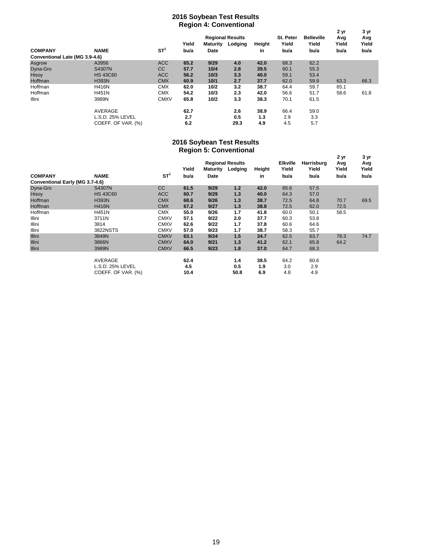#### **2016 Soybean Test Results Region 4: Conventional**

|                                |                    | ັ<br><b>Regional Results</b> |       |                 |         |        | St. Peter | <b>Belleville</b> | 2 yr<br>Avg | 3 yr<br>Avg |
|--------------------------------|--------------------|------------------------------|-------|-----------------|---------|--------|-----------|-------------------|-------------|-------------|
|                                |                    |                              | Yield | <b>Maturity</b> | Lodging | Height | Yield     | Yield             | Yield       | Yield       |
| <b>COMPANY</b>                 | <b>NAME</b>        | ST <sup>1</sup>              | bu/a  | Date            |         | in     | bu/a      | bu/a              | bu/a        | bu/a        |
| Conventional Late (MG 3.9-4.6) |                    |                              |       |                 |         |        |           |                   |             |             |
| Asgrow                         | A3956              | <b>ACC</b>                   | 65.2  | 9/29            | 4.0     | 42.0   | 68.3      | 62.2              |             |             |
| Dyna-Gro                       | S4307N             | cc                           | 57.7  | 10/4            | 2.8     | 39.5   | 60.1      | 55.3              |             |             |
| Hisoy                          | <b>HS 43C60</b>    | <b>ACC</b>                   | 56.2  | 10/3            | 3.3     | 40.0   | 59.1      | 53.4              |             |             |
| Hoffman                        | <b>H393N</b>       | <b>CMX</b>                   | 60.9  | 10/1            | 2.7     | 37.7   | 62.0      | 59.9              | 63.3        | 66.3        |
| Hoffman                        | <b>H416N</b>       | <b>CMX</b>                   | 62.0  | 10/2            | 3.2     | 38.7   | 64.4      | 59.7              | 65.1        |             |
| Hoffman                        | <b>H451N</b>       | <b>CMX</b>                   | 54.2  | 10/3            | 2.3     | 42.0   | 56.6      | 51.7              | 58.6        | 61.8        |
| Illini                         | 3989N              | <b>CMXV</b>                  | 65.8  | 10/2            | 3.3     | 38.3   | 70.1      | 61.5              |             |             |
|                                | AVERAGE            |                              | 62.7  |                 | 2.6     | 38.9   | 66.4      | 59.0              |             |             |
|                                | L.S.D. 25% LEVEL   |                              | 2.7   |                 | 0.5     | 1.3    | 2.9       | 3.3               |             |             |
|                                | COEFF. OF VAR. (%) |                              | 6.2   |                 | 29.3    | 4.9    | 4.5       | 5.7               |             |             |

#### **Region 5: Conventional 2016 Soybean Test Results**

|                                 |                                        |             | ັ           |          |                                    |            |                          |                     | 2 yr         | 3 yr         |
|---------------------------------|----------------------------------------|-------------|-------------|----------|------------------------------------|------------|--------------------------|---------------------|--------------|--------------|
|                                 |                                        |             | Yield       | Maturity | <b>Regional Results</b><br>Lodging | Height     | <b>Elkville</b><br>Yield | Harrisburg<br>Yield | Avg<br>Yield | Avg<br>Yield |
| <b>COMPANY</b>                  | <b>NAME</b>                            | $ST^1$      | bu/a        | Date     |                                    | in         | bu/a                     | bu/a                | bu/a         | bu/a         |
| Conventional Early (MG 3.7-4.6) |                                        |             |             |          |                                    |            |                          |                     |              |              |
| Dyna-Gro                        | S4307N                                 | cc          | 61.5        | 9/29     | 1.2                                | 42.0       | 65.6                     | 57.5                |              |              |
| Hisoy                           | <b>HS 43C60</b>                        | <b>ACC</b>  | 60.7        | 9/29     | 1.3                                | 40.0       | 64.3                     | 57.0                |              |              |
| Hoffman                         | H393N                                  | <b>CMX</b>  | 68.6        | 9/26     | 1.3                                | 38.7       | 72.5                     | 64.8                | 70.7         | 69.5         |
| Hoffman                         | <b>H416N</b>                           | <b>CMX</b>  | 67.2        | 9/27     | 1.3                                | 38.8       | 72.5                     | 62.0                | 72.5         |              |
| Hoffman                         | H451N                                  | <b>CMX</b>  | 55.0        | 9/26     | 1.7                                | 41.8       | 60.0                     | 50.1                | 58.5         |              |
| Illini                          | 3711N                                  | <b>CMXV</b> | 57.1        | 9/22     | 2.0                                | 37.7       | 60.3                     | 53.8                |              |              |
| Illini                          | 3814                                   | <b>CMXV</b> | 62.6        | 9/22     | 1.7                                | 37.8       | 60.6                     | 64.6                |              |              |
| Illini                          | 3822NSTS                               | <b>CMXV</b> | 57.0        | 9/23     | 1.7                                | 38.7       | 58.3                     | 55.7                |              |              |
| Illini                          | 3849N                                  | <b>CMXV</b> | 63.1        | 9/24     | 1.5                                | 34.7       | 62.5                     | 63.7                | 78.3         | 74.7         |
| Illini                          | 3866N                                  | <b>CMXV</b> | 64.0        | 9/21     | 1.3                                | 41.2       | 62.1                     | 65.8                | 64.2         |              |
| <b>Illini</b>                   | 3989N                                  | <b>CMXV</b> | 66.5        | 9/23     | 1.8                                | 37.0       | 64.7                     | 68.3                |              |              |
|                                 | AVERAGE                                |             | 62.4        |          | 1.4                                | 38.5       | 64.2                     | 60.6                |              |              |
|                                 |                                        |             |             |          |                                    |            |                          |                     |              |              |
|                                 | L.S.D. 25% LEVEL<br>COEFF. OF VAR. (%) |             | 4.5<br>10.4 |          | 0.5<br>50.8                        | 1.9<br>6.9 | 3.0<br>4.8               | 2.9<br>4.9          |              |              |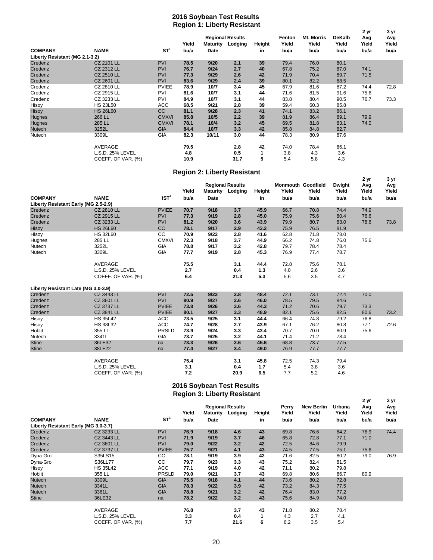#### **2016 Soybean Test Results Region 1: Liberty Resistant**

|                                |                    |                 | ັ     |                 |                         |        |        |                   |               | 2 yr  | 3 yr  |
|--------------------------------|--------------------|-----------------|-------|-----------------|-------------------------|--------|--------|-------------------|---------------|-------|-------|
|                                |                    |                 |       |                 | <b>Regional Results</b> |        | Fenton | <b>Mt. Morris</b> | <b>DeKalb</b> | Avg   | Avg   |
|                                |                    |                 | Yield | <b>Maturity</b> | Lodging                 | Height | Yield  | Yield             | Yield         | Yield | Yield |
| <b>COMPANY</b>                 | <b>NAME</b>        | ST <sup>1</sup> | bu/a  | Date            |                         | in     | bu/a   | bu/a              | bu/a          | bu/a  | bu/a  |
| Liberty Resistant (MG 2.1-3.2) |                    |                 |       |                 |                         |        |        |                   |               |       |       |
| Credenz                        | CZ 2101 LL         | <b>PVI</b>      | 78.5  | 9/20            | 2.1                     | 39     | 79.4   | 76.0              | 80.1          |       |       |
| Credenz                        | CZ 2312 LL         | <b>PVI</b>      | 76.7  | 9/24            | 2.7                     | 40     | 67.8   | 75.2              | 87.0          | 74.1  |       |
| Credenz                        | <b>CZ 2510 LL</b>  | <b>PVI</b>      | 77.3  | 9/29            | 2.6                     | 42     | 71.9   | 70.4              | 89.7          | 71.5  |       |
| Credenz                        | CZ 2601 LL         | <b>PVI</b>      | 83.6  | 9/29            | 2.4                     | 39     | 80.1   | 82.2              | 88.5          |       |       |
| Credenz                        | CZ 2810 LL         | <b>PVIEE</b>    | 78.9  | 10/7            | 3.4                     | 45     | 67.9   | 81.6              | 87.2          | 74.4  | 72.8  |
| Credenz                        | CZ 2915 LL         | PVI             | 81.6  | 10/7            | 3.1                     | 44     | 71.6   | 81.5              | 91.6          | 75.6  |       |
| Credenz                        | CZ 3233 LL         | PVI             | 84.9  | 10/7            | 3.1                     | 44     | 83.8   | 80.4              | 90.5          | 76.7  | 73.3  |
| Hisoy                          | <b>HS 23L50</b>    | ACC             | 68.5  | 9/21            | 2.8                     | 39     | 59.4   | 60.3              | 85.8          |       |       |
| Hisoy                          | <b>HS 26L60</b>    | CC              | 81.1  | 9/28            | 2.3                     | 41     | 74.1   | 83.2              | 86.1          |       |       |
| Hughes                         | 266 LL             | <b>CMXVI</b>    | 85.8  | 10/5            | 2.2                     | 39     | 81.9   | 86.4              | 89.1          | 79.9  |       |
| Hughes                         | 285 LL             | <b>CMXVI</b>    | 78.1  | 10/4            | 3.2                     | 45     | 69.5   | 81.8              | 83.1          | 74.0  |       |
| Nutech                         | 3252L              | <b>GIA</b>      | 84.4  | 10/7            | 3.3                     | 42     | 85.8   | 84.8              | 82.7          |       |       |
| Nutech                         | 3309L              | GIA             | 82.3  | 10/11           | 3.0                     | 44     | 78.3   | 80.9              | 87.6          |       |       |
|                                | AVERAGE            |                 | 79.5  |                 | 2.8                     | 42     | 74.0   | 78.4              | 86.1          |       |       |
|                                | L.S.D. 25% LEVEL   |                 | 4.8   |                 | 0.5                     | 1      | 3.8    | 4.3               | 3.6           |       |       |
|                                | COEFF. OF VAR. (%) |                 | 10.9  |                 | 31.7                    | 5      | 5.4    | 5.8               | 4.3           |       |       |

#### **Region 2: Liberty Resistant**

|                                      |                    |                  |       |                 |                         |        |                           |       |               | 2 <sub>yr</sub> | 3 yr  |
|--------------------------------------|--------------------|------------------|-------|-----------------|-------------------------|--------|---------------------------|-------|---------------|-----------------|-------|
|                                      |                    |                  |       |                 | <b>Regional Results</b> |        | <b>Monmouth Goodfield</b> |       | <b>Dwight</b> | Avg             | Avg   |
|                                      |                    |                  | Yield | <b>Maturity</b> | Lodging                 | Height | Yield                     | Yield | Yield         | Yield           | Yield |
| <b>COMPANY</b>                       | <b>NAME</b>        | IST <sup>1</sup> | bu/a  | Date            |                         | in     | bu/a                      | bu/a  | bu/a          | bu/a            | bu/a  |
| Liberty Resistant Early (MG 2.5-2.9) |                    |                  |       |                 |                         |        |                           |       |               |                 |       |
| Credenz                              | <b>CZ 2810 LL</b>  | <b>PVIEE</b>     | 70.7  | 9/18            | 3.7                     | 45.9   | 66.7                      | 70.8  | 74.4          | 74.9            |       |
| Credenz                              | CZ 2915 LL         | PVI              | 77.3  | 9/19            | 2.8                     | 45.0   | 75.9                      | 75.6  | 80.4          | 76.6            |       |
| Credenz                              | CZ 3233 LL         | PVI              | 81.2  | 9/20            | 3.6                     | 43.9   | 79.9                      | 80.7  | 83.0          | 78.6            | 73.8  |
| Hisoy                                | <b>HS 26L60</b>    | <b>CC</b>        | 78.1  | 9/17            | 2.9                     | 43.2   | 75.9                      | 76.5  | 81.9          |                 |       |
| Hisoy                                | HS 32L60           | СC               | 70.9  | 9/22            | 2.8                     | 41.6   | 62.8                      | 71.8  | 78.0          |                 |       |
| Hughes                               | 285 LL             | <b>CMXVI</b>     | 72.3  | 9/18            | 3.7                     | 44.9   | 66.2                      | 74.8  | 76.0          | 75.6            |       |
| Nutech                               | 3252L              | GIA              | 78.8  | 9/17            | 3.2                     | 42.8   | 79.7                      | 78.4  | 78.4          |                 |       |
| Nutech                               | 3309L              | GIA              | 77.7  | 9/19            | 2.8                     | 45.3   | 76.9                      | 77.4  | 78.7          |                 |       |
|                                      | <b>AVERAGE</b>     |                  | 75.5  |                 | 3.1                     | 44.4   | 72.8                      | 75.6  | 78.1          |                 |       |
|                                      | L.S.D. 25% LEVEL   |                  | 2.7   |                 | 0.4                     | 1.3    | 4.0                       | 2.6   | 3.6           |                 |       |
|                                      | COEFF. OF VAR. (%) |                  | 6.4   |                 | 21.3                    | 5.3    | 5.6                       | 3.5   | 4.7           |                 |       |
| Liberty Resistant Late (MG 3.0-3.9)  |                    |                  |       |                 |                         |        |                           |       |               |                 |       |
| Credenz                              | CZ 3443 LL         | <b>PVI</b>       | 72.5  | 9/22            | 2.8                     | 48.4   | 72.1                      | 73.1  | 72.4          | 70.0            |       |
| Credenz                              | CZ 3601 LL         | PVI              | 80.9  | 9/27            | 2.6                     | 46.0   | 78.5                      | 79.5  | 84.6          |                 |       |
| Credenz                              | CZ 3737 LL         | <b>PVIEE</b>     | 73.8  | 9/26            | 3.6                     | 44.3   | 71.2                      | 70.6  | 79.7          | 73.3            |       |
| Credenz                              | CZ 3841 LL         | <b>PVIEE</b>     | 80.1  | 9/27            | 3.3                     | 48.9   | 82.1                      | 75.6  | 82.5          | 80.6            | 73.2  |
| Hisoy                                | <b>HS 35L42</b>    | <b>ACC</b>       | 73.5  | 9/25            | 3.1                     | 44.4   | 66.4                      | 74.8  | 79.2          | 76.8            |       |
| Hisoy                                | <b>HS 38L32</b>    | <b>ACC</b>       | 74.7  | 9/28            | 2.7                     | 43.9   | 67.1                      | 76.2  | 80.8          | 77.1            | 72.6  |
| Hoblit                               | 355 LL             | <b>PRSLD</b>     | 73.9  | 9/24            | 3.3                     | 43.4   | 70.7                      | 70.0  | 80.9          | 75.6            |       |
| Nutech                               | 3341L              | GIA              | 73.7  | 9/25            | 3.2                     | 44.1   | 71.4                      | 71.2  | 78.4          |                 |       |
| <b>Stine</b>                         | 36LE32             | na               | 73.3  | 9/26            | 2.6                     | 45.6   | 68.8                      | 73.7  | 77.5          |                 |       |
| <b>Stine</b>                         | 38LF22             | na               | 77.4  | 9/27            | 3.4                     | 49.0   | 76.9                      | 77.7  | 77.7          |                 |       |
|                                      | AVERAGE            |                  | 75.4  |                 | 3.1                     | 45.8   | 72.5                      | 74.3  | 79.4          |                 |       |
|                                      | L.S.D. 25% LEVEL   |                  | 3.1   |                 | 0.4                     | 1.7    | 5.4                       | 3.8   | 3.6           |                 |       |
|                                      | COEFF. OF VAR. (%) |                  | 7.2   |                 | 20.9                    | 6.5    | 7.7                       | 5.2   | 4.6           |                 |       |

#### **Region 3: Liberty Resistant 2016 Soybean Test Results**

| ີ                                    |                    |                 |       |             | <b>Regional Results</b> |        | Perry | <b>New Berlin</b> | Urbana | 2 yr<br>Avg | 3 yr<br>Avg |
|--------------------------------------|--------------------|-----------------|-------|-------------|-------------------------|--------|-------|-------------------|--------|-------------|-------------|
|                                      |                    |                 | Yield | Maturity    | Lodging                 | Height | Yield | Yield             | Yield  | Yield       | Yield       |
| <b>COMPANY</b>                       | <b>NAME</b>        | ST <sup>1</sup> | bu/a  | <b>Date</b> |                         | in     | bu/a  | bu/a              | bu/a   | bu/a        | bu/a        |
| Liberty Resistant Early (MG 3.0-3.7) |                    |                 |       |             |                         |        |       |                   |        |             |             |
| Credenz                              | CZ 3233 LL         | <b>PVI</b>      | 76.9  | 9/18        | 4.6                     | 43     | 69.8  | 76.6              | 84.2   | 76.9        | 74.4        |
| Credenz                              | CZ 3443 LL         | <b>PVI</b>      | 71.9  | 9/19        | 3.7                     | 46     | 65.8  | 72.8              | 77.1   | 71.0        |             |
| Credenz                              | CZ 3601 LL         | <b>PVI</b>      | 79.0  | 9/22        | 3.2                     | 42     | 72.5  | 84.6              | 79.9   |             |             |
| Credenz                              | CZ 3737 LL         | <b>PVIEE</b>    | 75.7  | 9/21        | 4.1                     | 43     | 74.5  | 77.5              | 75.1   | 75.6        |             |
| Dyna-Gro                             | S35LS15            | CC              | 78.1  | 9/19        | 3.9                     | 42     | 71.6  | 82.5              | 80.2   | 79.0        | 76.9        |
| Dyna-Gro                             | S36LL77            | СC              | 79.7  | 9/23        | 3.3                     | 43     | 75.2  | 82.4              | 81.5   |             |             |
| Hisoy                                | <b>HS 35L42</b>    | ACC             | 77.1  | 9/19        | 4.0                     | 42     | 71.1  | 80.2              | 79.8   |             |             |
| Hoblit                               | 355 LL             | <b>PRSLD</b>    | 79.0  | 9/21        | 3.7                     | 43     | 69.8  | 80.6              | 86.7   | 80.9        |             |
| <b>Nutech</b>                        | 3309L              | <b>GIA</b>      | 75.5  | 9/18        | 4.1                     | 44     | 73.6  | 80.2              | 72.8   |             |             |
| <b>Nutech</b>                        | 3341L              | <b>GIA</b>      | 78.3  | 9/22        | 3.9                     | 42     | 73.2  | 84.3              | 77.5   |             |             |
| <b>Nutech</b>                        | 3361L              | <b>GIA</b>      | 78.8  | 9/21        | 3.2                     | 42     | 76.4  | 83.0              | 77.2   |             |             |
| <b>Stine</b>                         | 36LE32             | na              | 78.2  | 9/22        | 3.2                     | 43     | 75.6  | 84.9              | 74.0   |             |             |
|                                      | AVERAGE            |                 | 76.8  |             | 3.7                     | 43     | 71.8  | 80.2              | 78.4   |             |             |
|                                      | L.S.D. 25% LEVEL   |                 | 3.3   |             | 0.4                     |        | 4.3   | 2.7               | 4.1    |             |             |
|                                      | COEFF. OF VAR. (%) |                 | 7.7   |             | 21.6                    | 6      | 6.2   | 3.5               | 5.4    |             |             |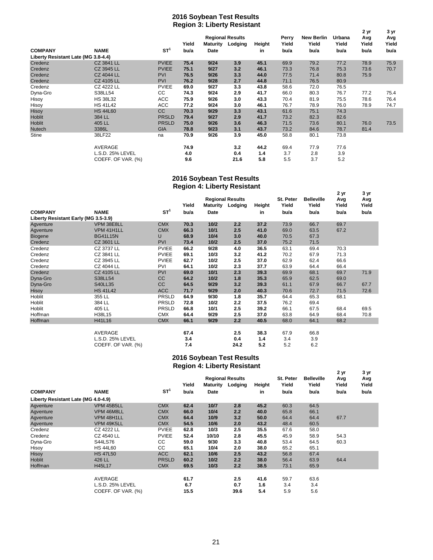#### **2016 Soybean Test Results Region 3: Liberty Resistant**

|                                     |                    |                 |       |                         |         |        |       |                   |        | 2 yr  | 3 yr  |
|-------------------------------------|--------------------|-----------------|-------|-------------------------|---------|--------|-------|-------------------|--------|-------|-------|
|                                     |                    |                 |       | <b>Regional Results</b> |         |        | Perry | <b>New Berlin</b> | Urbana | Avg   | Avg   |
|                                     |                    |                 | Yield | <b>Maturity</b>         | Lodging | Height | Yield | Yield             | Yield  | Yield | Yield |
| <b>COMPANY</b>                      | <b>NAME</b>        | ST <sup>1</sup> | bu/a  | <b>Date</b>             |         | in     | bu/a  | bu/a              | bu/a   | bu/a  | bu/a  |
| Liberty Resistant Late (MG 3.8-4.4) |                    |                 |       |                         |         |        |       |                   |        |       |       |
| Credenz                             | CZ 3841 LL         | <b>PVIEE</b>    | 75.4  | 9/24                    | 3.9     | 45.1   | 69.9  | 79.2              | 77.2   | 78.9  | 75.9  |
| Credenz                             | CZ 3945 LL         | <b>PVIEE</b>    | 75.1  | 9/27                    | 3.2     | 46.1   | 73.3  | 76.8              | 75.3   | 73.6  | 70.7  |
| Credenz                             | <b>CZ 4044 LL</b>  | <b>PVI</b>      | 76.5  | 9/26                    | 3.3     | 44.0   | 77.5  | 71.4              | 80.8   | 75.9  |       |
| Credenz                             | <b>CZ 4105 LL</b>  | PVI             | 76.2  | 9/28                    | 2.7     | 44.8   | 71.1  | 76.5              | 80.9   |       |       |
| Credenz                             | <b>CZ 4222 LL</b>  | <b>PVIEE</b>    | 69.0  | 9/27                    | 3.3     | 43.8   | 58.6  | 72.0              | 76.5   |       |       |
| Dyna-Gro                            | S38LL54            | CC              | 74.3  | 9/24                    | 2.9     | 41.7   | 66.0  | 80.3              | 76.7   | 77.2  | 75.4  |
| Hisoy                               | <b>HS 38L32</b>    | ACC             | 75.9  | 9/26                    | 3.0     | 43.3   | 70.4  | 81.9              | 75.5   | 78.6  | 76.4  |
| Hisoy                               | <b>HS 41L42</b>    | ACC             | 77.2  | 9/24                    | 3.0     | 46.1   | 76.7  | 78.9              | 76.0   | 78.9  | 74.7  |
| Hisoy                               | <b>HS 44L60</b>    | cc              | 70.3  | 9/29                    | 3.3     | 43.1   | 61.6  | 75.1              | 74.3   |       |       |
| Hoblit                              | 384 LL             | <b>PRSLD</b>    | 79.4  | 9/27                    | 2.9     | 41.7   | 73.2  | 82.3              | 82.6   |       |       |
| Hoblit                              | 405 LL             | <b>PRSLD</b>    | 75.0  | 9/26                    | 3.6     | 46.3   | 71.5  | 73.6              | 80.1   | 76.0  | 73.5  |
| <b>Nutech</b>                       | 3386L              | <b>GIA</b>      | 78.8  | 9/23                    | 3.1     | 43.7   | 73.2  | 84.6              | 78.7   | 81.4  |       |
| Stine                               | 38LF22             | na              | 70.9  | 9/26                    | 3.9     | 45.0   | 58.8  | 80.1              | 73.8   |       |       |
|                                     | AVERAGE            |                 | 74.9  |                         | 3.2     | 44.2   | 69.4  | 77.9              | 77.6   |       |       |
|                                     | L.S.D. 25% LEVEL   |                 | 4.0   |                         | 0.4     | 1.4    | 3.7   | 2.8               | 3.9    |       |       |
|                                     | COEFF. OF VAR. (%) |                 | 9.6   |                         | 21.6    | 5.8    | 5.5   | 3.7               | 5.2    |       |       |

#### **2016 Soybean Test Results Region 4: Liberty Resistant**

|                                      |                    |                 |       |                         |         |        |           |                   | 2 yr  | 3 yr  |
|--------------------------------------|--------------------|-----------------|-------|-------------------------|---------|--------|-----------|-------------------|-------|-------|
|                                      |                    |                 |       | <b>Regional Results</b> |         |        | St. Peter | <b>Belleville</b> | Avg   | Avg   |
|                                      |                    |                 | Yield | <b>Maturity</b>         | Lodging | Height | Yield     | Yield             | Yield | Yield |
| <b>COMPANY</b>                       | <b>NAME</b>        | ST <sup>1</sup> | bu/a  | <b>Date</b>             |         | in     | bu/a      | bu/a              | bu/a  | bu/a  |
| Liberty Resistant Early (MG 3.5-3.9) |                    |                 |       |                         |         |        |           |                   |       |       |
| Agventure                            | VPM 38E8LL         | <b>CMX</b>      | 70.3  | 10/2                    | 2.2     | 37.2   | 73.9      | 66.7              | 69.7  |       |
| Agventure                            | VPM 41H1LL         | <b>CMX</b>      | 66.3  | 10/1                    | 2.5     | 41.0   | 69.0      | 63.5              | 67.2  |       |
| <b>Biogene</b>                       | <b>BG41L15N</b>    | U               | 68.9  | 10/4                    | 3.0     | 40.0   | 70.5      | 67.3              |       |       |
| Credenz                              | CZ 3601 LL         | <b>PVI</b>      | 73.4  | 10/2                    | 2.5     | 37.0   | 75.2      | 71.5              |       |       |
| Credenz                              | CZ 3737 LL         | <b>PVIEE</b>    | 66.2  | 9/28                    | 4.0     | 36.5   | 63.1      | 69.4              | 70.3  |       |
| Credenz                              | CZ 3841 LL         | <b>PVIEE</b>    | 69.1  | 10/3                    | 3.2     | 41.2   | 70.2      | 67.9              | 71.3  |       |
| Credenz                              | CZ 3945 LL         | <b>PVIEE</b>    | 62.7  | 10/2                    | 2.5     | 37.0   | 62.9      | 62.4              | 66.6  |       |
| Credenz                              | CZ 4044 LL         | PVI             | 64.1  | 10/2                    | 2.3     | 37.7   | 63.9      | 64.4              | 66.4  |       |
| Credenz                              | <b>CZ 4105 LL</b>  | <b>PVI</b>      | 69.0  | 10/1                    | 2.3     | 39.3   | 69.9      | 68.1              | 69.7  | 71.9  |
| Dyna-Gro                             | S38LL54            | cc              | 64.2  | 10/2                    | 1.8     | 35.3   | 65.9      | 62.5              | 69.0  |       |
| Dyna-Gro                             | <b>S40LL35</b>     | cc              | 64.5  | 9/29                    | 3.2     | 39.3   | 61.1      | 67.9              | 66.7  | 67.7  |
| Hisoy                                | <b>HS 41L42</b>    | <b>ACC</b>      | 71.7  | 9/29                    | 2.0     | 40.3   | 70.6      | 72.7              | 71.5  | 72.6  |
| Hoblit                               | 355 LL             | <b>PRSLD</b>    | 64.9  | 9/30                    | 1.8     | 35.7   | 64.4      | 65.3              | 68.1  |       |
| Hoblit                               | 384 LL             | PRSLD           | 72.8  | 10/2                    | 2.2     | 37.5   | 76.2      | 69.4              |       |       |
| Hoblit                               | 405 LL             | PRSLD           | 66.8  | 10/1                    | 2.5     | 39.2   | 66.1      | 67.5              | 68.4  | 69.5  |
| Hoffman                              | H38L15             | <b>CMX</b>      | 64.4  | 9/29                    | 2.5     | 37.0   | 63.8      | 64.9              | 68.4  | 70.8  |
| Hoffman                              | H41L16             | <b>CMX</b>      | 66.1  | 9/29                    | 2.2     | 40.5   | 68.0      | 64.1              | 68.2  |       |
|                                      |                    |                 |       |                         |         |        |           |                   |       |       |
|                                      | <b>AVERAGE</b>     |                 | 67.4  |                         | 2.5     | 38.3   | 67.9      | 66.8              |       |       |
|                                      | L.S.D. 25% LEVEL   |                 | 3.4   |                         | 0.4     | 1.4    | 3.4       | 3.9               |       |       |
|                                      | COEFF. OF VAR. (%) |                 | 7.4   |                         | 24.2    | 5.2    | 5.2       | 6.2               |       |       |

#### **2016 Soybean Test Results Region 4: Liberty Resistant**

|                                     |                    |              | ັ     |                                                |      |        |                    |                            |                      |                      |
|-------------------------------------|--------------------|--------------|-------|------------------------------------------------|------|--------|--------------------|----------------------------|----------------------|----------------------|
|                                     |                    |              | Yield | <b>Regional Results</b><br>Maturity<br>Lodging |      | Height | St. Peter<br>Yield | <b>Belleville</b><br>Yield | 2 yr<br>Avg<br>Yield | 3 yr<br>Avg<br>Yield |
|                                     |                    | $ST^1$       |       |                                                |      |        |                    |                            |                      |                      |
| <b>COMPANY</b>                      | <b>NAME</b>        |              | bu/a  | Date                                           |      | in     | bu/a               | bu/a                       | bu/a                 | bu/a                 |
| Liberty Resistant Late (MG 4.0-4.9) |                    |              |       |                                                |      |        |                    |                            |                      |                      |
| Agventure                           | VPM 45B5LL         | <b>CMX</b>   | 62.4  | 10/7                                           | 2.8  | 45.2   | 60.3               | 64.5                       |                      |                      |
| Agventure                           | VPM 46M8LL         | <b>CMX</b>   | 66.0  | 10/4                                           | 2.2  | 40.0   | 65.8               | 66.1                       |                      |                      |
| Agventure                           | VPM 48H1LL         | <b>CMX</b>   | 64.4  | 10/9                                           | 3.2  | 50.0   | 64.4               | 64.4                       | 67.7                 |                      |
| Agventure                           | VPM 49K5LL         | <b>CMX</b>   | 54.5  | 10/6                                           | 2.0  | 43.2   | 48.4               | 60.5                       |                      |                      |
| Credenz                             | <b>CZ 4222 LL</b>  | <b>PVIEE</b> | 62.8  | 10/3                                           | 2.5  | 35.5   | 67.6               | 58.0                       |                      |                      |
| Credenz                             | CZ 4540 LL         | <b>PVIEE</b> | 52.4  | 10/10                                          | 2.8  | 45.5   | 45.9               | 58.9                       | 54.3                 |                      |
| Dyna-Gro                            | S44LS76            | CC           | 59.0  | 9/30                                           | 3.3  | 40.8   | 53.4               | 64.5                       | 60.3                 |                      |
| Hisoy                               | <b>HS 44L60</b>    | CC           | 65.1  | 10/4                                           | 2.0  | 38.0   | 65.2               | 65.1                       |                      |                      |
| Hisoy                               | <b>HS 47L50</b>    | <b>ACC</b>   | 62.1  | 10/6                                           | 2.5  | 43.2   | 56.8               | 67.4                       |                      |                      |
| <b>Hoblit</b>                       | 426 LL             | <b>PRSLD</b> | 60.2  | 10/2                                           | 2.2  | 38.0   | 56.4               | 63.9                       | 64.4                 |                      |
| Hoffman                             | H45L17             | <b>CMX</b>   | 69.5  | 10/3                                           | 2.2  | 38.5   | 73.1               | 65.9                       |                      |                      |
|                                     |                    |              |       |                                                |      |        |                    |                            |                      |                      |
|                                     | AVERAGE            |              | 61.7  |                                                | 2.5  | 41.6   | 59.7               | 63.6                       |                      |                      |
|                                     | L.S.D. 25% LEVEL   |              | 6.7   |                                                | 0.7  | 1.6    | 3.4                | 3.4                        |                      |                      |
|                                     | COEFF. OF VAR. (%) |              | 15.5  |                                                | 39.6 | 5.4    | 5.9                | 5.6                        |                      |                      |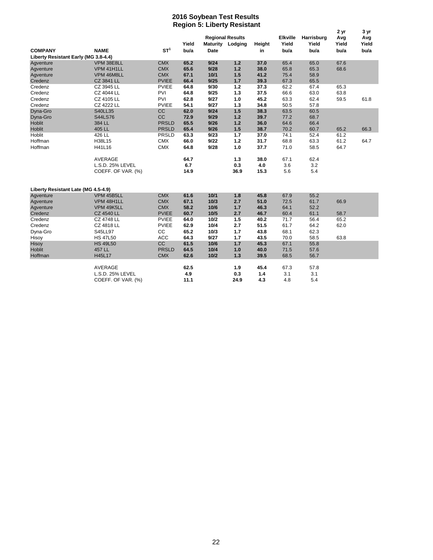#### **Region 5: Liberty Resistant 2016 Soybean Test Results**

|                                      |                    |              |       |                 |                         |        |                 |            | 2 yr         | 3 yr         |
|--------------------------------------|--------------------|--------------|-------|-----------------|-------------------------|--------|-----------------|------------|--------------|--------------|
|                                      |                    |              | Yield |                 | <b>Regional Results</b> |        | <b>Elkville</b> | Harrisburg | Avg<br>Yield | Avg<br>Yield |
| <b>COMPANY</b>                       | <b>NAME</b>        | $ST^1$       | bu/a  | <b>Maturity</b> | Lodging                 | Height | Yield           | Yield      | bu/a         | bu/a         |
| Liberty Resistant Early (MG 3.8-4.4) |                    |              |       | Date            |                         | in     | bu/a            | bu/a       |              |              |
|                                      | VPM 38E8LL         | <b>CMX</b>   | 65.2  | 9/24            | $1.2$                   | 37.0   | 65.4            | 65.0       | 67.6         |              |
| Agventure                            |                    | <b>CMX</b>   |       |                 |                         |        |                 |            |              |              |
| Agventure                            | VPM 41H1LL         |              | 65.6  | 9/28            | 1.2                     | 38.0   | 65.8            | 65.3       | 68.6         |              |
| Agventure                            | VPM 46M8LL         | <b>CMX</b>   | 67.1  | 10/1            | 1.5                     | 41.2   | 75.4            | 58.9       |              |              |
| Credenz                              | CZ 3841 LL         | <b>PVIEE</b> | 66.4  | 9/25            | $1.7$                   | 39.3   | 67.3            | 65.5       |              |              |
| Credenz                              | CZ 3945 LL         | <b>PVIEE</b> | 64.8  | 9/30            | 1.2                     | 37.3   | 62.2            | 67.4       | 65.3         |              |
| Credenz                              | CZ 4044 LL         | PVI          | 64.8  | 9/25            | 1.3                     | 37.5   | 66.6            | 63.0       | 63.8         |              |
| Credenz                              | CZ 4105 LL         | PVI          | 62.8  | 9/27            | 1.0                     | 45.2   | 63.3            | 62.4       | 59.5         | 61.8         |
| Credenz                              | <b>CZ 4222 LL</b>  | <b>PVIEE</b> | 54.1  | 9/27            | 1.3                     | 34.8   | 50.5            | 57.8       |              |              |
| Dyna-Gro                             | <b>S40LL35</b>     | CC           | 62.0  | 9/24            | 1.5                     | 38.3   | 63.5            | 60.5       |              |              |
| Dyna-Gro                             | <b>S44LS76</b>     | CC           | 72.9  | 9/29            | $1.2$                   | 39.7   | 77.2            | 68.7       |              |              |
| Hoblit                               | 384 LL             | <b>PRSLD</b> | 65.5  | 9/26            | 1.2                     | 36.0   | 64.6            | 66.4       |              |              |
| Hoblit                               | 405 LL             | <b>PRSLD</b> | 65.4  | 9/26            | 1.5                     | 38.7   | 70.2            | 60.7       | 65.2         | 66.3         |
| Hoblit                               | 426 LL             | PRSLD        | 63.3  | 9/23            | 1.7                     | 37.0   | 74.1            | 52.4       | 61.2         |              |
| Hoffman                              | H38L15             | <b>CMX</b>   | 66.0  | 9/22            | 1.2                     | 31.7   | 68.8            | 63.3       | 61.2         | 64.7         |
| Hoffman                              | H41L16             | <b>CMX</b>   | 64.8  | 9/28            | 1.0                     | 37.7   | 71.0            | 58.5       | 64.7         |              |
|                                      | AVERAGE            |              | 64.7  |                 | 1.3                     | 38.0   | 67.1            | 62.4       |              |              |
|                                      | L.S.D. 25% LEVEL   |              | 6.7   |                 | 0.3                     | 4.0    | 3.6             | 3.2        |              |              |
|                                      | COEFF. OF VAR. (%) |              | 14.9  |                 | 36.9                    | 15.3   | 5.6             | 5.4        |              |              |
|                                      |                    |              |       |                 |                         |        |                 |            |              |              |
| Liberty Resistant Late (MG 4.5-4.9)  |                    |              |       |                 |                         |        |                 |            |              |              |
| Agventure                            | VPM 45B5LL         | <b>CMX</b>   | 61.6  | 10/1            | 1.8                     | 45.8   | 67.9            | 55.2       |              |              |
| Agventure                            | VPM 48H1LL         | <b>CMX</b>   | 67.1  | 10/3            | 2.7                     | 51.0   | 72.5            | 61.7       | 66.9         |              |
| Agventure                            | VPM 49K5LL         | <b>CMX</b>   | 58.2  | 10/6            | 1.7                     | 46.3   | 64.1            | 52.2       |              |              |
| Credenz                              | <b>CZ 4540 LL</b>  | <b>PVIEE</b> | 60.7  | 10/5            | 2.7                     | 46.7   | 60.4            | 61.1       | 58.7         |              |
| Credenz                              | <b>CZ 4748 LL</b>  | <b>PVIEE</b> | 64.0  | 10/2            | 1.5                     | 40.2   | 71.7            | 56.4       | 65.2         |              |
| Credenz                              | CZ 4818 LL         | <b>PVIEE</b> | 62.9  | 10/4            | 2.7                     | 51.5   | 61.7            | 64.2       | 62.0         |              |
| Dyna-Gro                             | S45LL97            | CC           | 65.2  | 10/3            | 1.7                     | 43.8   | 68.1            | 62.3       |              |              |
| Hisoy                                | <b>HS 47L50</b>    | <b>ACC</b>   | 64.3  | 9/27            | 1.7                     | 43.5   | 70.0            | 58.5       | 63.8         |              |
| Hisoy                                | <b>HS 49L50</b>    | <b>CC</b>    | 61.5  | 10/6            | 1.7                     | 45.3   | 67.1            | 55.8       |              |              |
| Hoblit                               | 457 LL             | <b>PRSLD</b> | 64.5  | 10/4            | 1.0                     | 40.0   | 71.5            | 57.6       |              |              |
| Hoffman                              | H45L17             | <b>CMX</b>   | 62.6  | 10/2            | 1.3                     | 39.5   | 68.5            | 56.7       |              |              |
|                                      | AVERAGE            |              | 62.5  |                 | 1.9                     | 45.4   | 67.3            | 57.8       |              |              |
|                                      | L.S.D. 25% LEVEL   |              | 4.9   |                 | 0.3                     | $1.4$  | 3.1             | 3.1        |              |              |
|                                      | COEFF. OF VAR. (%) |              | 11.1  |                 | 24.9                    | 4.3    | 4.8             | 5.4        |              |              |